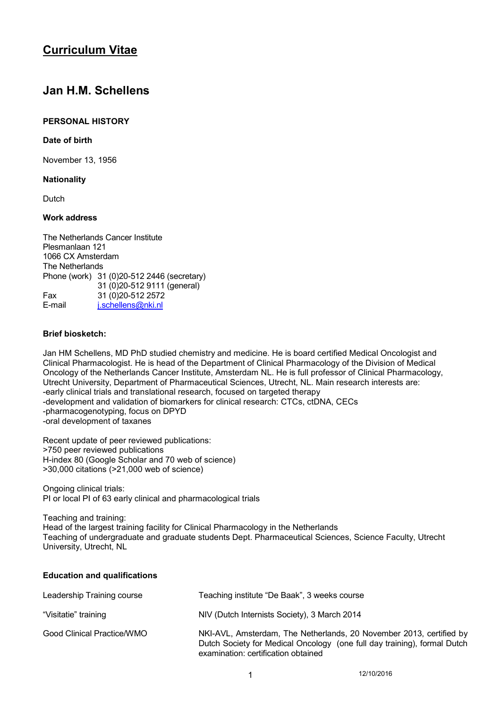# **Curriculum Vitae**

# **Jan H.M. Schellens**

# **PERSONAL HISTORY**

### **Date of birth**

November 13, 1956

### **Nationality**

Dutch

## **Work address**

The Netherlands Cancer Institute Plesmanlaan 121 1066 CX Amsterdam The Netherlands Phone (work) 31 (0)20-512 2446 (secretary) 31 (0)20-512 9111 (general) Fax 31 (0) 20-512 2572<br>F-mail ischellens@nkinl i.schellens@nki.nl

### **Brief biosketch:**

Jan HM Schellens, MD PhD studied chemistry and medicine. He is board certified Medical Oncologist and Clinical Pharmacologist. He is head of the Department of Clinical Pharmacology of the Division of Medical Oncology of the Netherlands Cancer Institute, Amsterdam NL. He is full professor of Clinical Pharmacology, Utrecht University, Department of Pharmaceutical Sciences, Utrecht, NL. Main research interests are: -early clinical trials and translational research, focused on targeted therapy -development and validation of biomarkers for clinical research: CTCs, ctDNA, CECs -pharmacogenotyping, focus on DPYD -oral development of taxanes

Recent update of peer reviewed publications: >750 peer reviewed publications H-index 80 (Google Scholar and 70 web of science) >30,000 citations (>21,000 web of science)

**Education and qualifications** 

Ongoing clinical trials: PI or local PI of 63 early clinical and pharmacological trials

Teaching and training: Head of the largest training facility for Clinical Pharmacology in the Netherlands Teaching of undergraduate and graduate students Dept. Pharmaceutical Sciences, Science Faculty, Utrecht University, Utrecht, NL

| Leadership Training course | Teaching institute "De Baak", 3 weeks course                                                                                                                                           |
|----------------------------|----------------------------------------------------------------------------------------------------------------------------------------------------------------------------------------|
| "Visitatie" training       | NIV (Dutch Internists Society), 3 March 2014                                                                                                                                           |
| Good Clinical Practice/WMO | NKI-AVL, Amsterdam, The Netherlands, 20 November 2013, certified by<br>Dutch Society for Medical Oncology (one full day training), formal Dutch<br>examination: certification obtained |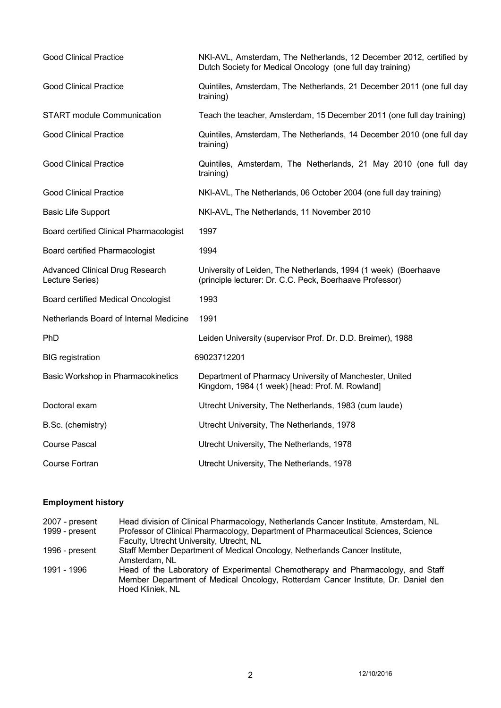| <b>Good Clinical Practice</b>                             | NKI-AVL, Amsterdam, The Netherlands, 12 December 2012, certified by<br>Dutch Society for Medical Oncology (one full day training) |
|-----------------------------------------------------------|-----------------------------------------------------------------------------------------------------------------------------------|
| <b>Good Clinical Practice</b>                             | Quintiles, Amsterdam, The Netherlands, 21 December 2011 (one full day<br>training)                                                |
| <b>START</b> module Communication                         | Teach the teacher, Amsterdam, 15 December 2011 (one full day training)                                                            |
| <b>Good Clinical Practice</b>                             | Quintiles, Amsterdam, The Netherlands, 14 December 2010 (one full day<br>training)                                                |
| <b>Good Clinical Practice</b>                             | Quintiles, Amsterdam, The Netherlands, 21 May 2010 (one full day<br>training)                                                     |
| <b>Good Clinical Practice</b>                             | NKI-AVL, The Netherlands, 06 October 2004 (one full day training)                                                                 |
| <b>Basic Life Support</b>                                 | NKI-AVL, The Netherlands, 11 November 2010                                                                                        |
| Board certified Clinical Pharmacologist                   | 1997                                                                                                                              |
| Board certified Pharmacologist                            | 1994                                                                                                                              |
| <b>Advanced Clinical Drug Research</b><br>Lecture Series) | University of Leiden, The Netherlands, 1994 (1 week) (Boerhaave<br>(principle lecturer: Dr. C.C. Peck, Boerhaave Professor)       |
| <b>Board certified Medical Oncologist</b>                 | 1993                                                                                                                              |
| Netherlands Board of Internal Medicine                    | 1991                                                                                                                              |
| <b>PhD</b>                                                | Leiden University (supervisor Prof. Dr. D.D. Breimer), 1988                                                                       |
| <b>BIG</b> registration                                   | 69023712201                                                                                                                       |
| Basic Workshop in Pharmacokinetics                        | Department of Pharmacy University of Manchester, United<br>Kingdom, 1984 (1 week) [head: Prof. M. Rowland]                        |
| Doctoral exam                                             | Utrecht University, The Netherlands, 1983 (cum laude)                                                                             |
| B.Sc. (chemistry)                                         | Utrecht University, The Netherlands, 1978                                                                                         |
| <b>Course Pascal</b>                                      | Utrecht University, The Netherlands, 1978                                                                                         |
| Course Fortran                                            | Utrecht University, The Netherlands, 1978                                                                                         |

# **Employment history**

| $2007$ - present | Head division of Clinical Pharmacology, Netherlands Cancer Institute, Amsterdam, NL |
|------------------|-------------------------------------------------------------------------------------|
| 1999 - present   | Professor of Clinical Pharmacology, Department of Pharmaceutical Sciences, Science  |
|                  | Faculty, Utrecht University, Utrecht, NL                                            |
| 1996 - present   | Staff Member Department of Medical Oncology, Netherlands Cancer Institute,          |
|                  | Amsterdam, NL                                                                       |
| 1991 - 1996      | Head of the Laboratory of Experimental Chemotherapy and Pharmacology, and Staff     |
|                  | Member Department of Medical Oncology, Rotterdam Cancer Institute, Dr. Daniel den   |
|                  | Hoed Kliniek, NL                                                                    |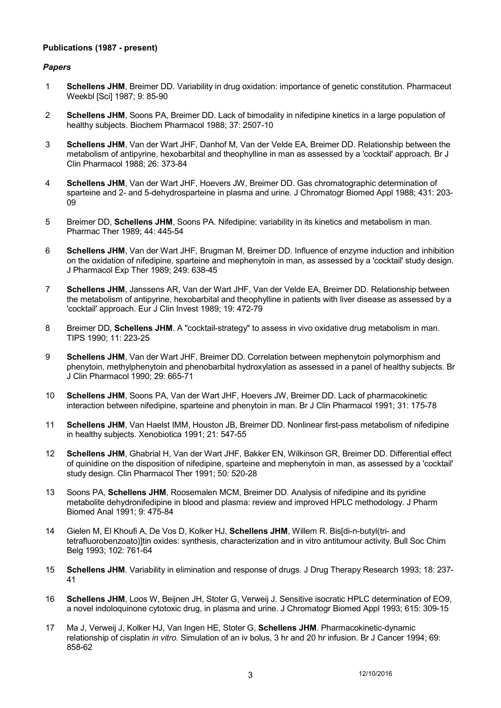### **Publications (1987 - present)**

### *Papers*

- 1 **Schellens JHM**, Breimer DD. Variability in drug oxidation: importance of genetic constitution. Pharmaceut Weekbl [Sci] 1987; 9: 85-90
- 2 **Schellens JHM**, Soons PA, Breimer DD. Lack of bimodality in nifedipine kinetics in a large population of healthy subjects. Biochem Pharmacol 1988; 37: 2507-10
- 3 **Schellens JHM**, Van der Wart JHF, Danhof M, Van der Velde EA, Breimer DD. Relationship between the metabolism of antipyrine, hexobarbital and theophylline in man as assessed by a 'cocktail' approach. Br J Clin Pharmacol 1988; 26: 373-84
- 4 **Schellens JHM**, Van der Wart JHF, Hoevers JW, Breimer DD. Gas chromatographic determination of sparteine and 2- and 5-dehydrosparteine in plasma and urine. J Chromatogr Biomed Appl 1988; 431: 203- 09
- 5 Breimer DD, **Schellens JHM**, Soons PA. Nifedipine: variability in its kinetics and metabolism in man. Pharmac Ther 1989; 44: 445-54
- 6 **Schellens JHM**, Van der Wart JHF, Brugman M, Breimer DD. Influence of enzyme induction and inhibition on the oxidation of nifedipine, sparteine and mephenytoin in man, as assessed by a 'cocktail' study design. J Pharmacol Exp Ther 1989; 249: 638-45
- 7 **Schellens JHM**, Janssens AR, Van der Wart JHF, Van der Velde EA, Breimer DD. Relationship between the metabolism of antipyrine, hexobarbital and theophylline in patients with liver disease as assessed by a 'cocktail' approach. Eur J Clin Invest 1989; 19: 472-79
- 8 Breimer DD, **Schellens JHM**. A "cocktail-strategy" to assess in vivo oxidative drug metabolism in man. TIPS 1990; 11: 223-25
- 9 **Schellens JHM**, Van der Wart JHF, Breimer DD. Correlation between mephenytoin polymorphism and phenytoin, methylphenytoin and phenobarbital hydroxylation as assessed in a panel of healthy subjects. Br J Clin Pharmacol 1990; 29: 665-71
- 10 **Schellens JHM**, Soons PA, Van der Wart JHF, Hoevers JW, Breimer DD. Lack of pharmacokinetic interaction between nifedipine, sparteine and phenytoin in man. Br J Clin Pharmacol 1991; 31: 175-78
- 11 **Schellens JHM**, Van Haelst IMM, Houston JB, Breimer DD. Nonlinear first-pass metabolism of nifedipine in healthy subjects. Xenobiotica 1991; 21: 547-55
- 12 **Schellens JHM**, Ghabrial H, Van der Wart JHF, Bakker EN, Wilkinson GR, Breimer DD. Differential effect of quinidine on the disposition of nifedipine, sparteine and mephenytoin in man, as assessed by a 'cocktail' study design. Clin Pharmacol Ther 1991; 50: 520-28
- 13 Soons PA, **Schellens JHM**, Roosemalen MCM, Breimer DD. Analysis of nifedipine and its pyridine metabolite dehydronifedipine in blood and plasma: review and improved HPLC methodology. J Pharm Biomed Anal 1991; 9: 475-84
- 14 Gielen M, El Khoufi A, De Vos D, Kolker HJ, **Schellens JHM**, Willem R. Bis[di-n-butyl(tri- and tetrafluorobenzoato)]tin oxides: synthesis, characterization and in vitro antitumour activity. Bull Soc Chim Belg 1993; 102: 761-64
- 15 **Schellens JHM**. Variability in elimination and response of drugs. J Drug Therapy Research 1993; 18: 237- 41
- 16 **Schellens JHM**, Loos W, Beijnen JH, Stoter G, Verweij J. Sensitive isocratic HPLC determination of EO9, a novel indoloquinone cytotoxic drug, in plasma and urine. J Chromatogr Biomed Appl 1993; 615: 309-15
- 17 Ma J, Verweij J, Kolker HJ, Van Ingen HE, Stoter G, **Schellens JHM**. Pharmacokinetic-dynamic relationship of cisplatin *in vitro*. Simulation of an iv bolus, 3 hr and 20 hr infusion. Br J Cancer 1994; 69: 858-62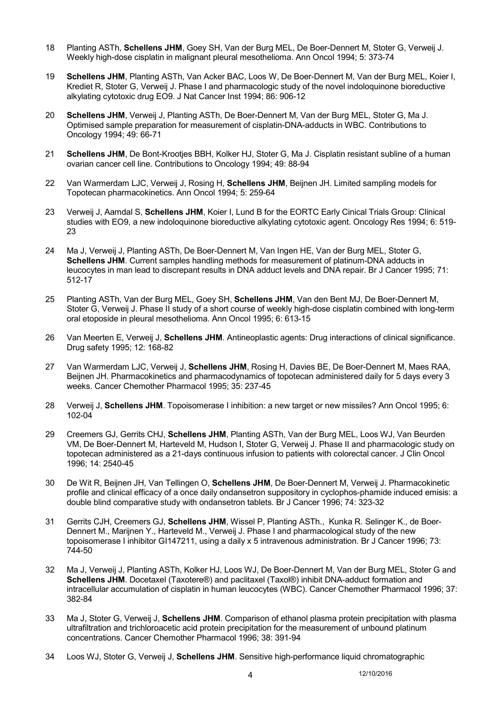- 18 Planting ASTh, **Schellens JHM**, Goey SH, Van der Burg MEL, De Boer-Dennert M, Stoter G, Verweij J. Weekly high-dose cisplatin in malignant pleural mesothelioma. Ann Oncol 1994; 5: 373-74
- 19 **Schellens JHM**, Planting ASTh, Van Acker BAC, Loos W, De Boer-Dennert M, Van der Burg MEL, Koier I, Krediet R, Stoter G, Verweij J. Phase I and pharmacologic study of the novel indoloquinone bioreductive alkylating cytotoxic drug EO9. J Nat Cancer Inst 1994; 86: 906-12
- 20 **Schellens JHM**, Verweij J, Planting ASTh, De Boer-Dennert M, Van der Burg MEL, Stoter G, Ma J. Optimised sample preparation for measurement of cisplatin-DNA-adducts in WBC. Contributions to Oncology 1994; 49: 66-71
- 21 **Schellens JHM**, De Bont-Krootjes BBH, Kolker HJ, Stoter G, Ma J. Cisplatin resistant subline of a human ovarian cancer cell line. Contributions to Oncology 1994; 49: 88-94
- 22 Van Warmerdam LJC, Verweij J, Rosing H, **Schellens JHM**, Beijnen JH. Limited sampling models for Topotecan pharmacokinetics. Ann Oncol 1994; 5: 259-64
- 23 Verweij J, Aamdal S, **Schellens JHM**, Koier I, Lund B for the EORTC Early Cinical Trials Group: Clinical studies with EO9, a new indoloquinone bioreductive alkylating cytotoxic agent. Oncology Res 1994; 6: 519- 23
- 24 Ma J, Verweij J, Planting ASTh, De Boer-Dennert M, Van Ingen HE, Van der Burg MEL, Stoter G, **Schellens JHM**. Current samples handling methods for measurement of platinum-DNA adducts in leucocytes in man lead to discrepant results in DNA adduct levels and DNA repair. Br J Cancer 1995; 71: 512-17
- 25 Planting ASTh, Van der Burg MEL, Goey SH, **Schellens JHM**, Van den Bent MJ, De Boer-Dennert M, Stoter G, Verweij J. Phase II study of a short course of weekly high-dose cisplatin combined with long-term oral etoposide in pleural mesothelioma. Ann Oncol 1995; 6: 613-15
- 26 Van Meerten E, Verweij J, **Schellens JHM**. Antineoplastic agents: Drug interactions of clinical significance. Drug safety 1995; 12: 168-82
- 27 Van Warmerdam LJC, Verweij J, **Schellens JHM**, Rosing H, Davies BE, De Boer-Dennert M, Maes RAA, Beijnen JH. Pharmacokinetics and pharmacodynamics of topotecan administered daily for 5 days every 3 weeks. Cancer Chemother Pharmacol 1995; 35: 237-45
- 28 Verweij J, **Schellens JHM**. Topoisomerase I inhibition: a new target or new missiles? Ann Oncol 1995; 6: 102-04
- 29 Creemers GJ, Gerrits CHJ, **Schellens JHM**, Planting ASTh, Van der Burg MEL, Loos WJ, Van Beurden VM, De Boer-Dennert M, Harteveld M, Hudson I, Stoter G, Verweij J. Phase II and pharmacologic study on topotecan administered as a 21-days continuous infusion to patients with colorectal cancer. J Clin Oncol 1996; 14: 2540-45
- 30 De Wit R, Beijnen JH, Van Tellingen O, **Schellens JHM**, De Boer-Dennert M, Verweij J. Pharmacokinetic profile and clinical efficacy of a once daily ondansetron suppository in cyclophos-phamide induced emisis: a double blind comparative study with ondansetron tablets. Br J Cancer 1996; 74: 323-32
- 31 Gerrits CJH, Creemers GJ, **Schellens JHM**, Wissel P, Planting ASTh., Kunka R. Selinger K., de Boer-Dennert M., Marijnen Y., Harteveld M., Verweij J. Phase I and pharmacological study of the new topoisomerase I inhibitor GI147211, using a daily x 5 intravenous administration. Br J Cancer 1996; 73: 744-50
- 32 Ma J, Verweij J, Planting ASTh, Kolker HJ, Loos WJ, De Boer-Dennert M, Van der Burg MEL, Stoter G and **Schellens JHM**. Docetaxel (Taxotere®) and paclitaxel (Taxol®) inhibit DNA-adduct formation and intracellular accumulation of cisplatin in human leucocytes (WBC). Cancer Chemother Pharmacol 1996; 37: 382-84
- 33 Ma J, Stoter G, Verweij J, **Schellens JHM**. Comparison of ethanol plasma protein precipitation with plasma ultrafiltration and trichloroacetic acid protein precipitation for the measurement of unbound platinum concentrations. Cancer Chemother Pharmacol 1996; 38: 391-94
- 34 Loos WJ, Stoter G, Verweij J, **Schellens JHM**. Sensitive high-performance liquid chromatographic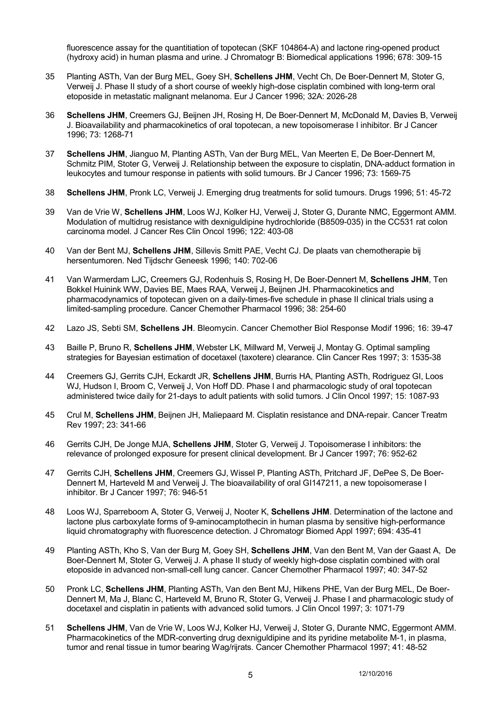fluorescence assay for the quantitiation of topotecan (SKF 104864-A) and lactone ring-opened product (hydroxy acid) in human plasma and urine. J Chromatogr B: Biomedical applications 1996; 678: 309-15

- 35 Planting ASTh, Van der Burg MEL, Goey SH, **Schellens JHM**, Vecht Ch, De Boer-Dennert M, Stoter G, Verweij J. Phase II study of a short course of weekly high-dose cisplatin combined with long-term oral etoposide in metastatic malignant melanoma. Eur J Cancer 1996; 32A: 2026-28
- 36 **Schellens JHM**, Creemers GJ, Beijnen JH, Rosing H, De Boer-Dennert M, McDonald M, Davies B, Verweij J. Bioavailability and pharmacokinetics of oral topotecan, a new topoisomerase I inhibitor. Br J Cancer 1996; 73: 1268-71
- 37 **Schellens JHM**, Jianguo M, Planting ASTh, Van der Burg MEL, Van Meerten E, De Boer-Dennert M, Schmitz PIM, Stoter G, Verweij J. Relationship between the exposure to cisplatin, DNA-adduct formation in leukocytes and tumour response in patients with solid tumours. Br J Cancer 1996; 73: 1569-75
- 38 **Schellens JHM**, Pronk LC, Verweij J. Emerging drug treatments for solid tumours. Drugs 1996; 51: 45-72
- 39 Van de Vrie W, **Schellens JHM**, Loos WJ, Kolker HJ, Verweij J, Stoter G, Durante NMC, Eggermont AMM. Modulation of multidrug resistance with dexniguldipine hydrochloride (B8509-035) in the CC531 rat colon carcinoma model. J Cancer Res Clin Oncol 1996; 122: 403-08
- 40 Van der Bent MJ, **Schellens JHM**, Sillevis Smitt PAE, Vecht CJ. De plaats van chemotherapie bij hersentumoren. Ned Tijdschr Geneesk 1996; 140: 702-06
- 41 Van Warmerdam LJC, Creemers GJ, Rodenhuis S, Rosing H, De Boer-Dennert M, **Schellens JHM**, Ten Bokkel Huinink WW, Davies BE, Maes RAA, Verweij J, Beijnen JH. Pharmacokinetics and pharmacodynamics of topotecan given on a daily-times-five schedule in phase II clinical trials using a limited-sampling procedure. Cancer Chemother Pharmacol 1996; 38: 254-60
- 42 Lazo JS, Sebti SM, **Schellens JH**. Bleomycin. Cancer Chemother Biol Response Modif 1996; 16: 39-47
- 43 Baille P, Bruno R, **Schellens JHM**, Webster LK, Millward M, Verweij J, Montay G. Optimal sampling strategies for Bayesian estimation of docetaxel (taxotere) clearance. Clin Cancer Res 1997; 3: 1535-38
- 44 Creemers GJ, Gerrits CJH, Eckardt JR, **Schellens JHM**, Burris HA, Planting ASTh, Rodriguez GI, Loos WJ, Hudson I, Broom C, Verweij J, Von Hoff DD. Phase I and pharmacologic study of oral topotecan administered twice daily for 21-days to adult patients with solid tumors. J Clin Oncol 1997; 15: 1087-93
- 45 Crul M, **Schellens JHM**, Beijnen JH, Maliepaard M. Cisplatin resistance and DNA-repair. Cancer Treatm Rev 1997; 23: 341-66
- 46 Gerrits CJH, De Jonge MJA, **Schellens JHM**, Stoter G, Verweij J. Topoisomerase I inhibitors: the relevance of prolonged exposure for present clinical development. Br J Cancer 1997; 76: 952-62
- 47 Gerrits CJH, **Schellens JHM**, Creemers GJ, Wissel P, Planting ASTh, Pritchard JF, DePee S, De Boer-Dennert M, Harteveld M and Verweij J. The bioavailability of oral GI147211, a new topoisomerase I inhibitor. Br J Cancer 1997; 76: 946-51
- 48 Loos WJ, Sparreboom A, Stoter G, Verweij J, Nooter K, **Schellens JHM**. Determination of the lactone and lactone plus carboxylate forms of 9-aminocamptothecin in human plasma by sensitive high-performance liquid chromatography with fluorescence detection. J Chromatogr Biomed Appl 1997; 694: 435-41
- 49 Planting ASTh, Kho S, Van der Burg M, Goey SH, **Schellens JHM**, Van den Bent M, Van der Gaast A, De Boer-Dennert M, Stoter G, Verweij J. A phase II study of weekly high-dose cisplatin combined with oral etoposide in advanced non-small-cell lung cancer. Cancer Chemother Pharmacol 1997; 40: 347-52
- 50 Pronk LC, **Schellens JHM**, Planting ASTh, Van den Bent MJ, Hilkens PHE, Van der Burg MEL, De Boer-Dennert M, Ma J, Blanc C, Harteveld M, Bruno R, Stoter G, Verweij J. Phase I and pharmacologic study of docetaxel and cisplatin in patients with advanced solid tumors. J Clin Oncol 1997; 3: 1071-79
- 51 **Schellens JHM**, Van de Vrie W, Loos WJ, Kolker HJ, Verweij J, Stoter G, Durante NMC, Eggermont AMM. Pharmacokinetics of the MDR-converting drug dexniguldipine and its pyridine metabolite M-1, in plasma, tumor and renal tissue in tumor bearing Wag/rijrats. Cancer Chemother Pharmacol 1997; 41: 48-52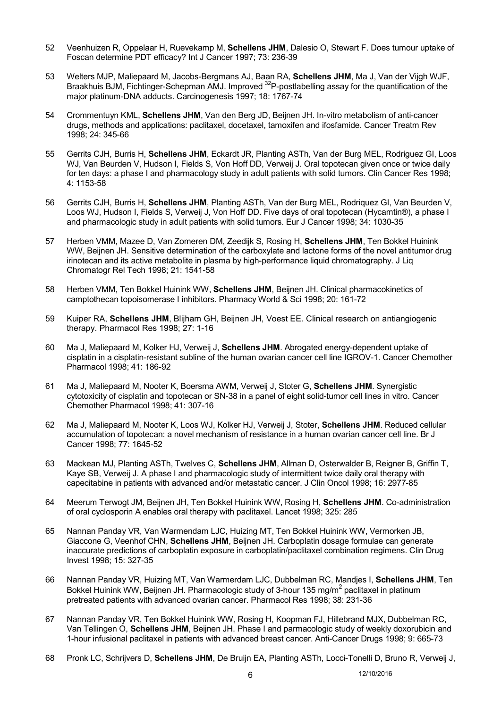- 52 Veenhuizen R, Oppelaar H, Ruevekamp M, **Schellens JHM**, Dalesio O, Stewart F. Does tumour uptake of Foscan determine PDT efficacy? Int J Cancer 1997; 73: 236-39
- 53 Welters MJP, Maliepaard M, Jacobs-Bergmans AJ, Baan RA, **Schellens JHM**, Ma J, Van der Vijgh WJF, Braakhuis BJM, Fichtinger-Schepman AMJ. Improved <sup>32</sup>P-postlabelling assay for the quantification of the major platinum-DNA adducts. Carcinogenesis 1997; 18: 1767-74
- 54 Crommentuyn KML, **Schellens JHM**, Van den Berg JD, Beijnen JH. In-vitro metabolism of anti-cancer drugs, methods and applications: paclitaxel, docetaxel, tamoxifen and ifosfamide. Cancer Treatm Rev 1998; 24: 345-66
- 55 Gerrits CJH, Burris H, **Schellens JHM**, Eckardt JR, Planting ASTh, Van der Burg MEL, Rodriguez GI, Loos WJ, Van Beurden V, Hudson I, Fields S, Von Hoff DD, Verweij J. Oral topotecan given once or twice daily for ten days: a phase I and pharmacology study in adult patients with solid tumors. Clin Cancer Res 1998; 4: 1153-58
- 56 Gerrits CJH, Burris H, **Schellens JHM**, Planting ASTh, Van der Burg MEL, Rodriquez GI, Van Beurden V, Loos WJ, Hudson I, Fields S, Verweij J, Von Hoff DD. Five days of oral topotecan (Hycamtin®), a phase I and pharmacologic study in adult patients with solid tumors. Eur J Cancer 1998; 34: 1030-35
- 57 Herben VMM, Mazee D, Van Zomeren DM, Zeedijk S, Rosing H, **Schellens JHM**, Ten Bokkel Huinink WW, Beijnen JH. Sensitive determination of the carboxylate and lactone forms of the novel antitumor drug irinotecan and its active metabolite in plasma by high-performance liquid chromatography. J Liq Chromatogr Rel Tech 1998; 21: 1541-58
- 58 Herben VMM, Ten Bokkel Huinink WW, **Schellens JHM**, Beijnen JH. Clinical pharmacokinetics of camptothecan topoisomerase I inhibitors. Pharmacy World & Sci 1998; 20: 161-72
- 59 Kuiper RA, **Schellens JHM**, Blijham GH, Beijnen JH, Voest EE. Clinical research on antiangiogenic therapy. Pharmacol Res 1998; 27: 1-16
- 60 Ma J, Maliepaard M, Kolker HJ, Verweij J, **Schellens JHM**. Abrogated energy-dependent uptake of cisplatin in a cisplatin-resistant subline of the human ovarian cancer cell line IGROV-1. Cancer Chemother Pharmacol 1998; 41: 186-92
- 61 Ma J, Maliepaard M, Nooter K, Boersma AWM, Verweij J, Stoter G, **Schellens JHM**. Synergistic cytotoxicity of cisplatin and topotecan or SN-38 in a panel of eight solid-tumor cell lines in vitro. Cancer Chemother Pharmacol 1998; 41: 307-16
- 62 Ma J, Maliepaard M, Nooter K, Loos WJ, Kolker HJ, Verweij J, Stoter, **Schellens JHM**. Reduced cellular accumulation of topotecan: a novel mechanism of resistance in a human ovarian cancer cell line. Br J Cancer 1998; 77: 1645-52
- 63 Mackean MJ, Planting ASTh, Twelves C, **Schellens JHM**, Allman D, Osterwalder B, Reigner B, Griffin T, Kaye SB, Verweij J. A phase I and pharmacologic study of intermittent twice daily oral therapy with capecitabine in patients with advanced and/or metastatic cancer. J Clin Oncol 1998; 16: 2977-85
- 64 Meerum Terwogt JM, Beijnen JH, Ten Bokkel Huinink WW, Rosing H, **Schellens JHM**. Co-administration of oral cyclosporin A enables oral therapy with paclitaxel. Lancet 1998; 325: 285
- 65 Nannan Panday VR, Van Warmendam LJC, Huizing MT, Ten Bokkel Huinink WW, Vermorken JB, Giaccone G, Veenhof CHN, **Schellens JHM**, Beijnen JH. Carboplatin dosage formulae can generate inaccurate predictions of carboplatin exposure in carboplatin/paclitaxel combination regimens. Clin Drug Invest 1998; 15: 327-35
- 66 Nannan Panday VR, Huizing MT, Van Warmerdam LJC, Dubbelman RC, Mandjes I, **Schellens JHM**, Ten Bokkel Huinink WW, Beijnen JH. Pharmacologic study of 3-hour 135 mg/m<sup>2</sup> paclitaxel in platinum pretreated patients with advanced ovarian cancer. Pharmacol Res 1998; 38: 231-36
- 67 Nannan Panday VR, Ten Bokkel Huinink WW, Rosing H, Koopman FJ, Hillebrand MJX, Dubbelman RC, Van Tellingen O, **Schellens JHM**, Beijnen JH. Phase I and parmacologic study of weekly doxorubicin and 1-hour infusional paclitaxel in patients with advanced breast cancer. Anti-Cancer Drugs 1998; 9: 665-73
- 68 Pronk LC, Schrijvers D, **Schellens JHM**, De Bruijn EA, Planting ASTh, Locci-Tonelli D, Bruno R, Verweij J,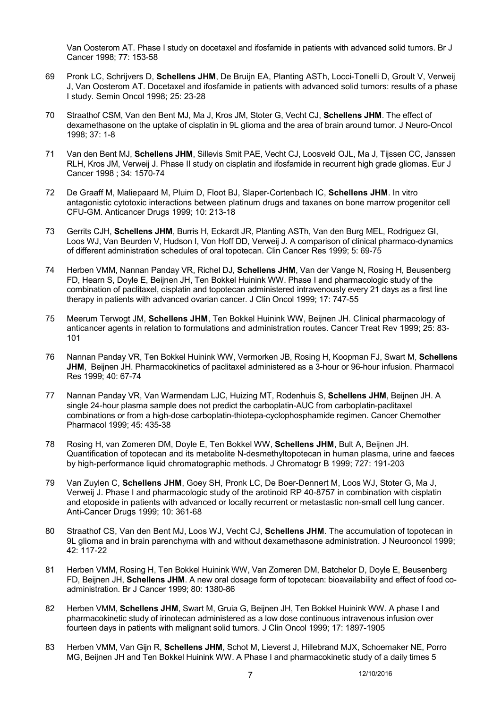Van Oosterom AT. Phase I study on docetaxel and ifosfamide in patients with advanced solid tumors. Br J Cancer 1998; 77: 153-58

- 69 Pronk LC, Schrijvers D, **Schellens JHM**, De Bruijn EA, Planting ASTh, Locci-Tonelli D, Groult V, Verweij J, Van Oosterom AT. Docetaxel and ifosfamide in patients with advanced solid tumors: results of a phase I study. Semin Oncol 1998; 25: 23-28
- 70 Straathof CSM, Van den Bent MJ, Ma J, Kros JM, Stoter G, Vecht CJ, **Schellens JHM**. The effect of dexamethasone on the uptake of cisplatin in 9L glioma and the area of brain around tumor. J Neuro-Oncol 1998; 37: 1-8
- 71 Van den Bent MJ, **Schellens JHM**, Sillevis Smit PAE, Vecht CJ, Loosveld OJL, Ma J, Tijssen CC, Janssen RLH, Kros JM, Verweij J. Phase II study on cisplatin and ifosfamide in recurrent high grade gliomas. Eur J Cancer 1998 ; 34: 1570-74
- 72 De Graaff M, Maliepaard M, Pluim D, Floot BJ, Slaper-Cortenbach IC, **Schellens JHM**. In vitro antagonistic cytotoxic interactions between platinum drugs and taxanes on bone marrow progenitor cell CFU-GM. Anticancer Drugs 1999; 10: 213-18
- 73 Gerrits CJH, **Schellens JHM**, Burris H, Eckardt JR, Planting ASTh, Van den Burg MEL, Rodriguez GI, Loos WJ, Van Beurden V, Hudson I, Von Hoff DD, Verweij J. A comparison of clinical pharmaco-dynamics of different administration schedules of oral topotecan. Clin Cancer Res 1999; 5: 69-75
- 74 Herben VMM, Nannan Panday VR, Richel DJ, **Schellens JHM**, Van der Vange N, Rosing H, Beusenberg FD, Hearn S, Doyle E, Beijnen JH, Ten Bokkel Huinink WW. Phase I and pharmacologic study of the combination of paclitaxel, cisplatin and topotecan administered intravenously every 21 days as a first line therapy in patients with advanced ovarian cancer. J Clin Oncol 1999; 17: 747-55
- 75 Meerum Terwogt JM, **Schellens JHM**, Ten Bokkel Huinink WW, Beijnen JH. Clinical pharmacology of anticancer agents in relation to formulations and administration routes. Cancer Treat Rev 1999; 25: 83- 101
- 76 Nannan Panday VR, Ten Bokkel Huinink WW, Vermorken JB, Rosing H, Koopman FJ, Swart M, **Schellens JHM**, Beijnen JH. Pharmacokinetics of paclitaxel administered as a 3-hour or 96-hour infusion. Pharmacol Res 1999; 40: 67-74
- 77 Nannan Panday VR, Van Warmendam LJC, Huizing MT, Rodenhuis S, **Schellens JHM**, Beijnen JH. A single 24-hour plasma sample does not predict the carboplatin-AUC from carboplatin-paclitaxel combinations or from a high-dose carboplatin-thiotepa-cyclophosphamide regimen. Cancer Chemother Pharmacol 1999; 45: 435-38
- 78 Rosing H, van Zomeren DM, Doyle E, Ten Bokkel WW, **Schellens JHM**, Bult A, Beijnen JH. Quantification of topotecan and its metabolite N-desmethyltopotecan in human plasma, urine and faeces by high-performance liquid chromatographic methods. J Chromatogr B 1999; 727: 191-203
- 79 Van Zuylen C, **Schellens JHM**, Goey SH, Pronk LC, De Boer-Dennert M, Loos WJ, Stoter G, Ma J, Verweij J. Phase I and pharmacologic study of the arotinoid RP 40-8757 in combination with cisplatin and etoposide in patients with advanced or locally recurrent or metastastic non-small cell lung cancer. Anti-Cancer Drugs 1999; 10: 361-68
- 80 Straathof CS, Van den Bent MJ, Loos WJ, Vecht CJ, **Schellens JHM**. The accumulation of topotecan in 9L glioma and in brain parenchyma with and without dexamethasone administration. J Neurooncol 1999; 42: 117-22
- 81 Herben VMM, Rosing H, Ten Bokkel Huinink WW, Van Zomeren DM, Batchelor D, Doyle E, Beusenberg FD, Beijnen JH, **Schellens JHM**. A new oral dosage form of topotecan: bioavailability and effect of food coadministration. Br J Cancer 1999; 80: 1380-86
- 82 Herben VMM, **Schellens JHM**, Swart M, Gruia G, Beijnen JH, Ten Bokkel Huinink WW. A phase I and pharmacokinetic study of irinotecan administered as a low dose continuous intravenous infusion over fourteen days in patients with malignant solid tumors. J Clin Oncol 1999; 17: 1897-1905
- 83 Herben VMM, Van Gijn R, **Schellens JHM**, Schot M, Lieverst J, Hillebrand MJX, Schoemaker NE, Porro MG, Beijnen JH and Ten Bokkel Huinink WW. A Phase I and pharmacokinetic study of a daily times 5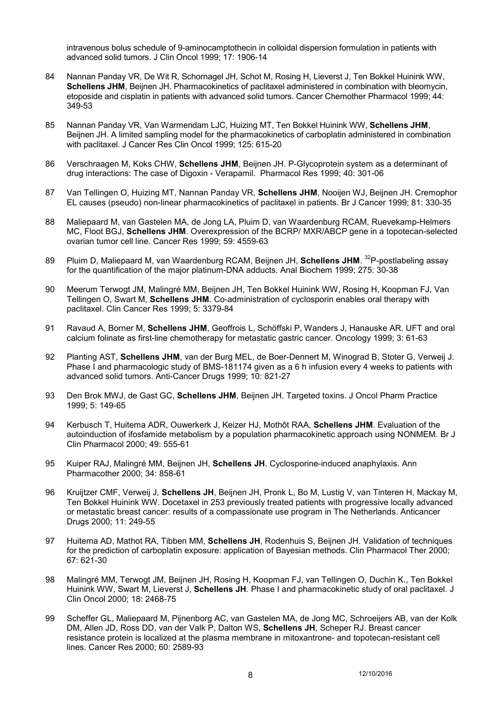intravenous bolus schedule of 9-aminocamptothecin in colloidal dispersion formulation in patients with advanced solid tumors. J Clin Oncol 1999; 17: 1906-14

- 84 Nannan Panday VR, De Wit R, Schornagel JH, Schot M, Rosing H, Lieverst J, Ten Bokkel Huinink WW, **Schellens JHM**, Beijnen JH. Pharmacokinetics of paclitaxel administered in combination with bleomycin, etoposide and cisplatin in patients with advanced solid tumors. Cancer Chemother Pharmacol 1999; 44: 349-53
- 85 Nannan Panday VR, Van Warmendam LJC, Huizing MT, Ten Bokkel Huinink WW, **Schellens JHM**, Beijnen JH. A limited sampling model for the pharmacokinetics of carboplatin administered in combination with paclitaxel. J Cancer Res Clin Oncol 1999; 125: 615-20
- 86 Verschraagen M, Koks CHW, **Schellens JHM**, Beijnen JH. P-Glycoprotein system as a determinant of drug interactions: The case of Digoxin - Verapamil. Pharmacol Res 1999; 40: 301-06
- 87 Van Tellingen O, Huizing MT, Nannan Panday VR, **Schellens JHM**, Nooijen WJ, Beijnen JH. Cremophor EL causes (pseudo) non-linear pharmacokinetics of paclitaxel in patients. Br J Cancer 1999; 81: 330-35
- 88 Maliepaard M, van Gastelen MA, de Jong LA, Pluim D, van Waardenburg RCAM, Ruevekamp-Helmers MC, Floot BGJ, **Schellens JHM**. Overexpression of the BCRP/ MXR/ABCP gene in a topotecan-selected ovarian tumor cell line. Cancer Res 1999; 59: 4559-63
- 89 Pluim D, Maliepaard M, van Waardenburg RCAM, Beijnen JH, Schellens JHM. <sup>32</sup>P-postlabeling assay for the quantification of the major platinum-DNA adducts. Anal Biochem 1999; 275: 30-38
- 90 Meerum Terwogt JM, Malingré MM, Beijnen JH, Ten Bokkel Huinink WW, Rosing H, Koopman FJ, Van Tellingen O, Swart M, **Schellens JHM**. Co-administration of cyclosporin enables oral therapy with paclitaxel. Clin Cancer Res 1999; 5: 3379-84
- 91 Ravaud A, Borner M, **Schellens JHM**, Geoffrois L, Schöffski P, Wanders J, Hanauske AR. UFT and oral calcium folinate as first-line chemotherapy for metastatic gastric cancer. Oncology 1999; 3: 61-63
- 92 Planting AST, **Schellens JHM**, van der Burg MEL, de Boer-Dennert M, Winograd B, Stoter G, Verweij J. Phase I and pharmacologic study of BMS-181174 given as a 6 h infusion every 4 weeks to patients with advanced solid tumors. Anti-Cancer Drugs 1999; 10: 821-27
- 93 Den Brok MWJ, de Gast GC, **Schellens JHM**, Beijnen JH. Targeted toxins. J Oncol Pharm Practice 1999; 5: 149-65
- 94 Kerbusch T, Huitema ADR, Ouwerkerk J, Keizer HJ, Mothôt RAA, **Schellens JHM**. Evaluation of the autoinduction of ifosfamide metabolism by a population pharmacokinetic approach using NONMEM. Br J Clin Pharmacol 2000; 49: 555-61
- 95 Kuiper RAJ, Malingré MM, Beijnen JH, **Schellens JH**. Cyclosporine-induced anaphylaxis. Ann Pharmacother 2000; 34: 858-61
- 96 Kruijtzer CMF, Verweij J, **Schellens JH**, Beijnen JH, Pronk L, Bo M, Lustig V, van Tinteren H, Mackay M, Ten Bokkel Huinink WW. Docetaxel in 253 previously treated patients with progressive locally advanced or metastatic breast cancer: results of a compassionate use program in The Netherlands. Anticancer Drugs 2000; 11: 249-55
- 97 Huitema AD, Mathot RA, Tibben MM, **Schellens JH**, Rodenhuis S, Beijnen JH. Validation of techniques for the prediction of carboplatin exposure: application of Bayesian methods. Clin Pharmacol Ther 2000; 67: 621-30
- 98 Malingré MM, Terwogt JM, Beijnen JH, Rosing H, Koopman FJ, van Tellingen O, Duchin K., Ten Bokkel Huinink WW, Swart M, Lieverst J, **Schellens JH**. Phase I and pharmacokinetic study of oral paclitaxel. J Clin Oncol 2000; 18: 2468-75
- 99 Scheffer GL, Maliepaard M, Pijnenborg AC, van Gastelen MA, de Jong MC, Schroeijers AB, van der Kolk DM, Allen JD, Ross DD, van der Valk P, Dalton WS, **Schellens JH**, Scheper RJ. Breast cancer resistance protein is localized at the plasma membrane in mitoxantrone- and topotecan-resistant cell lines. Cancer Res 2000; 60: 2589-93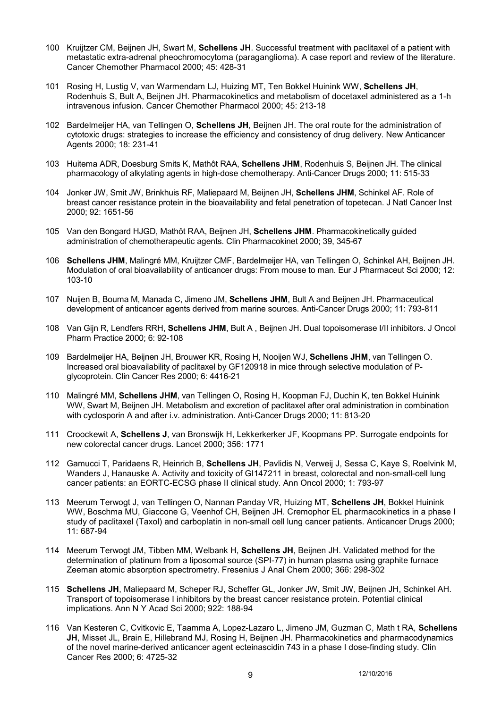- 100 Kruijtzer CM, Beijnen JH, Swart M, **Schellens JH**. Successful treatment with paclitaxel of a patient with metastatic extra-adrenal pheochromocytoma (paraganglioma). A case report and review of the literature. Cancer Chemother Pharmacol 2000; 45: 428-31
- 101 Rosing H, Lustig V, van Warmendam LJ, Huizing MT, Ten Bokkel Huinink WW, **Schellens JH**, Rodenhuis S, Bult A, Beijnen JH. Pharmacokinetics and metabolism of docetaxel administered as a 1-h intravenous infusion. Cancer Chemother Pharmacol 2000; 45: 213-18
- 102 Bardelmeijer HA, van Tellingen O, **Schellens JH**, Beijnen JH. The oral route for the administration of cytotoxic drugs: strategies to increase the efficiency and consistency of drug delivery. New Anticancer Agents 2000; 18: 231-41
- 103 Huitema ADR, Doesburg Smits K, Mathôt RAA, **Schellens JHM**, Rodenhuis S, Beijnen JH. The clinical pharmacology of alkylating agents in high-dose chemotherapy. Anti-Cancer Drugs 2000; 11: 515-33
- 104 Jonker JW, Smit JW, Brinkhuis RF, Maliepaard M, Beijnen JH, **Schellens JHM**, Schinkel AF. Role of breast cancer resistance protein in the bioavailability and fetal penetration of topetecan. J Natl Cancer Inst 2000; 92: 1651-56
- 105 Van den Bongard HJGD, Mathôt RAA, Beijnen JH, **Schellens JHM**. Pharmacokinetically guided administration of chemotherapeutic agents. Clin Pharmacokinet 2000; 39, 345-67
- 106 **Schellens JHM**, Malingré MM, Kruijtzer CMF, Bardelmeijer HA, van Tellingen O, Schinkel AH, Beijnen JH. Modulation of oral bioavailability of anticancer drugs: From mouse to man. Eur J Pharmaceut Sci 2000; 12: 103-10
- 107 Nuijen B, Bouma M, Manada C, Jimeno JM, **Schellens JHM**, Bult A and Beijnen JH. Pharmaceutical development of anticancer agents derived from marine sources. Anti-Cancer Drugs 2000; 11: 793-811
- 108 Van Gijn R, Lendfers RRH, **Schellens JHM**, Bult A , Beijnen JH. Dual topoisomerase I/II inhibitors. J Oncol Pharm Practice 2000; 6: 92-108
- 109 Bardelmeijer HA, Beijnen JH, Brouwer KR, Rosing H, Nooijen WJ, **Schellens JHM**, van Tellingen O. Increased oral bioavailability of paclitaxel by GF120918 in mice through selective modulation of Pglycoprotein. Clin Cancer Res 2000; 6: 4416-21
- 110 Malingré MM, **Schellens JHM**, van Tellingen O, Rosing H, Koopman FJ, Duchin K, ten Bokkel Huinink WW, Swart M, Beijnen JH. Metabolism and excretion of paclitaxel after oral administration in combination with cyclosporin A and after i.v. administration. Anti-Cancer Drugs 2000; 11: 813-20
- 111 Croockewit A, **Schellens J**, van Bronswijk H, Lekkerkerker JF, Koopmans PP. Surrogate endpoints for new colorectal cancer drugs. Lancet 2000; 356: 1771
- 112 Gamucci T, Paridaens R, Heinrich B, **Schellens JH**, Pavlidis N, Verweij J, Sessa C, Kaye S, Roelvink M, Wanders J, Hanauske A. Activity and toxicity of GI147211 in breast, colorectal and non-small-cell lung cancer patients: an EORTC-ECSG phase II clinical study. Ann Oncol 2000; 1: 793-97
- 113 Meerum Terwogt J, van Tellingen O, Nannan Panday VR, Huizing MT, **Schellens JH**, Bokkel Huinink WW, Boschma MU, Giaccone G, Veenhof CH, Beijnen JH. Cremophor EL pharmacokinetics in a phase I study of paclitaxel (Taxol) and carboplatin in non-small cell lung cancer patients. Anticancer Drugs 2000; 11: 687-94
- 114 Meerum Terwogt JM, Tibben MM, Welbank H, **Schellens JH**, Beijnen JH. Validated method for the determination of platinum from a liposomal source (SPI-77) in human plasma using graphite furnace Zeeman atomic absorption spectrometry. Fresenius J Anal Chem 2000; 366: 298-302
- 115 **Schellens JH**, Maliepaard M, Scheper RJ, Scheffer GL, Jonker JW, Smit JW, Beijnen JH, Schinkel AH. Transport of topoisomerase I inhibitors by the breast cancer resistance protein. Potential clinical implications. Ann N Y Acad Sci 2000; 922: 188-94
- 116 Van Kesteren C, Cvitkovic E, Taamma A, Lopez-Lazaro L, Jimeno JM, Guzman C, Math t RA, **Schellens JH**, Misset JL, Brain E, Hillebrand MJ, Rosing H, Beijnen JH. Pharmacokinetics and pharmacodynamics of the novel marine-derived anticancer agent ecteinascidin 743 in a phase I dose-finding study. Clin Cancer Res 2000; 6: 4725-32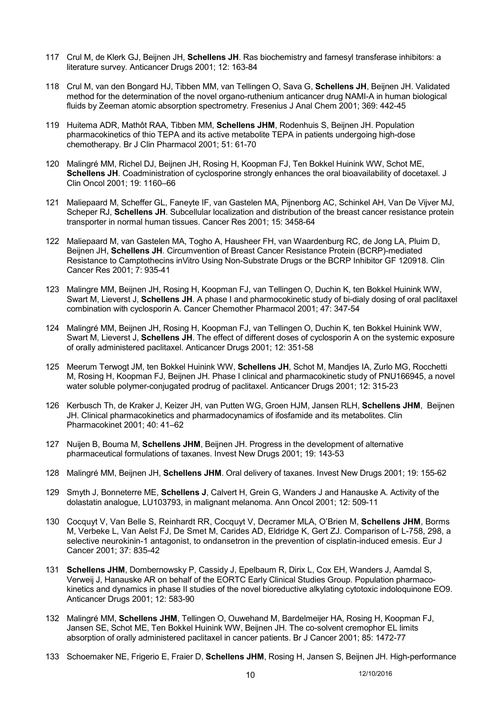- 117 Crul M, de Klerk GJ, Beijnen JH, **Schellens JH**. Ras biochemistry and farnesyl transferase inhibitors: a literature survey. Anticancer Drugs 2001; 12: 163-84
- 118 Crul M, van den Bongard HJ, Tibben MM, van Tellingen O, Sava G, **Schellens JH**, Beijnen JH. Validated method for the determination of the novel organo-ruthenium anticancer drug NAMI-A in human biological fluids by Zeeman atomic absorption spectrometry. Fresenius J Anal Chem 2001; 369: 442-45
- 119 Huitema ADR, Mathôt RAA, Tibben MM, **Schellens JHM**, Rodenhuis S, Beijnen JH. Population pharmacokinetics of thio TEPA and its active metabolite TEPA in patients undergoing high-dose chemotherapy. Br J Clin Pharmacol 2001; 51: 61-70
- 120 Malingré MM, Richel DJ, Beijnen JH, Rosing H, Koopman FJ, Ten Bokkel Huinink WW, Schot ME, **Schellens JH**. Coadministration of cyclosporine strongly enhances the oral bioavailability of docetaxel. J Clin Oncol 2001; 19: 1160–66
- 121 Maliepaard M, Scheffer GL, Faneyte IF, van Gastelen MA, Pijnenborg AC, Schinkel AH, Van De Vijver MJ, Scheper RJ, **Schellens JH**. Subcellular localization and distribution of the breast cancer resistance protein transporter in normal human tissues. Cancer Res 2001; 15: 3458-64
- 122 Maliepaard M, van Gastelen MA, Togho A, Hausheer FH, van Waardenburg RC, de Jong LA, Pluim D, Beijnen JH, **Schellens JH**. Circumvention of Breast Cancer Resistance Protein (BCRP)-mediated Resistance to Camptothecins inVitro Using Non-Substrate Drugs or the BCRP Inhibitor GF 120918. Clin Cancer Res 2001; 7: 935-41
- 123 Malingre MM, Beijnen JH, Rosing H, Koopman FJ, van Tellingen O, Duchin K, ten Bokkel Huinink WW, Swart M, Lieverst J, **Schellens JH**. A phase I and pharmocokinetic study of bi-dialy dosing of oral paclitaxel combination with cyclosporin A. Cancer Chemother Pharmacol 2001; 47: 347-54
- 124 Malingré MM, Beijnen JH, Rosing H, Koopman FJ, van Tellingen O, Duchin K, ten Bokkel Huinink WW, Swart M, Lieverst J, **Schellens JH**. The effect of different doses of cyclosporin A on the systemic exposure of orally administered paclitaxel. Anticancer Drugs 2001; 12: 351-58
- 125 Meerum Terwogt JM, ten Bokkel Huinink WW, **Schellens JH**, Schot M, Mandjes IA, Zurlo MG, Rocchetti M, Rosing H, Koopman FJ, Beijnen JH. Phase I clinical and pharmacokinetic study of PNU166945, a novel water soluble polymer-conjugated prodrug of paclitaxel. Anticancer Drugs 2001; 12: 315-23
- 126 Kerbusch Th, de Kraker J, Keizer JH, van Putten WG, Groen HJM, Jansen RLH, **Schellens JHM**, Beijnen JH. Clinical pharmacokinetics and pharmadocynamics of ifosfamide and its metabolites. Clin Pharmacokinet 2001; 40: 41–62
- 127 Nuijen B, Bouma M, **Schellens JHM**, Beijnen JH. Progress in the development of alternative pharmaceutical formulations of taxanes. Invest New Drugs 2001; 19: 143-53
- 128 Malingré MM, Beijnen JH, **Schellens JHM**. Oral delivery of taxanes. Invest New Drugs 2001; 19: 155-62
- 129 Smyth J, Bonneterre ME, **Schellens J**, Calvert H, Grein G, Wanders J and Hanauske A. Activity of the dolastatin analogue, LU103793, in malignant melanoma. Ann Oncol 2001; 12: 509-11
- 130 Cocquyt V, Van Belle S, Reinhardt RR, Cocquyt V, Decramer MLA, O'Brien M, **Schellens JHM**, Borms M, Verbeke L, Van Aelst FJ, De Smet M, Carides AD, Eldridge K, Gert ZJ. Comparison of L-758, 298, a selective neurokinin-1 antagonist, to ondansetron in the prevention of cisplatin-induced emesis. Eur J Cancer 2001; 37: 835-42
- 131 **Schellens JHM**, Dombernowsky P, Cassidy J, Epelbaum R, Dirix L, Cox EH, Wanders J, Aamdal S, Verweij J, Hanauske AR on behalf of the EORTC Early Clinical Studies Group. Population pharmacokinetics and dynamics in phase II studies of the novel bioreductive alkylating cytotoxic indoloquinone EO9. Anticancer Drugs 2001; 12: 583-90
- 132 Malingré MM, **Schellens JHM**, Tellingen O, Ouwehand M, Bardelmeijer HA, Rosing H, Koopman FJ, Jansen SE, Schot ME, Ten Bokkel Huinink WW, Beijnen JH. The co-solvent cremophor EL limits absorption of orally administered paclitaxel in cancer patients. Br J Cancer 2001; 85: 1472-77
- 133 Schoemaker NE, Frigerio E, Fraier D, **Schellens JHM**, Rosing H, Jansen S, Beijnen JH. High-performance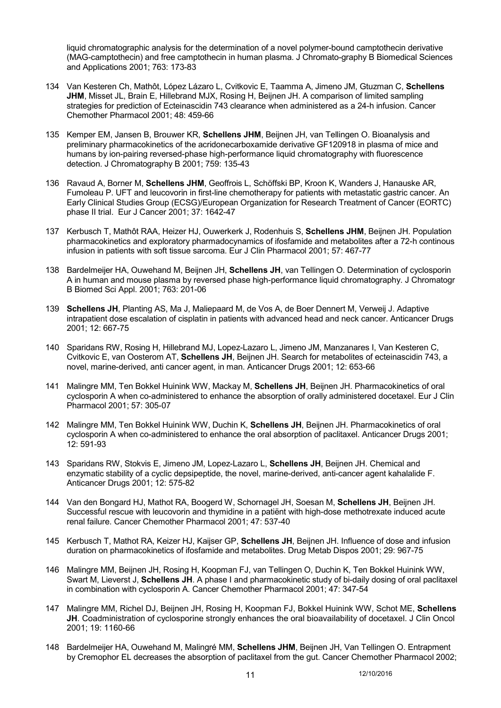liquid chromatographic analysis for the determination of a novel polymer-bound camptothecin derivative (MAG-camptothecin) and free camptothecin in human plasma. J Chromato-graphy B Biomedical Sciences and Applications 2001; 763: 173-83

- 134 Van Kesteren Ch, Mathôt, López Lázaro L, Cvitkovic E, Taamma A, Jimeno JM, Gtuzman C, **Schellens**  JHM, Misset JL, Brain E, Hillebrand MJX, Rosing H, Beijnen JH. A comparison of limited sampling strategies for prediction of Ecteinascidin 743 clearance when administered as a 24-h infusion. Cancer Chemother Pharmacol 2001; 48: 459-66
- 135 Kemper EM, Jansen B, Brouwer KR, **Schellens JHM**, Beijnen JH, van Tellingen O. Bioanalysis and preliminary pharmacokinetics of the acridonecarboxamide derivative GF120918 in plasma of mice and humans by ion-pairing reversed-phase high-performance liquid chromatography with fluorescence detection. J Chromatography B 2001; 759: 135-43
- 136 Ravaud A, Borner M, **Schellens JHM**, Geoffrois L, Schöffski BP, Kroon K, Wanders J, Hanauske AR, Fumoleau P. UFT and leucovorin in first-line chemotherapy for patients with metastatic gastric cancer. An Early Clinical Studies Group (ECSG)/European Organization for Research Treatment of Cancer (EORTC) phase II trial. Eur J Cancer 2001; 37: 1642-47
- 137 Kerbusch T, Mathôt RAA, Heizer HJ, Ouwerkerk J, Rodenhuis S, **Schellens JHM**, Beijnen JH. Population pharmacokinetics and exploratory pharmadocynamics of ifosfamide and metabolites after a 72-h continous infusion in patients with soft tissue sarcoma. Eur J Clin Pharmacol 2001; 57: 467-77
- 138 Bardelmeijer HA, Ouwehand M, Beijnen JH, **Schellens JH**, van Tellingen O. Determination of cyclosporin A in human and mouse plasma by reversed phase high-performance liquid chromatography. J Chromatogr B Biomed Sci Appl. 2001; 763: 201-06
- 139 **Schellens JH**, Planting AS, Ma J, Maliepaard M, de Vos A, de Boer Dennert M, Verweij J. Adaptive intrapatient dose escalation of cisplatin in patients with advanced head and neck cancer. Anticancer Drugs 2001; 12: 667-75
- 140 Sparidans RW, Rosing H, Hillebrand MJ, Lopez-Lazaro L, Jimeno JM, Manzanares I, Van Kesteren C, Cvitkovic E, van Oosterom AT, **Schellens JH**, Beijnen JH. Search for metabolites of ecteinascidin 743, a novel, marine-derived, anti cancer agent, in man. Anticancer Drugs 2001; 12: 653-66
- 141 Malingre MM, Ten Bokkel Huinink WW, Mackay M, **Schellens JH**, Beijnen JH. Pharmacokinetics of oral cyclosporin A when co-administered to enhance the absorption of orally administered docetaxel. Eur J Clin Pharmacol 2001; 57: 305-07
- 142 Malingre MM, Ten Bokkel Huinink WW, Duchin K, **Schellens JH**, Beijnen JH. Pharmacokinetics of oral cyclosporin A when co-administered to enhance the oral absorption of paclitaxel. Anticancer Drugs 2001; 12: 591-93
- 143 Sparidans RW, Stokvis E, Jimeno JM, Lopez-Lazaro L, **Schellens JH**, Beijnen JH. Chemical and enzymatic stability of a cyclic depsipeptide, the novel, marine-derived, anti-cancer agent kahalalide F. Anticancer Drugs 2001; 12: 575-82
- 144 Van den Bongard HJ, Mathot RA, Boogerd W, Schornagel JH, Soesan M, **Schellens JH**, Beijnen JH. Successful rescue with leucovorin and thymidine in a patiënt with high-dose methotrexate induced acute renal failure. Cancer Chemother Pharmacol 2001; 47: 537-40
- 145 Kerbusch T, Mathot RA, Keizer HJ, Kaijser GP, **Schellens JH**, Beijnen JH. Influence of dose and infusion duration on pharmacokinetics of ifosfamide and metabolites. Drug Metab Dispos 2001; 29: 967-75
- 146 Malingre MM, Beijnen JH, Rosing H, Koopman FJ, van Tellingen O, Duchin K, Ten Bokkel Huinink WW, Swart M, Lieverst J, **Schellens JH**. A phase I and pharmacokinetic study of bi-daily dosing of oral paclitaxel in combination with cyclosporin A. Cancer Chemother Pharmacol 2001; 47: 347-54
- 147 Malingre MM, Richel DJ, Beijnen JH, Rosing H, Koopman FJ, Bokkel Huinink WW, Schot ME, **Schellens JH**. Coadministration of cyclosporine strongly enhances the oral bioavailability of docetaxel. J Clin Oncol 2001; 19: 1160-66
- 148 Bardelmeijer HA, Ouwehand M, Malingré MM, **Schellens JHM**, Beijnen JH, Van Tellingen O. Entrapment by Cremophor EL decreases the absorption of paclitaxel from the gut. Cancer Chemother Pharmacol 2002;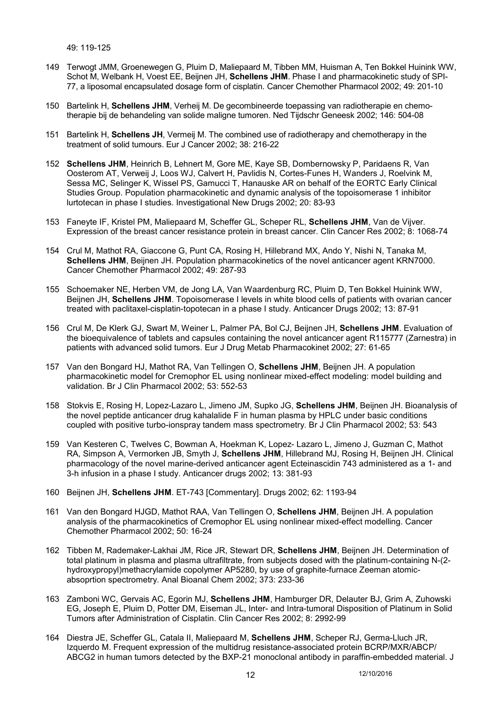49: 119-125

- 149 Terwogt JMM, Groenewegen G, Pluim D, Maliepaard M, Tibben MM, Huisman A, Ten Bokkel Huinink WW, Schot M, Welbank H, Voest EE, Beijnen JH, **Schellens JHM**. Phase I and pharmacokinetic study of SPI-77, a liposomal encapsulated dosage form of cisplatin. Cancer Chemother Pharmacol 2002; 49: 201-10
- 150 Bartelink H, **Schellens JHM**, Verheij M. De gecombineerde toepassing van radiotherapie en chemotherapie bij de behandeling van solide maligne tumoren. Ned Tijdschr Geneesk 2002; 146: 504-08
- 151 Bartelink H, **Schellens JH**, Vermeij M. The combined use of radiotherapy and chemotherapy in the treatment of solid tumours. Eur J Cancer 2002; 38: 216-22
- 152 **Schellens JHM**, Heinrich B, Lehnert M, Gore ME, Kaye SB, Dombernowsky P, Paridaens R, Van Oosterom AT, Verweij J, Loos WJ, Calvert H, Pavlidis N, Cortes-Funes H, Wanders J, Roelvink M, Sessa MC, Selinger K, Wissel PS, Gamucci T, Hanauske AR on behalf of the EORTC Early Clinical Studies Group. Population pharmacokinetic and dynamic analysis of the topoisomerase 1 inhibitor lurtotecan in phase I studies. Investigational New Drugs 2002; 20: 83-93
- 153 Faneyte IF, Kristel PM, Maliepaard M, Scheffer GL, Scheper RL, **Schellens JHM**, Van de Vijver. Expression of the breast cancer resistance protein in breast cancer. Clin Cancer Res 2002; 8: 1068-74
- 154 Crul M, Mathot RA, Giaccone G, Punt CA, Rosing H, Hillebrand MX, Ando Y, Nishi N, Tanaka M, **Schellens JHM**, Beijnen JH. Population pharmacokinetics of the novel anticancer agent KRN7000. Cancer Chemother Pharmacol 2002; 49: 287-93
- 155 Schoemaker NE, Herben VM, de Jong LA, Van Waardenburg RC, Pluim D, Ten Bokkel Huinink WW, Beijnen JH, **Schellens JHM**. Topoisomerase I levels in white blood cells of patients with ovarian cancer treated with paclitaxel-cisplatin-topotecan in a phase I study. Anticancer Drugs 2002; 13: 87-91
- 156 Crul M, De Klerk GJ, Swart M, Weiner L, Palmer PA, Bol CJ, Beijnen JH, **Schellens JHM**. Evaluation of the bioequivalence of tablets and capsules containing the novel anticancer agent R115777 (Zarnestra) in patients with advanced solid tumors. Eur J Drug Metab Pharmacokinet 2002; 27: 61-65
- 157 Van den Bongard HJ, Mathot RA, Van Tellingen O, **Schellens JHM**, Beijnen JH. A population pharmacokinetic model for Cremophor EL using nonlinear mixed-effect modeling: model building and validation. Br J Clin Pharmacol 2002; 53: 552-53
- 158 Stokvis E, Rosing H, Lopez-Lazaro L, Jimeno JM, Supko JG, **Schellens JHM**, Beijnen JH. Bioanalysis of the novel peptide anticancer drug kahalalide F in human plasma by HPLC under basic conditions coupled with positive turbo-ionspray tandem mass spectrometry. Br J Clin Pharmacol 2002; 53: 543
- 159 Van Kesteren C, Twelves C, Bowman A, Hoekman K, Lopez- Lazaro L, Jimeno J, Guzman C, Mathot RA, Simpson A, Vermorken JB, Smyth J, **Schellens JHM**, Hillebrand MJ, Rosing H, Beijnen JH. Clinical pharmacology of the novel marine-derived anticancer agent Ecteinascidin 743 administered as a 1- and 3-h infusion in a phase I study. Anticancer drugs 2002; 13: 381-93
- 160 Beijnen JH, **Schellens JHM**. ET-743 [Commentary]. Drugs 2002; 62: 1193-94
- 161 Van den Bongard HJGD, Mathot RAA, Van Tellingen O, **Schellens JHM**, Beijnen JH. A population analysis of the pharmacokinetics of Cremophor EL using nonlinear mixed-effect modelling. Cancer Chemother Pharmacol 2002; 50: 16-24
- 162 Tibben M, Rademaker-Lakhai JM, Rice JR, Stewart DR, **Schellens JHM**, Beijnen JH. Determination of total platinum in plasma and plasma ultrafiltrate, from subjects dosed with the platinum-containing N-(2 hydroxypropyl)methacrylamide copolymer AP5280, by use of graphite-furnace Zeeman atomicabsoprtion spectrometry. Anal Bioanal Chem 2002; 373: 233-36
- 163 Zamboni WC, Gervais AC, Egorin MJ, **Schellens JHM**, Hamburger DR, Delauter BJ, Grim A, Zuhowski EG, Joseph E, Pluim D, Potter DM, Eiseman JL, Inter- and Intra-tumoral Disposition of Platinum in Solid Tumors after Administration of Cisplatin. Clin Cancer Res 2002; 8: 2992-99
- 164 Diestra JE, Scheffer GL, Catala II, Maliepaard M, **Schellens JHM**, Scheper RJ, Germa-Lluch JR, Izquerdo M. Frequent expression of the multidrug resistance-associated protein BCRP/MXR/ABCP/ ABCG2 in human tumors detected by the BXP-21 monoclonal antibody in paraffin-embedded material. J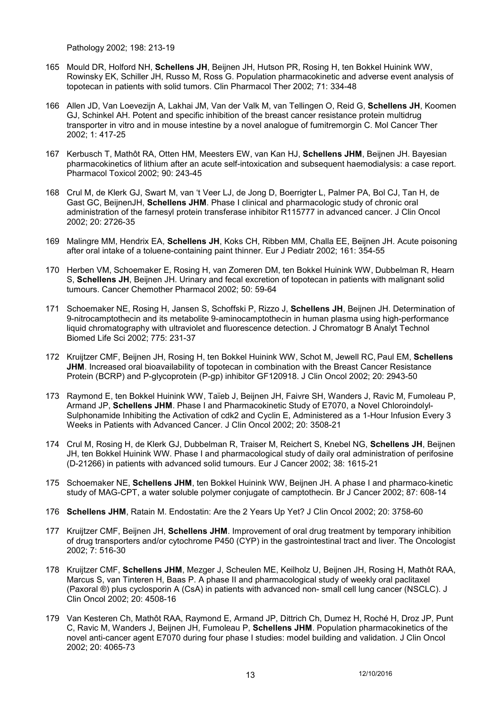Pathology 2002; 198: 213-19

- 165 Mould DR, Holford NH, **Schellens JH**, Beijnen JH, Hutson PR, Rosing H, ten Bokkel Huinink WW, Rowinsky EK, Schiller JH, Russo M, Ross G. Population pharmacokinetic and adverse event analysis of topotecan in patients with solid tumors. Clin Pharmacol Ther 2002; 71: 334-48
- 166 Allen JD, Van Loevezijn A, Lakhai JM, Van der Valk M, van Tellingen O, Reid G, **Schellens JH**, Koomen GJ, Schinkel AH. Potent and specific inhibition of the breast cancer resistance protein multidrug transporter in vitro and in mouse intestine by a novel analogue of fumitremorgin C. Mol Cancer Ther 2002; 1: 417-25
- 167 Kerbusch T, Mathôt RA, Otten HM, Meesters EW, van Kan HJ, **Schellens JHM**, Beijnen JH. Bayesian pharmacokinetics of lithium after an acute self-intoxication and subsequent haemodialysis: a case report. Pharmacol Toxicol 2002; 90: 243-45
- 168 Crul M, de Klerk GJ, Swart M, van 't Veer LJ, de Jong D, Boerrigter L, Palmer PA, Bol CJ, Tan H, de Gast GC, BeijnenJH, **Schellens JHM**. Phase I clinical and pharmacologic study of chronic oral administration of the farnesyl protein transferase inhibitor R115777 in advanced cancer. J Clin Oncol 2002; 20: 2726-35
- 169 Malingre MM, Hendrix EA, **Schellens JH**, Koks CH, Ribben MM, Challa EE, Beijnen JH. Acute poisoning after oral intake of a toluene-containing paint thinner. Eur J Pediatr 2002; 161: 354-55
- 170 Herben VM, Schoemaker E, Rosing H, van Zomeren DM, ten Bokkel Huinink WW, Dubbelman R, Hearn S, **Schellens JH**, Beijnen JH. Urinary and fecal excretion of topotecan in patients with malignant solid tumours. Cancer Chemother Pharmacol 2002; 50: 59-64
- 171 Schoemaker NE, Rosing H, Jansen S, Schoffski P, Rizzo J, **Schellens JH**, Beijnen JH. Determination of 9-nitrocamptothecin and its metabolite 9-aminocamptothecin in human plasma using high-performance liquid chromatography with ultraviolet and fluorescence detection. J Chromatogr B Analyt Technol Biomed Life Sci 2002; 775: 231-37
- 172 Kruijtzer CMF, Beijnen JH, Rosing H, ten Bokkel Huinink WW, Schot M, Jewell RC, Paul EM, **Schellens JHM**. Increased oral bioavailability of topotecan in combination with the Breast Cancer Resistance Protein (BCRP) and P-glycoprotein (P-gp) inhibitor GF120918. J Clin Oncol 2002; 20: 2943-50
- 173 Raymond E, ten Bokkel Huinink WW, Taïeb J, Beijnen JH, Faivre SH, Wanders J, Ravic M, Fumoleau P, Armand JP, **Schellens JHM**. Phase I and Pharmacokinetic Study of E7070, a Novel Chloroindolyl-Sulphonamide Inhibiting the Activation of cdk2 and Cyclin E, Administered as a 1-Hour Infusion Every 3 Weeks in Patients with Advanced Cancer. J Clin Oncol 2002; 20: 3508-21
- 174 Crul M, Rosing H, de Klerk GJ, Dubbelman R, Traiser M, Reichert S, Knebel NG, **Schellens JH**, Beijnen JH, ten Bokkel Huinink WW. Phase I and pharmacological study of daily oral administration of perifosine (D-21266) in patients with advanced solid tumours. Eur J Cancer 2002; 38: 1615-21
- 175 Schoemaker NE, **Schellens JHM**, ten Bokkel Huinink WW, Beijnen JH. A phase I and pharmaco-kinetic study of MAG-CPT, a water soluble polymer conjugate of camptothecin. Br J Cancer 2002; 87: 608-14
- 176 **Schellens JHM**, Ratain M. Endostatin: Are the 2 Years Up Yet? J Clin Oncol 2002; 20: 3758-60
- 177 Kruijtzer CMF, Beijnen JH, **Schellens JHM**. Improvement of oral drug treatment by temporary inhibition of drug transporters and/or cytochrome P450 (CYP) in the gastrointestinal tract and liver. The Oncologist 2002; 7: 516-30
- 178 Kruijtzer CMF, **Schellens JHM**, Mezger J, Scheulen ME, Keilholz U, Beijnen JH, Rosing H, Mathôt RAA, Marcus S, van Tinteren H, Baas P. A phase II and pharmacological study of weekly oral paclitaxel (Paxoral ®) plus cyclosporin A (CsA) in patients with advanced non- small cell lung cancer (NSCLC). J Clin Oncol 2002; 20: 4508-16
- 179 Van Kesteren Ch, Mathôt RAA, Raymond E, Armand JP, Dittrich Ch, Dumez H, Roché H, Droz JP, Punt C, Ravic M, Wanders J, Beijnen JH, Fumoleau P, **Schellens JHM**. Population pharmacokinetics of the novel anti-cancer agent E7070 during four phase I studies: model building and validation. J Clin Oncol 2002; 20: 4065-73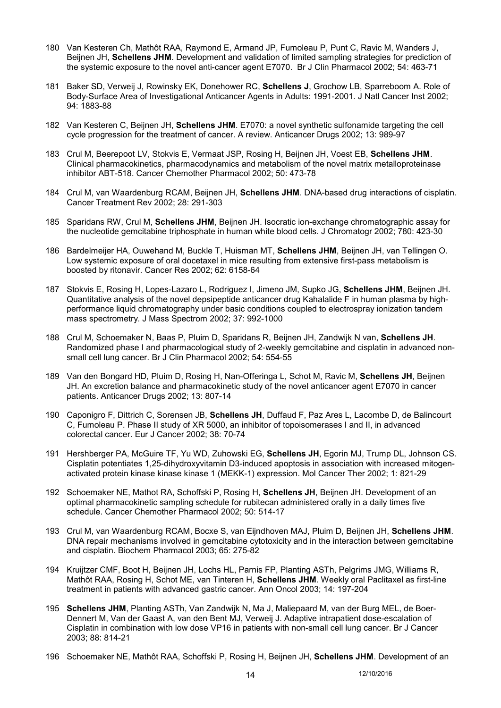- 180 Van Kesteren Ch, Mathôt RAA, Raymond E, Armand JP, Fumoleau P, Punt C, Ravic M, Wanders J, Beijnen JH, **Schellens JHM**. Development and validation of limited sampling strategies for prediction of the systemic exposure to the novel anti-cancer agent E7070. Br J Clin Pharmacol 2002; 54: 463-71
- 181 Baker SD, Verweij J, Rowinsky EK, Donehower RC, **Schellens J**, Grochow LB, Sparreboom A. Role of Body-Surface Area of Investigational Anticancer Agents in Adults: 1991-2001. J Natl Cancer Inst 2002; 94: 1883-88
- 182 Van Kesteren C, Beijnen JH, **Schellens JHM**. E7070: a novel synthetic sulfonamide targeting the cell cycle progression for the treatment of cancer. A review. Anticancer Drugs 2002; 13: 989-97
- 183 Crul M, Beerepoot LV, Stokvis E, Vermaat JSP, Rosing H, Beijnen JH, Voest EB, **Schellens JHM**. Clinical pharmacokinetics, pharmacodynamics and metabolism of the novel matrix metalloproteinase inhibitor ABT-518. Cancer Chemother Pharmacol 2002; 50: 473-78
- 184 Crul M, van Waardenburg RCAM, Beijnen JH, **Schellens JHM**. DNA-based drug interactions of cisplatin. Cancer Treatment Rev 2002; 28: 291-303
- 185 Sparidans RW, Crul M, **Schellens JHM**, Beijnen JH. Isocratic ion-exchange chromatographic assay for the nucleotide gemcitabine triphosphate in human white blood cells. J Chromatogr 2002; 780: 423-30
- 186 Bardelmeijer HA, Ouwehand M, Buckle T, Huisman MT, **Schellens JHM**, Beijnen JH, van Tellingen O. Low systemic exposure of oral docetaxel in mice resulting from extensive first-pass metabolism is boosted by ritonavir. Cancer Res 2002; 62: 6158-64
- 187 Stokvis E, Rosing H, Lopes-Lazaro L, Rodriguez I, Jimeno JM, Supko JG, **Schellens JHM**, Beijnen JH. Quantitative analysis of the novel depsipeptide anticancer drug Kahalalide F in human plasma by highperformance liquid chromatography under basic conditions coupled to electrospray ionization tandem mass spectrometry. J Mass Spectrom 2002; 37: 992-1000
- 188 Crul M, Schoemaker N, Baas P, Pluim D, Sparidans R, Beijnen JH, Zandwijk N van, **Schellens JH**. Randomized phase I and pharmacological study of 2-weekly gemcitabine and cisplatin in advanced nonsmall cell lung cancer. Br J Clin Pharmacol 2002; 54: 554-55
- 189 Van den Bongard HD, Pluim D, Rosing H, Nan-Offeringa L, Schot M, Ravic M, **Schellens JH**, Beijnen JH. An excretion balance and pharmacokinetic study of the novel anticancer agent E7070 in cancer patients. Anticancer Drugs 2002; 13: 807-14
- 190 Caponigro F, Dittrich C, Sorensen JB, **Schellens JH**, Duffaud F, Paz Ares L, Lacombe D, de Balincourt C, Fumoleau P. Phase II study of XR 5000, an inhibitor of topoisomerases I and II, in advanced colorectal cancer. Eur J Cancer 2002; 38: 70-74
- 191 Hershberger PA, McGuire TF, Yu WD, Zuhowski EG, **Schellens JH**, Egorin MJ, Trump DL, Johnson CS. Cisplatin potentiates 1,25-dihydroxyvitamin D3-induced apoptosis in association with increased mitogenactivated protein kinase kinase kinase 1 (MEKK-1) expression. Mol Cancer Ther 2002; 1: 821-29
- 192 Schoemaker NE, Mathot RA, Schoffski P, Rosing H, **Schellens JH**, Beijnen JH. Development of an optimal pharmacokinetic sampling schedule for rubitecan administered orally in a daily times five schedule. Cancer Chemother Pharmacol 2002; 50: 514-17
- 193 Crul M, van Waardenburg RCAM, Bocxe S, van Eijndhoven MAJ, Pluim D, Beijnen JH, **Schellens JHM**. DNA repair mechanisms involved in gemcitabine cytotoxicity and in the interaction between gemcitabine and cisplatin. Biochem Pharmacol 2003; 65: 275-82
- 194 Kruijtzer CMF, Boot H, Beijnen JH, Lochs HL, Parnis FP, Planting ASTh, Pelgrims JMG, Williams R, Mathôt RAA, Rosing H, Schot ME, van Tinteren H, **Schellens JHM**. Weekly oral Paclitaxel as first-line treatment in patients with advanced gastric cancer. Ann Oncol 2003; 14: 197-204
- 195 **Schellens JHM**, Planting ASTh, Van Zandwijk N, Ma J, Maliepaard M, van der Burg MEL, de Boer-Dennert M, Van der Gaast A, van den Bent MJ, Verweij J. Adaptive intrapatient dose-escalation of Cisplatin in combination with low dose VP16 in patients with non-small cell lung cancer. Br J Cancer 2003; 88: 814-21
- 196 Schoemaker NE, Mathôt RAA, Schoffski P, Rosing H, Beijnen JH, **Schellens JHM**. Development of an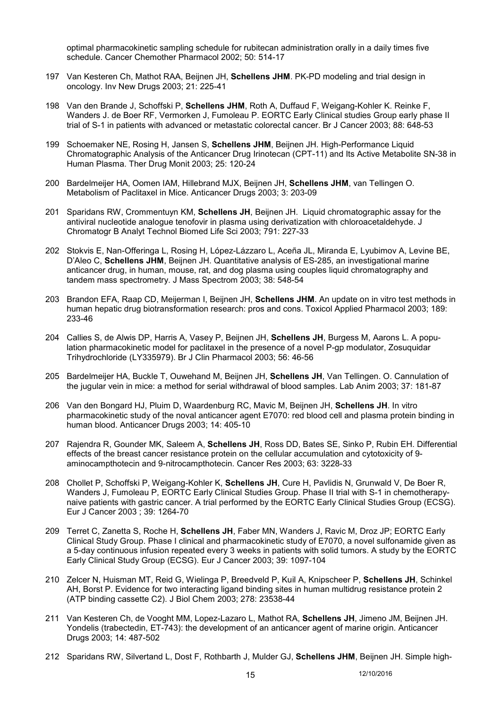optimal pharmacokinetic sampling schedule for rubitecan administration orally in a daily times five schedule. Cancer Chemother Pharmacol 2002; 50: 514-17

- 197 Van Kesteren Ch, Mathot RAA, Beijnen JH, **Schellens JHM**. PK-PD modeling and trial design in oncology. Inv New Drugs 2003; 21: 225-41
- 198 Van den Brande J, Schoffski P, **Schellens JHM**, Roth A, Duffaud F, Weigang-Kohler K. Reinke F, Wanders J. de Boer RF, Vermorken J, Fumoleau P. EORTC Early Clinical studies Group early phase II trial of S-1 in patients with advanced or metastatic colorectal cancer. Br J Cancer 2003; 88: 648-53
- 199 Schoemaker NE, Rosing H, Jansen S, **Schellens JHM**, Beijnen JH. High-Performance Liquid Chromatographic Analysis of the Anticancer Drug Irinotecan (CPT-11) and Its Active Metabolite SN-38 in Human Plasma. Ther Drug Monit 2003; 25: 120-24
- 200 Bardelmeijer HA, Oomen IAM, Hillebrand MJX, Beijnen JH, **Schellens JHM**, van Tellingen O. Metabolism of Paclitaxel in Mice. Anticancer Drugs 2003; 3: 203-09
- 201 Sparidans RW, Crommentuyn KM, **Schellens JH**, Beijnen JH. Liquid chromatographic assay for the antiviral nucleotide analogue tenofovir in plasma using derivatization with chloroacetaldehyde. J Chromatogr B Analyt Technol Biomed Life Sci 2003; 791: 227-33
- 202 Stokvis E, Nan-Offeringa L, Rosing H, López-Lázzaro L, Aceña JL, Miranda E, Lyubimov A, Levine BE, D'Aleo C, **Schellens JHM**, Beijnen JH. Quantitative analysis of ES-285, an investigational marine anticancer drug, in human, mouse, rat, and dog plasma using couples liquid chromatography and tandem mass spectrometry. J Mass Spectrom 2003; 38: 548-54
- 203 Brandon EFA, Raap CD, Meijerman I, Beijnen JH, **Schellens JHM**. An update on in vitro test methods in human hepatic drug biotransformation research: pros and cons. Toxicol Applied Pharmacol 2003; 189: 233-46
- 204 Callies S, de Alwis DP, Harris A, Vasey P, Beijnen JH, **Schellens JH**, Burgess M, Aarons L. A population pharmacokinetic model for paclitaxel in the presence of a novel P-gp modulator, Zosuquidar Trihydrochloride (LY335979). Br J Clin Pharmacol 2003; 56: 46-56
- 205 Bardelmeijer HA, Buckle T, Ouwehand M, Beijnen JH, **Schellens JH**, Van Tellingen. O. Cannulation of the jugular vein in mice: a method for serial withdrawal of blood samples. Lab Anim 2003; 37: 181-87
- 206 Van den Bongard HJ, Pluim D, Waardenburg RC, Mavic M, Beijnen JH, **Schellens JH**. In vitro pharmacokinetic study of the noval anticancer agent E7070: red blood cell and plasma protein binding in human blood. Anticancer Drugs 2003; 14: 405-10
- 207 Rajendra R, Gounder MK, Saleem A, **Schellens JH**, Ross DD, Bates SE, Sinko P, Rubin EH. Differential effects of the breast cancer resistance protein on the cellular accumulation and cytotoxicity of 9 aminocampthotecin and 9-nitrocampthotecin. Cancer Res 2003; 63: 3228-33
- 208 Chollet P, Schoffski P, Weigang-Kohler K, **Schellens JH**, Cure H, Pavlidis N, Grunwald V, De Boer R, Wanders J, Fumoleau P, EORTC Early Clinical Studies Group. Phase II trial with S-1 in chemotherapynaive patients with gastric cancer. A trial performed by the EORTC Early Clinical Studies Group (ECSG). Eur J Cancer 2003 ; 39: 1264-70
- 209 Terret C, Zanetta S, Roche H, **Schellens JH**, Faber MN, Wanders J, Ravic M, Droz JP; EORTC Early Clinical Study Group. Phase I clinical and pharmacokinetic study of E7070, a novel sulfonamide given as a 5-day continuous infusion repeated every 3 weeks in patients with solid tumors. A study by the EORTC Early Clinical Study Group (ECSG). Eur J Cancer 2003; 39: 1097-104
- 210 Zelcer N, Huisman MT, Reid G, Wielinga P, Breedveld P, Kuil A, Knipscheer P, **Schellens JH**, Schinkel AH, Borst P. Evidence for two interacting ligand binding sites in human multidrug resistance protein 2 (ATP binding cassette C2). J Biol Chem 2003; 278: 23538-44
- 211 Van Kesteren Ch, de Vooght MM, Lopez-Lazaro L, Mathot RA, **Schellens JH**, Jimeno JM, Beijnen JH. Yondelis (trabectedin, ET-743): the development of an anticancer agent of marine origin. Anticancer Drugs 2003; 14: 487-502
- 212 Sparidans RW, Silvertand L, Dost F, Rothbarth J, Mulder GJ, **Schellens JHM**, Beijnen JH. Simple high-

15 12/10/2016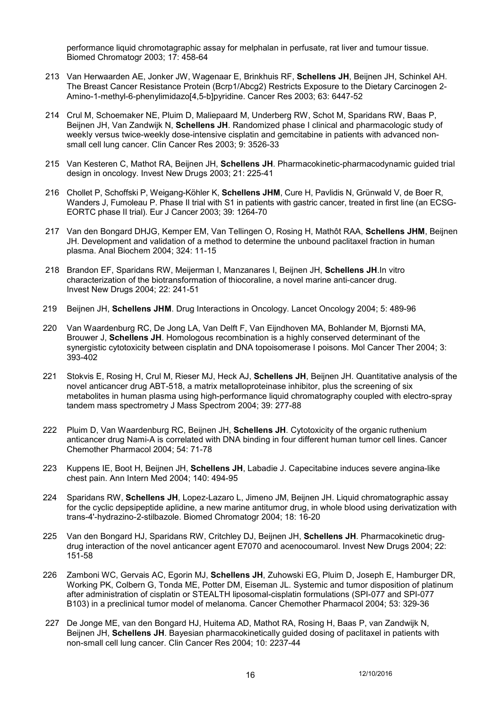performance liquid chromotagraphic assay for melphalan in perfusate, rat liver and tumour tissue. Biomed Chromatogr 2003; 17: 458-64

- 213 Van Herwaarden AE, Jonker JW, Wagenaar E, Brinkhuis RF, **Schellens JH**, Beijnen JH, Schinkel AH. The Breast Cancer Resistance Protein (Bcrp1/Abcg2) Restricts Exposure to the Dietary Carcinogen 2- Amino-1-methyl-6-phenylimidazo[4,5-b]pyridine. Cancer Res 2003; 63: 6447-52
- 214 Crul M, Schoemaker NE, Pluim D, Maliepaard M, Underberg RW, Schot M, Sparidans RW, Baas P, Beijnen JH, Van Zandwijk N, **Schellens JH**. Randomized phase I clinical and pharmacologic study of weekly versus twice-weekly dose-intensive cisplatin and gemcitabine in patients with advanced nonsmall cell lung cancer. Clin Cancer Res 2003; 9: 3526-33
- 215 Van Kesteren C, Mathot RA, Beijnen JH, **Schellens JH**. Pharmacokinetic-pharmacodynamic guided trial design in oncology. Invest New Drugs 2003; 21: 225-41
- 216 Chollet P, Schoffski P, Weigang-Köhler K, **Schellens JHM**, Cure H, Pavlidis N, Grünwald V, de Boer R, Wanders J, Fumoleau P. Phase II trial with S1 in patients with gastric cancer, treated in first line (an ECSG-EORTC phase II trial). Eur J Cancer 2003; 39: 1264-70
- 217 Van den Bongard DHJG, Kemper EM, Van Tellingen O, Rosing H, Mathôt RAA, **Schellens JHM**, Beijnen JH. Development and validation of a method to determine the unbound paclitaxel fraction in human plasma. Anal Biochem 2004; 324: 11-15
- 218 Brandon EF, Sparidans RW, Meijerman I, Manzanares I, Beijnen JH, **Schellens JH**.In vitro characterization of the biotransformation of thiocoraline, a novel marine anti-cancer drug. Invest New Drugs 2004; 22: 241-51
- 219 Beijnen JH, **Schellens JHM**. Drug Interactions in Oncology. Lancet Oncology 2004; 5: 489-96
- 220 Van Waardenburg RC, De Jong LA, Van Delft F, Van Eijndhoven MA, Bohlander M, Bjornsti MA, Brouwer J, **Schellens JH**. Homologous recombination is a highly conserved determinant of the synergistic cytotoxicity between cisplatin and DNA topoisomerase I poisons. Mol Cancer Ther 2004; 3: 393-402
- 221 Stokvis E, Rosing H, Crul M, Rieser MJ, Heck AJ, **Schellens JH**, Beijnen JH. Quantitative analysis of the novel anticancer drug ABT-518, a matrix metalloproteinase inhibitor, plus the screening of six metabolites in human plasma using high-performance liquid chromatography coupled with electro-spray tandem mass spectrometry J Mass Spectrom 2004; 39: 277-88
- 222 Pluim D, Van Waardenburg RC, Beijnen JH, **Schellens JH**. Cytotoxicity of the organic ruthenium anticancer drug Nami-A is correlated with DNA binding in four different human tumor cell lines. Cancer Chemother Pharmacol 2004; 54: 71-78
- 223 Kuppens IE, Boot H, Beijnen JH, **Schellens JH**, Labadie J. Capecitabine induces severe angina-like chest pain. Ann Intern Med 2004; 140: 494-95
- 224 Sparidans RW, **Schellens JH**, Lopez-Lazaro L, Jimeno JM, Beijnen JH. Liquid chromatographic assay for the cyclic depsipeptide aplidine, a new marine antitumor drug, in whole blood using derivatization with trans-4'-hydrazino-2-stilbazole. Biomed Chromatogr 2004; 18: 16-20
- 225 Van den Bongard HJ, Sparidans RW, Critchley DJ, Beijnen JH, **Schellens JH**. Pharmacokinetic drugdrug interaction of the novel anticancer agent E7070 and acenocoumarol. Invest New Drugs 2004; 22: 151-58
- 226 Zamboni WC, Gervais AC, Egorin MJ, **Schellens JH**, Zuhowski EG, Pluim D, Joseph E, Hamburger DR, Working PK, Colbern G, Tonda ME, Potter DM, Eiseman JL. Systemic and tumor disposition of platinum after administration of cisplatin or STEALTH liposomal-cisplatin formulations (SPI-077 and SPI-077 B103) in a preclinical tumor model of melanoma. Cancer Chemother Pharmacol 2004; 53: 329-36
- 227 De Jonge ME, van den Bongard HJ, Huitema AD, Mathot RA, Rosing H, Baas P, van Zandwijk N, Beijnen JH, **Schellens JH**. Bayesian pharmacokinetically guided dosing of paclitaxel in patients with non-small cell lung cancer. Clin Cancer Res 2004; 10: 2237-44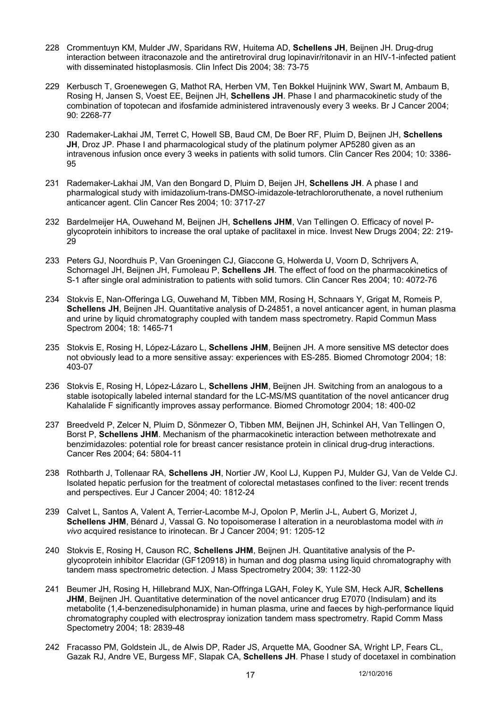- 228 Crommentuyn KM, Mulder JW, Sparidans RW, Huitema AD, **Schellens JH**, Beijnen JH. Drug-drug interaction between itraconazole and the antiretroviral drug lopinavir/ritonavir in an HIV-1-infected patient with disseminated histoplasmosis. Clin Infect Dis 2004; 38: 73-75
- 229 Kerbusch T, Groenewegen G, Mathot RA, Herben VM, Ten Bokkel Huijnink WW, Swart M, Ambaum B, Rosing H, Jansen S, Voest EE, Beijnen JH, **Schellens JH**. Phase I and pharmacokinetic study of the combination of topotecan and ifosfamide administered intravenously every 3 weeks. Br J Cancer 2004; 90: 2268-77
- 230 Rademaker-Lakhai JM, Terret C, Howell SB, Baud CM, De Boer RF, Pluim D, Beijnen JH, **Schellens JH**. Droz JP. Phase I and pharmacological study of the platinum polymer AP5280 given as an intravenous infusion once every 3 weeks in patients with solid tumors. Clin Cancer Res 2004; 10: 3386- 95
- 231 Rademaker-Lakhai JM, Van den Bongard D, Pluim D, Beijen JH, **Schellens JH**. A phase I and pharmalogical study with imidazolium-trans-DMSO-imidazole-tetrachlororuthenate, a novel ruthenium anticancer agent. Clin Cancer Res 2004; 10: 3717-27
- 232 Bardelmeijer HA, Ouwehand M, Beijnen JH, **Schellens JHM**, Van Tellingen O. Efficacy of novel Pglycoprotein inhibitors to increase the oral uptake of paclitaxel in mice. Invest New Drugs 2004: 22: 219-29
- 233 Peters GJ, Noordhuis P, Van Groeningen CJ, Giaccone G, Holwerda U, Voorn D, Schrijvers A, Schornagel JH, Beijnen JH, Fumoleau P, **Schellens JH**. The effect of food on the pharmacokinetics of S-1 after single oral administration to patients with solid tumors. Clin Cancer Res 2004; 10: 4072-76
- 234 Stokvis E, Nan-Offeringa LG, Ouwehand M, Tibben MM, Rosing H, Schnaars Y, Grigat M, Romeis P, **Schellens JH**, Beijnen JH. Quantitative analysis of D-24851, a novel anticancer agent, in human plasma and urine by liquid chromatography coupled with tandem mass spectrometry. Rapid Commun Mass Spectrom 2004; 18: 1465-71
- 235 Stokvis E, Rosing H, López-Lázaro L, **Schellens JHM**, Beijnen JH. A more sensitive MS detector does not obviously lead to a more sensitive assay: experiences with ES-285. Biomed Chromotogr 2004; 18: 403-07
- 236 Stokvis E, Rosing H, López-Lázaro L, **Schellens JHM**, Beijnen JH. Switching from an analogous to a stable isotopically labeled internal standard for the LC-MS/MS quantitation of the novel anticancer drug Kahalalide F significantly improves assay performance. Biomed Chromotogr 2004; 18: 400-02
- 237 Breedveld P, Zelcer N, Pluim D, Sönmezer O, Tibben MM, Beijnen JH, Schinkel AH, Van Tellingen O, Borst P, **Schellens JHM**. Mechanism of the pharmacokinetic interaction between methotrexate and benzimidazoles: potential role for breast cancer resistance protein in clinical drug-drug interactions. Cancer Res 2004; 64: 5804-11
- 238 Rothbarth J, Tollenaar RA, **Schellens JH**, Nortier JW, Kool LJ, Kuppen PJ, Mulder GJ, Van de Velde CJ. Isolated hepatic perfusion for the treatment of colorectal metastases confined to the liver: recent trends and perspectives. Eur J Cancer 2004; 40: 1812-24
- 239 Calvet L, Santos A, Valent A, Terrier-Lacombe M-J, Opolon P, Merlin J-L, Aubert G, Morizet J, **Schellens JHM**, Bénard J, Vassal G. No topoisomerase I alteration in a neuroblastoma model with *in vivo* acquired resistance to irinotecan. Br J Cancer 2004; 91: 1205-12
- 240 Stokvis E, Rosing H, Causon RC, **Schellens JHM**, Beijnen JH. Quantitative analysis of the Pglycoprotein inhibitor Elacridar (GF120918) in human and dog plasma using liquid chromatography with tandem mass spectrometric detection. J Mass Spectrometry 2004; 39: 1122-30
- 241 Beumer JH, Rosing H, Hillebrand MJX, Nan-Offringa LGAH, Foley K, Yule SM, Heck AJR, **Schellens JHM**, Beijnen JH. Quantitative determination of the novel anticancer drug E7070 (Indisulam) and its metabolite (1,4-benzenedisulphonamide) in human plasma, urine and faeces by high-performance liquid chromatography coupled with electrospray ionization tandem mass spectrometry. Rapid Comm Mass Spectometry 2004; 18: 2839-48
- 242 Fracasso PM, Goldstein JL, de Alwis DP, Rader JS, Arquette MA, Goodner SA, Wright LP, Fears CL, Gazak RJ, Andre VE, Burgess MF, Slapak CA, **Schellens JH**. Phase I study of docetaxel in combination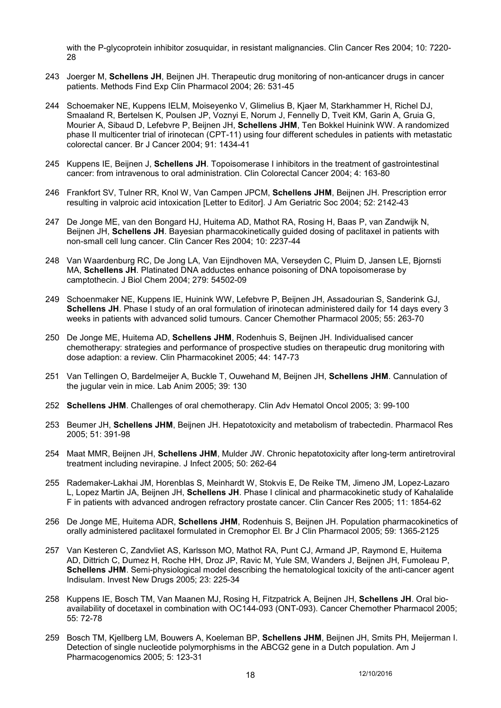with the P-glycoprotein inhibitor zosuquidar, in resistant malignancies. Clin Cancer Res 2004; 10: 7220-28

- 243 Joerger M, **Schellens JH**, Beijnen JH. Therapeutic drug monitoring of non-anticancer drugs in cancer patients. Methods Find Exp Clin Pharmacol 2004; 26: 531-45
- 244 Schoemaker NE, Kuppens IELM, Moiseyenko V, Glimelius B, Kjaer M, Starkhammer H, Richel DJ, Smaaland R, Bertelsen K, Poulsen JP, Voznyi E, Norum J, Fennelly D, Tveit KM, Garin A, Gruia G, Mourier A, Sibaud D, Lefebvre P, Beijnen JH, **Schellens JHM**, Ten Bokkel Huinink WW. A randomized phase II multicenter trial of irinotecan (CPT-11) using four different schedules in patients with metastatic colorectal cancer. Br J Cancer 2004; 91: 1434-41
- 245 Kuppens IE, Beijnen J, **Schellens JH**. Topoisomerase I inhibitors in the treatment of gastrointestinal cancer: from intravenous to oral administration. Clin Colorectal Cancer 2004; 4: 163-80
- 246 Frankfort SV, Tulner RR, Knol W, Van Campen JPCM, **Schellens JHM**, Beijnen JH. Prescription error resulting in valproic acid intoxication [Letter to Editor]. J Am Geriatric Soc 2004; 52: 2142-43
- 247 De Jonge ME, van den Bongard HJ, Huitema AD, Mathot RA, Rosing H, Baas P, van Zandwijk N, Beijnen JH, **Schellens JH**. Bayesian pharmacokinetically guided dosing of paclitaxel in patients with non-small cell lung cancer. Clin Cancer Res 2004; 10: 2237-44
- 248 Van Waardenburg RC, De Jong LA, Van Eijndhoven MA, Verseyden C, Pluim D, Jansen LE, Bjornsti MA, **Schellens JH**. Platinated DNA adductes enhance poisoning of DNA topoisomerase by camptothecin. J Biol Chem 2004; 279: 54502-09
- 249 Schoenmaker NE, Kuppens IE, Huinink WW, Lefebvre P, Beijnen JH, Assadourian S, Sanderink GJ, **Schellens JH**. Phase I study of an oral formulation of irinotecan administered daily for 14 days every 3 weeks in patients with advanced solid tumours. Cancer Chemother Pharmacol 2005; 55: 263-70
- 250 De Jonge ME, Huitema AD, **Schellens JHM**, Rodenhuis S, Beijnen JH. Individualised cancer chemotherapy: strategies and performance of prospective studies on therapeutic drug monitoring with dose adaption: a review. Clin Pharmacokinet 2005; 44: 147-73
- 251 Van Tellingen O, Bardelmeijer A, Buckle T, Ouwehand M, Beijnen JH, **Schellens JHM**. Cannulation of the jugular vein in mice. Lab Anim 2005; 39: 130
- 252 **Schellens JHM**. Challenges of oral chemotherapy. Clin Adv Hematol Oncol 2005; 3: 99-100
- 253 Beumer JH, **Schellens JHM**, Beijnen JH. Hepatotoxicity and metabolism of trabectedin. Pharmacol Res 2005; 51: 391-98
- 254 Maat MMR, Beijnen JH, **Schellens JHM**, Mulder JW. Chronic hepatotoxicity after long-term antiretroviral treatment including nevirapine. J Infect 2005; 50: 262-64
- 255 Rademaker-Lakhai JM, Horenblas S, Meinhardt W, Stokvis E, De Reike TM, Jimeno JM, Lopez-Lazaro L, Lopez Martin JA, Beijnen JH, **Schellens JH**. Phase I clinical and pharmacokinetic study of Kahalalide F in patients with advanced androgen refractory prostate cancer. Clin Cancer Res 2005; 11: 1854-62
- 256 De Jonge ME, Huitema ADR, **Schellens JHM**, Rodenhuis S, Beijnen JH. Population pharmacokinetics of orally administered paclitaxel formulated in Cremophor El. Br J Clin Pharmacol 2005; 59: 1365-2125
- 257 Van Kesteren C, Zandvliet AS, Karlsson MO, Mathot RA, Punt CJ, Armand JP, Raymond E, Huitema AD, Dittrich C, Dumez H, Roche HH, Droz JP, Ravic M, Yule SM, Wanders J, Beijnen JH, Fumoleau P, **Schellens JHM**. Semi-physiological model describing the hematological toxicity of the anti-cancer agent Indisulam. Invest New Drugs 2005; 23: 225-34
- 258 Kuppens IE, Bosch TM, Van Maanen MJ, Rosing H, Fitzpatrick A, Beijnen JH, **Schellens JH**. Oral bioavailability of docetaxel in combination with OC144-093 (ONT-093). Cancer Chemother Pharmacol 2005; 55: 72-78
- 259 Bosch TM, Kjellberg LM, Bouwers A, Koeleman BP, **Schellens JHM**, Beijnen JH, Smits PH, Meijerman I. Detection of single nucleotide polymorphisms in the ABCG2 gene in a Dutch population. Am J Pharmacogenomics 2005; 5: 123-31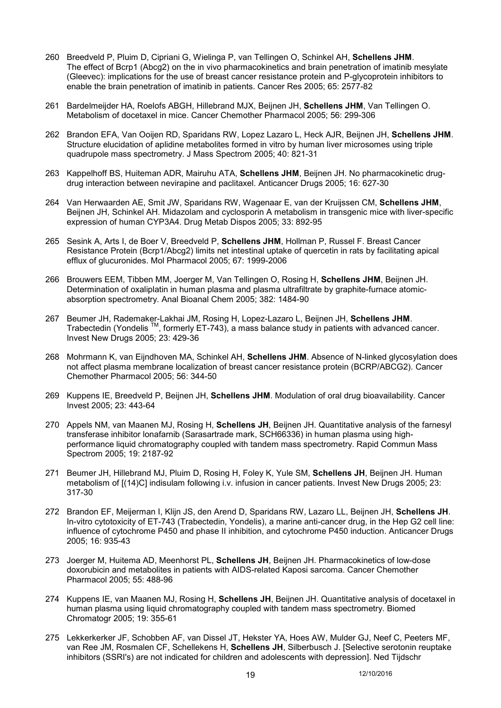- 260 Breedveld P, Pluim D, Cipriani G, Wielinga P, van Tellingen O, Schinkel AH, **Schellens JHM**. The effect of Bcrp1 (Abcg2) on the in vivo pharmacokinetics and brain penetration of imatinib mesylate (Gleevec): implications for the use of breast cancer resistance protein and P-glycoprotein inhibitors to enable the brain penetration of imatinib in patients. Cancer Res 2005; 65: 2577-82
- 261 Bardelmeijder HA, Roelofs ABGH, Hillebrand MJX, Beijnen JH, **Schellens JHM**, Van Tellingen O. Metabolism of docetaxel in mice. Cancer Chemother Pharmacol 2005; 56: 299-306
- 262 Brandon EFA, Van Ooijen RD, Sparidans RW, Lopez Lazaro L, Heck AJR, Beijnen JH, **Schellens JHM**. Structure elucidation of aplidine metabolites formed in vitro by human liver microsomes using triple quadrupole mass spectrometry. J Mass Spectrom 2005; 40: 821-31
- 263 Kappelhoff BS, Huiteman ADR, Mairuhu ATA, **Schellens JHM**, Beijnen JH. No pharmacokinetic drugdrug interaction between nevirapine and paclitaxel. Anticancer Drugs 2005; 16: 627-30
- 264 Van Herwaarden AE, Smit JW, Sparidans RW, Wagenaar E, van der Kruijssen CM, **Schellens JHM**, Beijnen JH, Schinkel AH. Midazolam and cyclosporin A metabolism in transgenic mice with liver-specific expression of human CYP3A4. Drug Metab Dispos 2005; 33: 892-95
- 265 Sesink A, Arts I, de Boer V, Breedveld P, **Schellens JHM**, Hollman P, Russel F. Breast Cancer Resistance Protein (Bcrp1/Abcg2) limits net intestinal uptake of quercetin in rats by facilitating apical efflux of glucuronides. Mol Pharmacol 2005; 67: 1999-2006
- 266 Brouwers EEM, Tibben MM, Joerger M, Van Tellingen O, Rosing H, **Schellens JHM**, Beijnen JH. Determination of oxaliplatin in human plasma and plasma ultrafiltrate by graphite-furnace atomicabsorption spectrometry. Anal Bioanal Chem 2005; 382: 1484-90
- 267 Beumer JH, Rademaker-Lakhai JM, Rosing H, Lopez-Lazaro L, Beijnen JH, **Schellens JHM**. Trabectedin (Yondelis TM, formerly ET-743), a mass balance study in patients with advanced cancer. Invest New Drugs 2005; 23: 429-36
- 268 Mohrmann K, van Eijndhoven MA, Schinkel AH, **Schellens JHM**. Absence of N-linked glycosylation does not affect plasma membrane localization of breast cancer resistance protein (BCRP/ABCG2). Cancer Chemother Pharmacol 2005; 56: 344-50
- 269 Kuppens IE, Breedveld P, Beijnen JH, **Schellens JHM**. Modulation of oral drug bioavailability. Cancer Invest 2005; 23: 443-64
- 270 Appels NM, van Maanen MJ, Rosing H, **Schellens JH**, Beijnen JH. Quantitative analysis of the farnesyl transferase inhibitor lonafarnib (Sarasartrade mark, SCH66336) in human plasma using highperformance liquid chromatography coupled with tandem mass spectrometry. Rapid Commun Mass Spectrom 2005; 19: 2187-92
- 271 Beumer JH, Hillebrand MJ, Pluim D, Rosing H, Foley K, Yule SM, **Schellens JH**, Beijnen JH. Human metabolism of [(14)C] indisulam following i.v. infusion in cancer patients. Invest New Drugs 2005; 23: 317-30
- 272 Brandon EF, Meijerman I, Klijn JS, den Arend D, Sparidans RW, Lazaro LL, Beijnen JH, **Schellens JH**. In-vitro cytotoxicity of ET-743 (Trabectedin, Yondelis), a marine anti-cancer drug, in the Hep G2 cell line: influence of cytochrome P450 and phase II inhibition, and cytochrome P450 induction. Anticancer Drugs 2005; 16: 935-43
- 273 Joerger M, Huitema AD, Meenhorst PL, **Schellens JH**, Beijnen JH. Pharmacokinetics of low-dose doxorubicin and metabolites in patients with AIDS-related Kaposi sarcoma. Cancer Chemother Pharmacol 2005; 55: 488-96
- 274 Kuppens IE, van Maanen MJ, Rosing H, **Schellens JH**, Beijnen JH. Quantitative analysis of docetaxel in human plasma using liquid chromatography coupled with tandem mass spectrometry. Biomed Chromatogr 2005; 19: 355-61
- 275 Lekkerkerker JF, Schobben AF, van Dissel JT, Hekster YA, Hoes AW, Mulder GJ, Neef C, Peeters MF, van Ree JM, Rosmalen CF, Schellekens H, **Schellens JH**, Silberbusch J. [Selective serotonin reuptake inhibitors (SSRI's) are not indicated for children and adolescents with depression]. Ned Tijdschr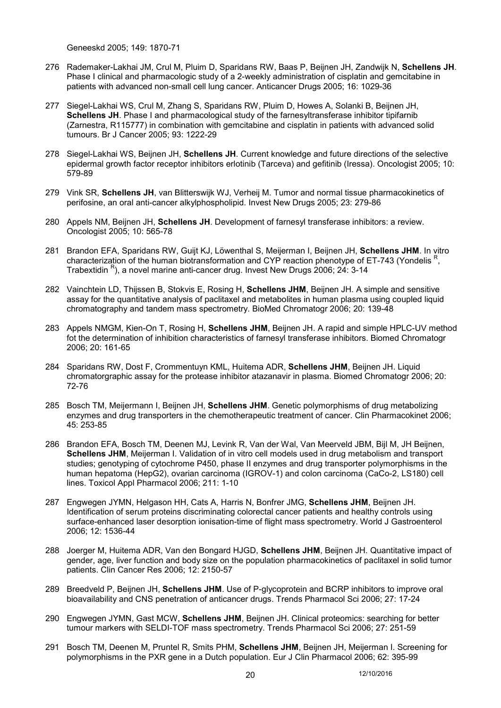Geneeskd 2005; 149: 1870-71

- 276 Rademaker-Lakhai JM, Crul M, Pluim D, Sparidans RW, Baas P, Beijnen JH, Zandwijk N, **Schellens JH**. Phase I clinical and pharmacologic study of a 2-weekly administration of cisplatin and gemcitabine in patients with advanced non-small cell lung cancer. Anticancer Drugs 2005; 16: 1029-36
- 277 Siegel-Lakhai WS, Crul M, Zhang S, Sparidans RW, Pluim D, Howes A, Solanki B, Beijnen JH, **Schellens JH**. Phase I and pharmacological study of the farnesyltransferase inhibitor tipifarnib (Zarnestra, R115777) in combination with gemcitabine and cisplatin in patients with advanced solid tumours. Br J Cancer 2005; 93: 1222-29
- 278 Siegel-Lakhai WS, Beijnen JH, **Schellens JH**. Current knowledge and future directions of the selective epidermal growth factor receptor inhibitors erlotinib (Tarceva) and gefitinib (Iressa). Oncologist 2005; 10: 579-89
- 279 Vink SR, **Schellens JH**, van Blitterswijk WJ, Verheij M. Tumor and normal tissue pharmacokinetics of perifosine, an oral anti-cancer alkylphospholipid. Invest New Drugs 2005; 23: 279-86
- 280 Appels NM, Beijnen JH, **Schellens JH**. Development of farnesyl transferase inhibitors: a review. Oncologist 2005; 10: 565-78
- 281 Brandon EFA, Sparidans RW, Guijt KJ, Löwenthal S, Meijerman I, Beijnen JH, **Schellens JHM**. In vitro characterization of the human biotransformation and CYP reaction phenotype of ET-743 (Yondelis R, Trabextidin <sup>R</sup>), a novel marine anti-cancer drug. Invest New Drugs 2006; 24: 3-14
- 282 Vainchtein LD, Thijssen B, Stokvis E, Rosing H, **Schellens JHM**, Beijnen JH. A simple and sensitive assay for the quantitative analysis of paclitaxel and metabolites in human plasma using coupled liquid chromatography and tandem mass spectrometry. BioMed Chromatogr 2006; 20: 139-48
- 283 Appels NMGM, Kien-On T, Rosing H, **Schellens JHM**, Beijnen JH. A rapid and simple HPLC-UV method fot the determination of inhibition characteristics of farnesyl transferase inhibitors. Biomed Chromatogr 2006; 20: 161-65
- 284 Sparidans RW, Dost F, Crommentuyn KML, Huitema ADR, **Schellens JHM**, Beijnen JH. Liquid chromatorgraphic assay for the protease inhibitor atazanavir in plasma. Biomed Chromatogr 2006; 20: 72-76
- 285 Bosch TM, Meijermann I, Beijnen JH, **Schellens JHM**. Genetic polymorphisms of drug metabolizing enzymes and drug transporters in the chemotherapeutic treatment of cancer. Clin Pharmacokinet 2006; 45: 253-85
- 286 Brandon EFA, Bosch TM, Deenen MJ, Levink R, Van der Wal, Van Meerveld JBM, Bijl M, JH Beijnen, **Schellens JHM**, Meijerman I. Validation of in vitro cell models used in drug metabolism and transport studies; genotyping of cytochrome P450, phase II enzymes and drug transporter polymorphisms in the human hepatoma (HepG2), ovarian carcinoma (IGROV-1) and colon carcinoma (CaCo-2, LS180) cell lines. Toxicol Appl Pharmacol 2006; 211: 1-10
- 287 Engwegen JYMN, Helgason HH, Cats A, Harris N, Bonfrer JMG, **Schellens JHM**, Beijnen JH. Identification of serum proteins discriminating colorectal cancer patients and healthy controls using surface-enhanced laser desorption ionisation-time of flight mass spectrometry. World J Gastroenterol 2006; 12: 1536-44
- 288 Joerger M, Huitema ADR, Van den Bongard HJGD, **Schellens JHM**, Beijnen JH. Quantitative impact of gender, age, liver function and body size on the population pharmacokinetics of paclitaxel in solid tumor patients. Clin Cancer Res 2006; 12: 2150-57
- 289 Breedveld P, Beijnen JH, **Schellens JHM**. Use of P-glycoprotein and BCRP inhibitors to improve oral bioavailability and CNS penetration of anticancer drugs. Trends Pharmacol Sci 2006; 27: 17-24
- 290 Engwegen JYMN, Gast MCW, **Schellens JHM**, Beijnen JH. Clinical proteomics: searching for better tumour markers with SELDI-TOF mass spectrometry. Trends Pharmacol Sci 2006; 27: 251-59
- 291 Bosch TM, Deenen M, Pruntel R, Smits PHM, **Schellens JHM**, Beijnen JH, Meijerman I. Screening for polymorphisms in the PXR gene in a Dutch population. Eur J Clin Pharmacol 2006; 62: 395-99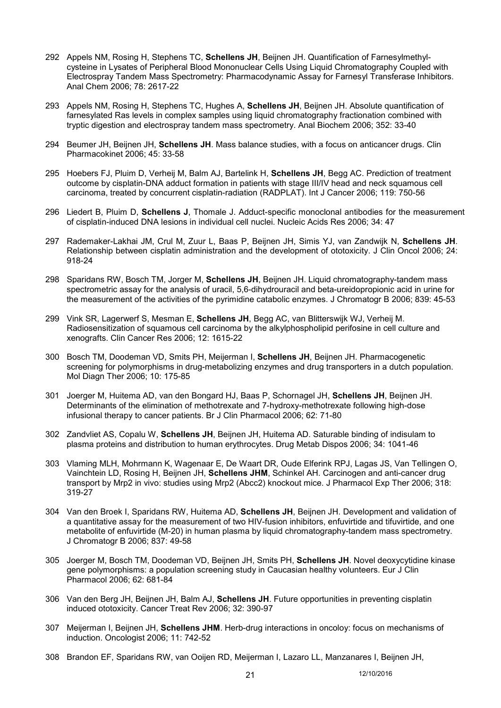- 292 Appels NM, Rosing H, Stephens TC, **Schellens JH**, Beijnen JH. Quantification of Farnesylmethylcysteine in Lysates of Peripheral Blood Mononuclear Cells Using Liquid Chromatography Coupled with Electrospray Tandem Mass Spectrometry: Pharmacodynamic Assay for Farnesyl Transferase Inhibitors. Anal Chem 2006; 78: 2617-22
- 293 Appels NM, Rosing H, Stephens TC, Hughes A, **Schellens JH**, Beijnen JH. Absolute quantification of farnesylated Ras levels in complex samples using liquid chromatography fractionation combined with tryptic digestion and electrospray tandem mass spectrometry. Anal Biochem 2006; 352: 33-40
- 294 Beumer JH, Beijnen JH, **Schellens JH**. Mass balance studies, with a focus on anticancer drugs. Clin Pharmacokinet 2006; 45: 33-58
- 295 Hoebers FJ, Pluim D, Verheij M, Balm AJ, Bartelink H, **Schellens JH**, Begg AC. Prediction of treatment outcome by cisplatin-DNA adduct formation in patients with stage III/IV head and neck squamous cell carcinoma, treated by concurrent cisplatin-radiation (RADPLAT). Int J Cancer 2006; 119: 750-56
- 296 Liedert B, Pluim D, **Schellens J**, Thomale J. Adduct-specific monoclonal antibodies for the measurement of cisplatin-induced DNA lesions in individual cell nuclei. Nucleic Acids Res 2006; 34: 47
- 297 Rademaker-Lakhai JM, Crul M, Zuur L, Baas P, Beijnen JH, Simis YJ, van Zandwijk N, **Schellens JH**. Relationship between cisplatin administration and the development of ototoxicity. J Clin Oncol 2006; 24: 918-24
- 298 Sparidans RW, Bosch TM, Jorger M, **Schellens JH**, Beijnen JH. Liquid chromatography-tandem mass spectrometric assay for the analysis of uracil, 5,6-dihydrouracil and beta-ureidopropionic acid in urine for the measurement of the activities of the pyrimidine catabolic enzymes. J Chromatogr B 2006; 839: 45-53
- 299 Vink SR, Lagerwerf S, Mesman E, **Schellens JH**, Begg AC, van Blitterswijk WJ, Verheij M. Radiosensitization of squamous cell carcinoma by the alkylphospholipid perifosine in cell culture and xenografts. Clin Cancer Res 2006; 12: 1615-22
- 300 Bosch TM, Doodeman VD, Smits PH, Meijerman I, **Schellens JH**, Beijnen JH. Pharmacogenetic screening for polymorphisms in drug-metabolizing enzymes and drug transporters in a dutch population. Mol Diagn Ther 2006; 10: 175-85
- 301 Joerger M, Huitema AD, van den Bongard HJ, Baas P, Schornagel JH, **Schellens JH**, Beijnen JH. Determinants of the elimination of methotrexate and 7-hydroxy-methotrexate following high-dose infusional therapy to cancer patients. Br J Clin Pharmacol 2006; 62: 71-80
- 302 Zandvliet AS, Copalu W, **Schellens JH**, Beijnen JH, Huitema AD. Saturable binding of indisulam to plasma proteins and distribution to human erythrocytes. Drug Metab Dispos 2006; 34: 1041-46
- 303 Vlaming MLH, Mohrmann K, Wagenaar E, De Waart DR, Oude Elferink RPJ, Lagas JS, Van Tellingen O, Vainchtein LD, Rosing H, Beijnen JH, **Schellens JHM**, Schinkel AH. Carcinogen and anti-cancer drug transport by Mrp2 in vivo: studies using Mrp2 (Abcc2) knockout mice. J Pharmacol Exp Ther 2006; 318: 319-27
- 304 Van den Broek I, Sparidans RW, Huitema AD, **Schellens JH**, Beijnen JH. Development and validation of a quantitative assay for the measurement of two HIV-fusion inhibitors, enfuvirtide and tifuvirtide, and one metabolite of enfuvirtide (M-20) in human plasma by liquid chromatography-tandem mass spectrometry. J Chromatogr B 2006; 837: 49-58
- 305 Joerger M, Bosch TM, Doodeman VD, Beijnen JH, Smits PH, **Schellens JH**. Novel deoxycytidine kinase gene polymorphisms: a population screening study in Caucasian healthy volunteers. Eur J Clin Pharmacol 2006; 62: 681-84
- 306 Van den Berg JH, Beijnen JH, Balm AJ, **Schellens JH**. Future opportunities in preventing cisplatin induced ototoxicity. Cancer Treat Rev 2006; 32: 390-97
- 307 Meijerman I, Beijnen JH, **Schellens JHM**. Herb-drug interactions in oncoloy: focus on mechanisms of induction. Oncologist 2006; 11: 742-52
- 308 Brandon EF, Sparidans RW, van Ooijen RD, Meijerman I, Lazaro LL, Manzanares I, Beijnen JH,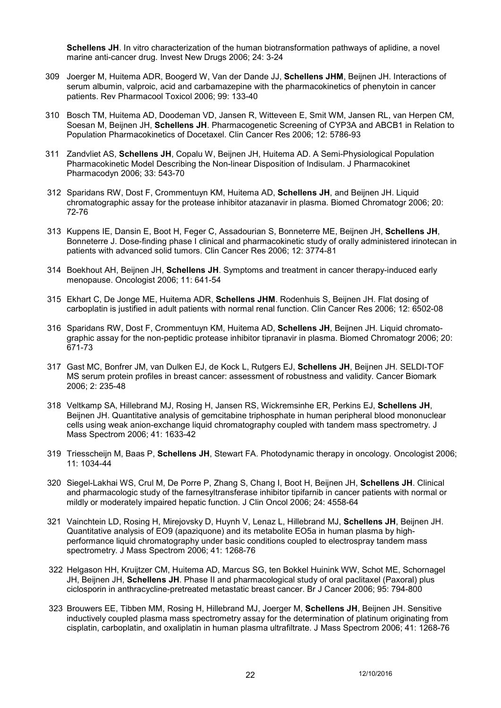**Schellens JH**. In vitro characterization of the human biotransformation pathways of aplidine, a novel marine anti-cancer drug. Invest New Drugs 2006; 24: 3-24

- 309 Joerger M, Huitema ADR, Boogerd W, Van der Dande JJ, **Schellens JHM**, Beijnen JH. Interactions of serum albumin, valproic, acid and carbamazepine with the pharmacokinetics of phenytoin in cancer patients. Rev Pharmacool Toxicol 2006; 99: 133-40
- 310 Bosch TM, Huitema AD, Doodeman VD, Jansen R, Witteveen E, Smit WM, Jansen RL, van Herpen CM, Soesan M, Beijnen JH, **Schellens JH**. Pharmacogenetic Screening of CYP3A and ABCB1 in Relation to Population Pharmacokinetics of Docetaxel. Clin Cancer Res 2006; 12: 5786-93
- 311 Zandvliet AS, **Schellens JH**, Copalu W, Beijnen JH, Huitema AD. A Semi-Physiological Population Pharmacokinetic Model Describing the Non-linear Disposition of Indisulam. J Pharmacokinet Pharmacodyn 2006; 33: 543-70
- 312 Sparidans RW, Dost F, Crommentuyn KM, Huitema AD, **Schellens JH**, and Beijnen JH. Liquid chromatographic assay for the protease inhibitor atazanavir in plasma. Biomed Chromatogr 2006; 20: 72-76
- 313 Kuppens IE, Dansin E, Boot H, Feger C, Assadourian S, Bonneterre ME, Beijnen JH, **Schellens JH**, Bonneterre J. Dose-finding phase I clinical and pharmacokinetic study of orally administered irinotecan in patients with advanced solid tumors. Clin Cancer Res 2006; 12: 3774-81
- 314 Boekhout AH, Beijnen JH, **Schellens JH**. Symptoms and treatment in cancer therapy-induced early menopause. Oncologist 2006; 11: 641-54
- 315 Ekhart C, De Jonge ME, Huitema ADR, **Schellens JHM**. Rodenhuis S, Beijnen JH. Flat dosing of carboplatin is justified in adult patients with normal renal function. Clin Cancer Res 2006; 12: 6502-08
- 316 Sparidans RW, Dost F, Crommentuyn KM, Huitema AD, **Schellens JH**, Beijnen JH. Liquid chromatographic assay for the non-peptidic protease inhibitor tipranavir in plasma. Biomed Chromatogr 2006; 20: 671-73
- 317 Gast MC, Bonfrer JM, van Dulken EJ, de Kock L, Rutgers EJ, **Schellens JH**, Beijnen JH. SELDI-TOF MS serum protein profiles in breast cancer: assessment of robustness and validity. Cancer Biomark 2006; 2: 235-48
- 318 Veltkamp SA, Hillebrand MJ, Rosing H, Jansen RS, Wickremsinhe ER, Perkins EJ, **Schellens JH**, Beijnen JH. Quantitative analysis of gemcitabine triphosphate in human peripheral blood mononuclear cells using weak anion-exchange liquid chromatography coupled with tandem mass spectrometry. J Mass Spectrom 2006; 41: 1633-42
- 319 Triesscheijn M, Baas P, **Schellens JH**, Stewart FA. Photodynamic therapy in oncology. Oncologist 2006; 11: 1034-44
- 320 Siegel-Lakhai WS, Crul M, De Porre P, Zhang S, Chang I, Boot H, Beijnen JH, **Schellens JH**. Clinical and pharmacologic study of the farnesyltransferase inhibitor tipifarnib in cancer patients with normal or mildly or moderately impaired hepatic function. J Clin Oncol 2006; 24: 4558-64
- 321 Vainchtein LD, Rosing H, Mirejovsky D, Huynh V, Lenaz L, Hillebrand MJ, **Schellens JH**, Beijnen JH. Quantitative analysis of EO9 (apaziquone) and its metabolite EO5a in human plasma by highperformance liquid chromatography under basic conditions coupled to electrospray tandem mass spectrometry. J Mass Spectrom 2006; 41: 1268-76
- 322 Helgason HH, Kruijtzer CM, Huitema AD, Marcus SG, ten Bokkel Huinink WW, Schot ME, Schornagel JH, Beijnen JH, **Schellens JH**. Phase II and pharmacological study of oral paclitaxel (Paxoral) plus ciclosporin in anthracycline-pretreated metastatic breast cancer. Br J Cancer 2006; 95: 794-800
- 323 Brouwers EE, Tibben MM, Rosing H, Hillebrand MJ, Joerger M, **Schellens JH**, Beijnen JH. Sensitive inductively coupled plasma mass spectrometry assay for the determination of platinum originating from cisplatin, carboplatin, and oxaliplatin in human plasma ultrafiltrate. J Mass Spectrom 2006; 41: 1268-76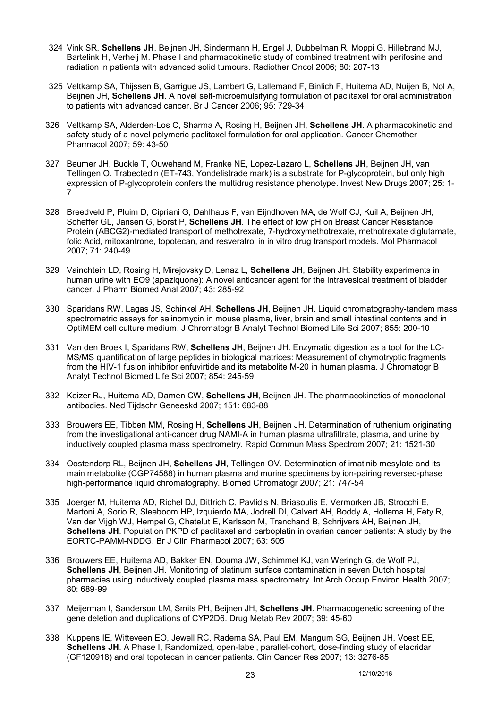- 324 Vink SR, **Schellens JH**, Beijnen JH, Sindermann H, Engel J, Dubbelman R, Moppi G, Hillebrand MJ, Bartelink H, Verheij M. Phase I and pharmacokinetic study of combined treatment with perifosine and radiation in patients with advanced solid tumours. Radiother Oncol 2006; 80: 207-13
- 325 Veltkamp SA, Thijssen B, Garrigue JS, Lambert G, Lallemand F, Binlich F, Huitema AD, Nuijen B, Nol A, Beijnen JH, **Schellens JH**. A novel self-microemulsifying formulation of paclitaxel for oral administration to patients with advanced cancer. Br J Cancer 2006; 95: 729-34
- 326 Veltkamp SA, Alderden-Los C, Sharma A, Rosing H, Beijnen JH, **Schellens JH**. A pharmacokinetic and safety study of a novel polymeric paclitaxel formulation for oral application. Cancer Chemother Pharmacol 2007; 59: 43-50
- 327 Beumer JH, Buckle T, Ouwehand M, Franke NE, Lopez-Lazaro L, **Schellens JH**, Beijnen JH, van Tellingen O. Trabectedin (ET-743, Yondelistrade mark) is a substrate for P-glycoprotein, but only high expression of P-glycoprotein confers the multidrug resistance phenotype. Invest New Drugs 2007; 25: 1- 7
- 328 Breedveld P, Pluim D, Cipriani G, Dahlhaus F, van Eijndhoven MA, de Wolf CJ, Kuil A, Beijnen JH, Scheffer GL, Jansen G, Borst P, **Schellens JH**. The effect of low pH on Breast Cancer Resistance Protein (ABCG2)-mediated transport of methotrexate, 7-hydroxymethotrexate, methotrexate diglutamate, folic Acid, mitoxantrone, topotecan, and resveratrol in in vitro drug transport models. Mol Pharmacol 2007; 71: 240-49
- 329 Vainchtein LD, Rosing H, Mirejovsky D, Lenaz L, **Schellens JH**, Beijnen JH. Stability experiments in human urine with EO9 (apaziquone): A novel anticancer agent for the intravesical treatment of bladder cancer. J Pharm Biomed Anal 2007; 43: 285-92
- 330 Sparidans RW, Lagas JS, Schinkel AH, **Schellens JH**, Beijnen JH. Liquid chromatography-tandem mass spectrometric assays for salinomycin in mouse plasma, liver, brain and small intestinal contents and in OptiMEM cell culture medium. J Chromatogr B Analyt Technol Biomed Life Sci 2007; 855: 200-10
- 331 Van den Broek I, Sparidans RW, **Schellens JH**, Beijnen JH. Enzymatic digestion as a tool for the LC-MS/MS quantification of large peptides in biological matrices: Measurement of chymotryptic fragments from the HIV-1 fusion inhibitor enfuvirtide and its metabolite M-20 in human plasma. J Chromatogr B Analyt Technol Biomed Life Sci 2007; 854: 245-59
- 332 Keizer RJ, Huitema AD, Damen CW, **Schellens JH**, Beijnen JH. The pharmacokinetics of monoclonal antibodies. Ned Tijdschr Geneeskd 2007; 151: 683-88
- 333 Brouwers EE, Tibben MM, Rosing H, **Schellens JH**, Beijnen JH. Determination of ruthenium originating from the investigational anti-cancer drug NAMI-A in human plasma ultrafiltrate, plasma, and urine by inductively coupled plasma mass spectrometry. Rapid Commun Mass Spectrom 2007; 21: 1521-30
- 334 Oostendorp RL, Beijnen JH, **Schellens JH**, Tellingen OV. Determination of imatinib mesylate and its main metabolite (CGP74588) in human plasma and murine specimens by ion-pairing reversed-phase high-performance liquid chromatography. Biomed Chromatogr 2007; 21: 747-54
- 335 Joerger M, Huitema AD, Richel DJ, Dittrich C, Pavlidis N, Briasoulis E, Vermorken JB, Strocchi E, Martoni A, Sorio R, Sleeboom HP, Izquierdo MA, Jodrell DI, Calvert AH, Boddy A, Hollema H, Fety R, Van der Vijgh WJ, Hempel G, Chatelut E, Karlsson M, Tranchand B, Schrijvers AH, Beijnen JH, **Schellens JH**. Population PKPD of paclitaxel and carboplatin in ovarian cancer patients: A study by the EORTC-PAMM-NDDG. Br J Clin Pharmacol 2007; 63: 505
- 336 Brouwers EE, Huitema AD, Bakker EN, Douma JW, Schimmel KJ, van Weringh G, de Wolf PJ, **Schellens JH**, Beijnen JH. Monitoring of platinum surface contamination in seven Dutch hospital pharmacies using inductively coupled plasma mass spectrometry. Int Arch Occup Environ Health 2007; 80: 689-99
- 337 Meijerman I, Sanderson LM, Smits PH, Beijnen JH, **Schellens JH**. Pharmacogenetic screening of the gene deletion and duplications of CYP2D6. Drug Metab Rev 2007; 39: 45-60
- 338 Kuppens IE, Witteveen EO, Jewell RC, Radema SA, Paul EM, Mangum SG, Beijnen JH, Voest EE, **Schellens JH**. A Phase I, Randomized, open-label, parallel-cohort, dose-finding study of elacridar (GF120918) and oral topotecan in cancer patients. Clin Cancer Res 2007; 13: 3276-85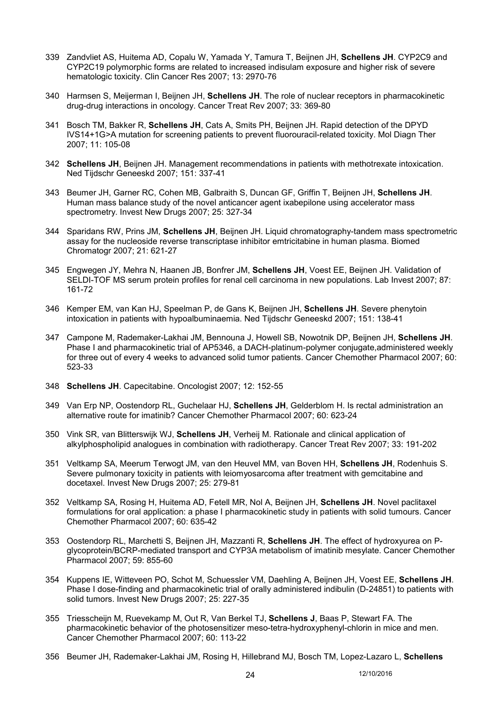- 339 Zandvliet AS, Huitema AD, Copalu W, Yamada Y, Tamura T, Beijnen JH, **Schellens JH**. CYP2C9 and CYP2C19 polymorphic forms are related to increased indisulam exposure and higher risk of severe hematologic toxicity. Clin Cancer Res 2007; 13: 2970-76
- 340 Harmsen S, Meijerman I, Beijnen JH, **Schellens JH**. The role of nuclear receptors in pharmacokinetic drug-drug interactions in oncology. Cancer Treat Rev 2007; 33: 369-80
- 341 Bosch TM, Bakker R, **Schellens JH**, Cats A, Smits PH, Beijnen JH. Rapid detection of the DPYD IVS14+1G>A mutation for screening patients to prevent fluorouracil-related toxicity. Mol Diagn Ther 2007; 11: 105-08
- 342 **Schellens JH**, Beijnen JH. Management recommendations in patients with methotrexate intoxication. Ned Tijdschr Geneeskd 2007; 151: 337-41
- 343 Beumer JH, Garner RC, Cohen MB, Galbraith S, Duncan GF, Griffin T, Beijnen JH, **Schellens JH**. Human mass balance study of the novel anticancer agent ixabepilone using accelerator mass spectrometry. Invest New Drugs 2007; 25: 327-34
- 344 Sparidans RW, Prins JM, **Schellens JH**, Beijnen JH. Liquid chromatography-tandem mass spectrometric assay for the nucleoside reverse transcriptase inhibitor emtricitabine in human plasma. Biomed Chromatogr 2007; 21: 621-27
- 345 Engwegen JY, Mehra N, Haanen JB, Bonfrer JM, **Schellens JH**, Voest EE, Beijnen JH. Validation of SELDI-TOF MS serum protein profiles for renal cell carcinoma in new populations. Lab Invest 2007; 87: 161-72
- 346 Kemper EM, van Kan HJ, Speelman P, de Gans K, Beijnen JH, **Schellens JH**. Severe phenytoin intoxication in patients with hypoalbuminaemia. Ned Tijdschr Geneeskd 2007; 151: 138-41
- 347 Campone M, Rademaker-Lakhai JM, Bennouna J, Howell SB, Nowotnik DP, Beijnen JH, **Schellens JH**. Phase I and pharmacokinetic trial of AP5346, a DACH-platinum-polymer conjugate,administered weekly for three out of every 4 weeks to advanced solid tumor patients. Cancer Chemother Pharmacol 2007; 60: 523-33
- 348 **Schellens JH**. Capecitabine. Oncologist 2007; 12: 152-55
- 349 Van Erp NP, Oostendorp RL, Guchelaar HJ, **Schellens JH**, Gelderblom H. Is rectal administration an alternative route for imatinib? Cancer Chemother Pharmacol 2007; 60: 623-24
- 350 Vink SR, van Blitterswijk WJ, **Schellens JH**, Verheij M. Rationale and clinical application of alkylphospholipid analogues in combination with radiotherapy. Cancer Treat Rev 2007; 33: 191-202
- 351 Veltkamp SA, Meerum Terwogt JM, van den Heuvel MM, van Boven HH, **Schellens JH**, Rodenhuis S. Severe pulmonary toxicity in patients with leiomyosarcoma after treatment with gemcitabine and docetaxel. Invest New Drugs 2007; 25: 279-81
- 352 Veltkamp SA, Rosing H, Huitema AD, Fetell MR, Nol A, Beijnen JH, **Schellens JH**. Novel paclitaxel formulations for oral application: a phase I pharmacokinetic study in patients with solid tumours. Cancer Chemother Pharmacol 2007; 60: 635-42
- 353 Oostendorp RL, Marchetti S, Beijnen JH, Mazzanti R, **Schellens JH**. The effect of hydroxyurea on Pglycoprotein/BCRP-mediated transport and CYP3A metabolism of imatinib mesylate. Cancer Chemother Pharmacol 2007; 59: 855-60
- 354 Kuppens IE, Witteveen PO, Schot M, Schuessler VM, Daehling A, Beijnen JH, Voest EE, **Schellens JH**. Phase I dose-finding and pharmacokinetic trial of orally administered indibulin (D-24851) to patients with solid tumors. Invest New Drugs 2007; 25: 227-35
- 355 Triesscheijn M, Ruevekamp M, Out R, Van Berkel TJ, **Schellens J**, Baas P, Stewart FA. The pharmacokinetic behavior of the photosensitizer meso-tetra-hydroxyphenyl-chlorin in mice and men. Cancer Chemother Pharmacol 2007; 60: 113-22
- 356 Beumer JH, Rademaker-Lakhai JM, Rosing H, Hillebrand MJ, Bosch TM, Lopez-Lazaro L, **Schellens**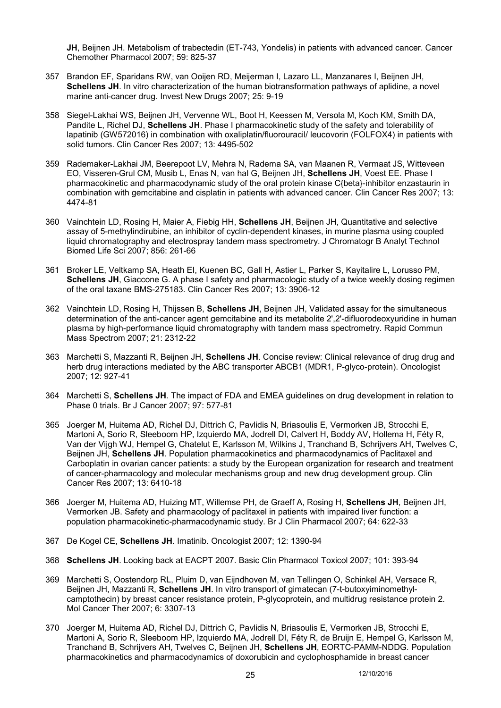**JH**, Beijnen JH. Metabolism of trabectedin (ET-743, Yondelis) in patients with advanced cancer. Cancer Chemother Pharmacol 2007; 59: 825-37

- 357 Brandon EF, Sparidans RW, van Ooijen RD, Meijerman I, Lazaro LL, Manzanares I, Beijnen JH, **Schellens JH**. In vitro characterization of the human biotransformation pathways of aplidine, a novel marine anti-cancer drug. Invest New Drugs 2007; 25: 9-19
- 358 Siegel-Lakhai WS, Beijnen JH, Vervenne WL, Boot H, Keessen M, Versola M, Koch KM, Smith DA, Pandite L, Richel DJ, **Schellens JH**. Phase I pharmacokinetic study of the safety and tolerability of lapatinib (GW572016) in combination with oxaliplatin/fluorouracil/ leucovorin (FOLFOX4) in patients with solid tumors. Clin Cancer Res 2007; 13: 4495-502
- 359 Rademaker-Lakhai JM, Beerepoot LV, Mehra N, Radema SA, van Maanen R, Vermaat JS, Witteveen EO, Visseren-Grul CM, Musib L, Enas N, van hal G, Beijnen JH, **Schellens JH**, Voest EE. Phase I pharmacokinetic and pharmacodynamic study of the oral protein kinase C{beta}-inhibitor enzastaurin in combination with gemcitabine and cisplatin in patients with advanced cancer. Clin Cancer Res 2007; 13: 4474-81
- 360 Vainchtein LD, Rosing H, Maier A, Fiebig HH, **Schellens JH**, Beijnen JH, Quantitative and selective assay of 5-methylindirubine, an inhibitor of cyclin-dependent kinases, in murine plasma using coupled liquid chromatography and electrospray tandem mass spectrometry. J Chromatogr B Analyt Technol Biomed Life Sci 2007; 856: 261-66
- 361 Broker LE, Veltkamp SA, Heath EI, Kuenen BC, Gall H, Astier L, Parker S, Kayitalire L, Lorusso PM, **Schellens JH**, Giaccone G. A phase I safety and pharmacologic study of a twice weekly dosing regimen of the oral taxane BMS-275183. Clin Cancer Res 2007; 13: 3906-12
- 362 Vainchtein LD, Rosing H, Thijssen B, **Schellens JH**, Beijnen JH, Validated assay for the simultaneous determination of the anti-cancer agent gemcitabine and its metabolite 2', 2'-difluorodeoxyuridine in human plasma by high-performance liquid chromatography with tandem mass spectrometry. Rapid Commun Mass Spectrom 2007; 21: 2312-22
- 363 Marchetti S, Mazzanti R, Beijnen JH, **Schellens JH**. Concise review: Clinical relevance of drug drug and herb drug interactions mediated by the ABC transporter ABCB1 (MDR1, P-glyco-protein). Oncologist 2007; 12: 927-41
- 364 Marchetti S, **Schellens JH**. The impact of FDA and EMEA guidelines on drug development in relation to Phase 0 trials. Br J Cancer 2007; 97: 577-81
- 365 Joerger M, Huitema AD, Richel DJ, Dittrich C, Pavlidis N, Briasoulis E, Vermorken JB, Strocchi E, Martoni A, Sorio R, Sleeboom HP, Izquierdo MA, Jodrell DI, Calvert H, Boddy AV, Hollema H, Féty R, Van der Vijgh WJ, Hempel G, Chatelut E, Karlsson M, Wilkins J, Tranchand B, Schrijvers AH, Twelves C, Beijnen JH, **Schellens JH**. Population pharmacokinetics and pharmacodynamics of Paclitaxel and Carboplatin in ovarian cancer patients: a study by the European organization for research and treatment of cancer-pharmacology and molecular mechanisms group and new drug development group. Clin Cancer Res 2007; 13: 6410-18
- 366 Joerger M, Huitema AD, Huizing MT, Willemse PH, de Graeff A, Rosing H, **Schellens JH**, Beijnen JH, Vermorken JB. Safety and pharmacology of paclitaxel in patients with impaired liver function: a population pharmacokinetic-pharmacodynamic study. Br J Clin Pharmacol 2007; 64: 622-33
- 367 De Kogel CE, **Schellens JH**. Imatinib. Oncologist 2007; 12: 1390-94
- 368 **Schellens JH**. Looking back at EACPT 2007. Basic Clin Pharmacol Toxicol 2007; 101: 393-94
- 369 Marchetti S, Oostendorp RL, Pluim D, van Eijndhoven M, van Tellingen O, Schinkel AH, Versace R, Beijnen JH, Mazzanti R, **Schellens JH**. In vitro transport of gimatecan (7-t-butoxyiminomethylcamptothecin) by breast cancer resistance protein, P-glycoprotein, and multidrug resistance protein 2. Mol Cancer Ther 2007; 6: 3307-13
- 370 Joerger M, Huitema AD, Richel DJ, Dittrich C, Pavlidis N, Briasoulis E, Vermorken JB, Strocchi E, Martoni A, Sorio R, Sleeboom HP, Izquierdo MA, Jodrell DI, Féty R, de Bruijn E, Hempel G, Karlsson M, Tranchand B, Schrijvers AH, Twelves C, Beijnen JH, **Schellens JH**, EORTC-PAMM-NDDG. Population pharmacokinetics and pharmacodynamics of doxorubicin and cyclophosphamide in breast cancer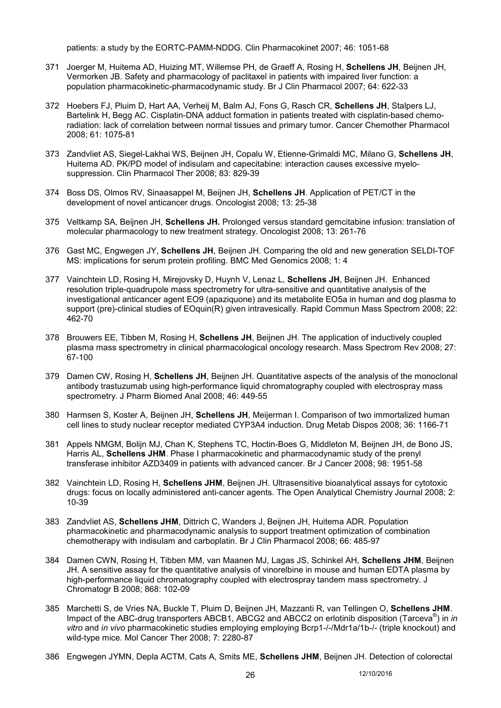patients: a study by the EORTC-PAMM-NDDG. Clin Pharmacokinet 2007; 46: 1051-68

- 371 Joerger M, Huitema AD, Huizing MT, Willemse PH, de Graeff A, Rosing H, **Schellens JH**, Beijnen JH, Vermorken JB. Safety and pharmacology of paclitaxel in patients with impaired liver function: a population pharmacokinetic-pharmacodynamic study. Br J Clin Pharmacol 2007; 64: 622-33
- 372 Hoebers FJ, Pluim D, Hart AA, Verheij M, Balm AJ, Fons G, Rasch CR, **Schellens JH**, Stalpers LJ, Bartelink H, Begg AC. Cisplatin-DNA adduct formation in patients treated with cisplatin-based chemoradiation: lack of correlation between normal tissues and primary tumor. Cancer Chemother Pharmacol 2008; 61: 1075-81
- 373 Zandvliet AS, Siegel-Lakhai WS, Beijnen JH, Copalu W, Etienne-Grimaldi MC, Milano G, **Schellens JH**, Huitema AD. PK/PD model of indisulam and capecitabine: interaction causes excessive myelosuppression. Clin Pharmacol Ther 2008; 83: 829-39
- 374 Boss DS, Olmos RV, Sinaasappel M, Beijnen JH, **Schellens JH**. Application of PET/CT in the development of novel anticancer drugs. Oncologist 2008; 13: 25-38
- 375 Veltkamp SA, Beijnen JH, **Schellens JH.** Prolonged versus standard gemcitabine infusion: translation of molecular pharmacology to new treatment strategy. Oncologist 2008; 13: 261-76
- 376 Gast MC, Engwegen JY, **Schellens JH**, Beijnen JH. Comparing the old and new generation SELDI-TOF MS: implications for serum protein profiling. BMC Med Genomics 2008; 1: 4
- 377 Vainchtein LD, Rosing H, Mirejovsky D, Huynh V, Lenaz L, **Schellens JH**, Beijnen JH. Enhanced resolution triple-quadrupole mass spectrometry for ultra-sensitive and quantitative analysis of the investigational anticancer agent EO9 (apaziquone) and its metabolite EO5a in human and dog plasma to support (pre)-clinical studies of EOquin(R) given intravesically. Rapid Commun Mass Spectrom 2008; 22: 462-70
- 378 Brouwers EE, Tibben M, Rosing H, **Schellens JH**, Beijnen JH. The application of inductively coupled plasma mass spectrometry in clinical pharmacological oncology research. Mass Spectrom Rev 2008; 27: 67-100
- 379 Damen CW, Rosing H, **Schellens JH**, Beijnen JH. Quantitative aspects of the analysis of the monoclonal antibody trastuzumab using high-performance liquid chromatography coupled with electrospray mass spectrometry. J Pharm Biomed Anal 2008; 46: 449-55
- 380 Harmsen S, Koster A, Beijnen JH, **Schellens JH**, Meijerman I. Comparison of two immortalized human cell lines to study nuclear receptor mediated CYP3A4 induction. Drug Metab Dispos 2008; 36: 1166-71
- 381 Appels NMGM, Bolijn MJ, Chan K, Stephens TC, Hoctin-Boes G, Middleton M, Beijnen JH, de Bono JS, Harris AL, **Schellens JHM**. Phase I pharmacokinetic and pharmacodynamic study of the prenyl transferase inhibitor AZD3409 in patients with advanced cancer. Br J Cancer 2008; 98: 1951-58
- 382 Vainchtein LD, Rosing H, **Schellens JHM**, Beijnen JH. Ultrasensitive bioanalytical assays for cytotoxic drugs: focus on locally administered anti-cancer agents. The Open Analytical Chemistry Journal 2008; 2: 10-39
- 383 Zandvliet AS, **Schellens JHM**, Dittrich C, Wanders J, Beijnen JH, Huitema ADR. Population pharmacokinetic and pharmacodynamic analysis to support treatment optimization of combination chemotherapy with indisulam and carboplatin. Br J Clin Pharmacol 2008; 66: 485-97
- 384 Damen CWN, Rosing H, Tibben MM, van Maanen MJ, Lagas JS, Schinkel AH, **Schellens JHM**, Beijnen JH. A sensitive assay for the quantitative analysis of vinorelbine in mouse and human EDTA plasma by high-performance liquid chromatography coupled with electrospray tandem mass spectrometry. J Chromatogr B 2008; 868: 102-09
- 385 Marchetti S, de Vries NA, Buckle T, Pluim D, Beijnen JH, Mazzanti R, van Tellingen O, **Schellens JHM**. Impact of the ABC-drug transporters ABCB1, ABCG2 and ABCC2 on erlotinib disposition (Tarceva® ) in *in vitro* and *in vivo* pharmacokinetic studies employing employing Bcrp1-/-/Mdr1a/1b-/- (triple knockout) and wild-type mice. Mol Cancer Ther 2008; 7: 2280-87
- 386 Engwegen JYMN, Depla ACTM, Cats A, Smits ME, **Schellens JHM**, Beijnen JH. Detection of colorectal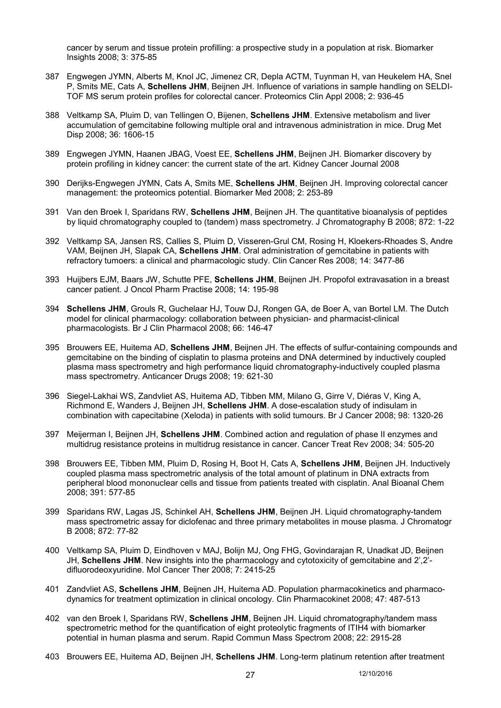cancer by serum and tissue protein profilling: a prospective study in a population at risk. Biomarker Insights 2008; 3: 375-85

- 387 Engwegen JYMN, Alberts M, Knol JC, Jimenez CR, Depla ACTM, Tuynman H, van Heukelem HA, Snel P, Smits ME, Cats A, **Schellens JHM**, Beijnen JH. Influence of variations in sample handling on SELDI-TOF MS serum protein profiles for colorectal cancer. Proteomics Clin Appl 2008; 2: 936-45
- 388 Veltkamp SA, Pluim D, van Tellingen O, Bijenen, **Schellens JHM**. Extensive metabolism and liver accumulation of gemcitabine following multiple oral and intravenous administration in mice. Drug Met Disp 2008; 36: 1606-15
- 389 Engwegen JYMN, Haanen JBAG, Voest EE, **Schellens JHM**, Beijnen JH. Biomarker discovery by protein profiling in kidney cancer: the current state of the art. Kidney Cancer Journal 2008
- 390 Derijks-Engwegen JYMN, Cats A, Smits ME, **Schellens JHM**, Beijnen JH. Improving colorectal cancer management: the proteomics potential. Biomarker Med 2008; 2: 253-89
- 391 Van den Broek I, Sparidans RW, **Schellens JHM**, Beijnen JH. The quantitative bioanalysis of peptides by liquid chromatography coupled to (tandem) mass spectrometry. J Chromatography B 2008; 872: 1-22
- 392 Veltkamp SA, Jansen RS, Callies S, Pluim D, Visseren-Grul CM, Rosing H, Kloekers-Rhoades S, Andre VAM, Beijnen JH, Slapak CA, **Schellens JHM**. Oral administration of gemcitabine in patients with refractory tumoers: a clinical and pharmacologic study. Clin Cancer Res 2008; 14: 3477-86
- 393 Huijbers EJM, Baars JW, Schutte PFE, **Schellens JHM**, Beijnen JH. Propofol extravasation in a breast cancer patient. J Oncol Pharm Practise 2008; 14: 195-98
- 394 **Schellens JHM**, Grouls R, Guchelaar HJ, Touw DJ, Rongen GA, de Boer A, van Bortel LM. The Dutch model for clinical pharmacology: collaboration between physician- and pharmacist-clinical pharmacologists. Br J Clin Pharmacol 2008; 66: 146-47
- 395 Brouwers EE, Huitema AD, **Schellens JHM**, Beijnen JH. The effects of sulfur-containing compounds and gemcitabine on the binding of cisplatin to plasma proteins and DNA determined by inductively coupled plasma mass spectrometry and high performance liquid chromatography-inductively coupled plasma mass spectrometry. Anticancer Drugs 2008; 19: 621-30
- 396 Siegel-Lakhai WS, Zandvliet AS, Huitema AD, Tibben MM, Milano G, Girre V, Diéras V, King A, Richmond E, Wanders J, Beijnen JH, **Schellens JHM**. A dose-escalation study of indisulam in combination with capecitabine (Xeloda) in patients with solid tumours. Br J Cancer 2008; 98: 1320-26
- 397 Meijerman I, Beijnen JH, **Schellens JHM**. Combined action and regulation of phase II enzymes and multidrug resistance proteins in multidrug resistance in cancer. Cancer Treat Rev 2008; 34: 505-20
- 398 Brouwers EE, Tibben MM, Pluim D, Rosing H, Boot H, Cats A, **Schellens JHM**, Beijnen JH. Inductively coupled plasma mass spectrometric analysis of the total amount of platinum in DNA extracts from peripheral blood mononuclear cells and tissue from patients treated with cisplatin. Anal Bioanal Chem 2008; 391: 577-85
- 399 Sparidans RW, Lagas JS, Schinkel AH, **Schellens JHM**, Beijnen JH. Liquid chromatography-tandem mass spectrometric assay for diclofenac and three primary metabolites in mouse plasma. J Chromatogr B 2008; 872: 77-82
- 400 Veltkamp SA, Pluim D, Eindhoven v MAJ, Bolijn MJ, Ong FHG, Govindarajan R, Unadkat JD, Beijnen JH, **Schellens JHM**. New insights into the pharmacology and cytotoxicity of gemcitabine and 2',2' difluorodeoxyuridine. Mol Cancer Ther 2008; 7: 2415-25
- 401 Zandvliet AS, **Schellens JHM**, Beijnen JH, Huitema AD. Population pharmacokinetics and pharmacodynamics for treatment optimization in clinical oncology. Clin Pharmacokinet 2008; 47: 487-513
- 402 van den Broek I, Sparidans RW, **Schellens JHM**, Beijnen JH. Liquid chromatography/tandem mass spectrometric method for the quantification of eight proteolytic fragments of ITIH4 with biomarker potential in human plasma and serum. Rapid Commun Mass Spectrom 2008; 22: 2915-28
- 403 Brouwers EE, Huitema AD, Beijnen JH, **Schellens JHM**. Long-term platinum retention after treatment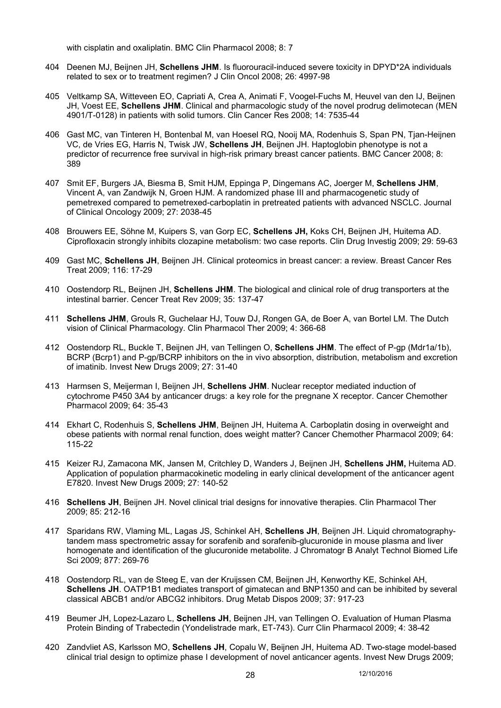with cisplatin and oxaliplatin. BMC Clin Pharmacol 2008; 8: 7

- 404 Deenen MJ, Beijnen JH, **Schellens JHM**. Is fluorouracil-induced severe toxicity in DPYD\*2A individuals related to sex or to treatment regimen? J Clin Oncol 2008; 26: 4997-98
- 405 Veltkamp SA, Witteveen EO, Capriati A, Crea A, Animati F, Voogel-Fuchs M, Heuvel van den IJ, Beijnen JH, Voest EE, **Schellens JHM**. Clinical and pharmacologic study of the novel prodrug delimotecan (MEN 4901/T-0128) in patients with solid tumors. Clin Cancer Res 2008; 14: 7535-44
- 406 Gast MC, van Tinteren H, Bontenbal M, van Hoesel RQ, Nooij MA, Rodenhuis S, Span PN, Tjan-Heijnen VC, de Vries EG, Harris N, Twisk JW, **Schellens JH**, Beijnen JH. Haptoglobin phenotype is not a predictor of recurrence free survival in high-risk primary breast cancer patients. BMC Cancer 2008; 8: 389
- 407 Smit EF, Burgers JA, Biesma B, Smit HJM, Eppinga P, Dingemans AC, Joerger M, **Schellens JHM**, Vincent A, van Zandwijk N, Groen HJM. A randomized phase III and pharmacogenetic study of pemetrexed compared to pemetrexed-carboplatin in pretreated patients with advanced NSCLC. Journal of Clinical Oncology 2009; 27: 2038-45
- 408 Brouwers EE, Söhne M, Kuipers S, van Gorp EC, **Schellens JH,** Koks CH, Beijnen JH, Huitema AD. Ciprofloxacin strongly inhibits clozapine metabolism: two case reports. Clin Drug Investig 2009; 29: 59-63
- 409 Gast MC, **Schellens JH**, Beijnen JH. Clinical proteomics in breast cancer: a review. Breast Cancer Res Treat 2009; 116: 17-29
- 410 Oostendorp RL, Beijnen JH, **Schellens JHM**. The biological and clinical role of drug transporters at the intestinal barrier. Cencer Treat Rev 2009; 35: 137-47
- 411 **Schellens JHM**, Grouls R, Guchelaar HJ, Touw DJ, Rongen GA, de Boer A, van Bortel LM. The Dutch vision of Clinical Pharmacology. Clin Pharmacol Ther 2009; 4: 366-68
- 412 Oostendorp RL, Buckle T, Beijnen JH, van Tellingen O, **Schellens JHM**. The effect of P-gp (Mdr1a/1b), BCRP (Bcrp1) and P-gp/BCRP inhibitors on the in vivo absorption, distribution, metabolism and excretion of imatinib. Invest New Drugs 2009; 27: 31-40
- 413 Harmsen S, Meijerman I, Beijnen JH, **Schellens JHM**. Nuclear receptor mediated induction of cytochrome P450 3A4 by anticancer drugs: a key role for the pregnane X receptor. Cancer Chemother Pharmacol 2009; 64: 35-43
- 414 Ekhart C, Rodenhuis S, **Schellens JHM**, Beijnen JH, Huitema A. Carboplatin dosing in overweight and obese patients with normal renal function, does weight matter? Cancer Chemother Pharmacol 2009; 64: 115-22
- 415 Keizer RJ, Zamacona MK, Jansen M, Critchley D, Wanders J, Beijnen JH, **Schellens JHM,** Huitema AD. Application of population pharmacokinetic modeling in early clinical development of the anticancer agent E7820. Invest New Drugs 2009; 27: 140-52
- 416 **Schellens JH**, Beijnen JH. Novel clinical trial designs for innovative therapies. Clin Pharmacol Ther 2009; 85: 212-16
- 417 Sparidans RW, Vlaming ML, Lagas JS, Schinkel AH, **Schellens JH**, Beijnen JH. Liquid chromatographytandem mass spectrometric assay for sorafenib and sorafenib-glucuronide in mouse plasma and liver homogenate and identification of the glucuronide metabolite. J Chromatogr B Analyt Technol Biomed Life Sci 2009; 877: 269-76
- 418 Oostendorp RL, van de Steeg E, van der Kruijssen CM, Beijnen JH, Kenworthy KE, Schinkel AH, **Schellens JH**. OATP1B1 mediates transport of gimatecan and BNP1350 and can be inhibited by several classical ABCB1 and/or ABCG2 inhibitors. Drug Metab Dispos 2009; 37: 917-23
- 419 Beumer JH, Lopez-Lazaro L, **Schellens JH**, Beijnen JH, van Tellingen O. Evaluation of Human Plasma Protein Binding of Trabectedin (Yondelistrade mark, ET-743). Curr Clin Pharmacol 2009; 4: 38-42
- 420 Zandvliet AS, Karlsson MO, **Schellens JH**, Copalu W, Beijnen JH, Huitema AD. Two-stage model-based clinical trial design to optimize phase I development of novel anticancer agents. Invest New Drugs 2009;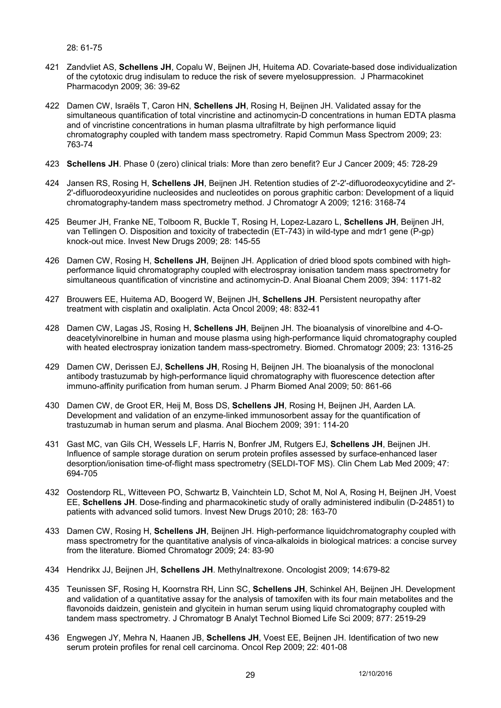28: 61-75

- 421 Zandvliet AS, **Schellens JH**, Copalu W, Beijnen JH, Huitema AD. Covariate-based dose individualization of the cytotoxic drug indisulam to reduce the risk of severe myelosuppression. J Pharmacokinet Pharmacodyn 2009; 36: 39-62
- 422 Damen CW, Israëls T, Caron HN, **Schellens JH**, Rosing H, Beijnen JH. Validated assay for the simultaneous quantification of total vincristine and actinomycin-D concentrations in human EDTA plasma and of vincristine concentrations in human plasma ultrafiltrate by high performance liquid chromatography coupled with tandem mass spectrometry. Rapid Commun Mass Spectrom 2009; 23: 763-74
- 423 **Schellens JH**. Phase 0 (zero) clinical trials: More than zero benefit? Eur J Cancer 2009; 45: 728-29
- 424 Jansen RS, Rosing H, **Schellens JH**, Beijnen JH. Retention studies of 2'-2'-difluorodeoxycytidine and 2'- 2'-difluorodeoxyuridine nucleosides and nucleotides on porous graphitic carbon: Development of a liquid chromatography-tandem mass spectrometry method. J Chromatogr A 2009; 1216: 3168-74
- 425 Beumer JH, Franke NE, Tolboom R, Buckle T, Rosing H, Lopez-Lazaro L, **Schellens JH**, Beijnen JH, van Tellingen O. Disposition and toxicity of trabectedin (ET-743) in wild-type and mdr1 gene (P-gp) knock-out mice. Invest New Drugs 2009; 28: 145-55
- 426 Damen CW, Rosing H, **Schellens JH**, Beijnen JH. Application of dried blood spots combined with highperformance liquid chromatography coupled with electrospray ionisation tandem mass spectrometry for simultaneous quantification of vincristine and actinomycin-D. Anal Bioanal Chem 2009; 394: 1171-82
- 427 Brouwers EE, Huitema AD, Boogerd W, Beijnen JH, **Schellens JH**. Persistent neuropathy after treatment with cisplatin and oxaliplatin. Acta Oncol 2009; 48: 832-41
- 428 Damen CW, Lagas JS, Rosing H, **Schellens JH**, Beijnen JH. The bioanalysis of vinorelbine and 4-Odeacetylvinorelbine in human and mouse plasma using high-performance liquid chromatography coupled with heated electrospray ionization tandem mass-spectrometry. Biomed. Chromatogr 2009; 23: 1316-25
- 429 Damen CW, Derissen EJ, **Schellens JH**, Rosing H, Beijnen JH. The bioanalysis of the monoclonal antibody trastuzumab by high-performance liquid chromatography with fluorescence detection after immuno-affinity purification from human serum. J Pharm Biomed Anal 2009; 50: 861-66
- 430 Damen CW, de Groot ER, Heij M, Boss DS, **Schellens JH**, Rosing H, Beijnen JH, Aarden LA. Development and validation of an enzyme-linked immunosorbent assay for the quantification of trastuzumab in human serum and plasma. Anal Biochem 2009; 391: 114-20
- 431 Gast MC, van Gils CH, Wessels LF, Harris N, Bonfrer JM, Rutgers EJ, **Schellens JH**, Beijnen JH. Influence of sample storage duration on serum protein profiles assessed by surface-enhanced laser desorption/ionisation time-of-flight mass spectrometry (SELDI-TOF MS). Clin Chem Lab Med 2009; 47: 694-705
- 432 Oostendorp RL, Witteveen PO, Schwartz B, Vainchtein LD, Schot M, Nol A, Rosing H, Beijnen JH, Voest EE, **Schellens JH**. Dose-finding and pharmacokinetic study of orally administered indibulin (D-24851) to patients with advanced solid tumors. Invest New Drugs 2010; 28: 163-70
- 433 Damen CW, Rosing H, **Schellens JH**, Beijnen JH. High-performance liquidchromatography coupled with mass spectrometry for the quantitative analysis of vinca-alkaloids in biological matrices: a concise survey from the literature. Biomed Chromatogr 2009; 24: 83-90
- 434 Hendrikx JJ, Beijnen JH, **Schellens JH**. Methylnaltrexone. Oncologist 2009; 14:679-82
- 435 Teunissen SF, Rosing H, Koornstra RH, Linn SC, **Schellens JH**, Schinkel AH, Beijnen JH. Development and validation of a quantitative assay for the analysis of tamoxifen with its four main metabolites and the flavonoids daidzein, genistein and glycitein in human serum using liquid chromatography coupled with tandem mass spectrometry. J Chromatogr B Analyt Technol Biomed Life Sci 2009; 877: 2519-29
- 436 Engwegen JY, Mehra N, Haanen JB, **Schellens JH**, Voest EE, Beijnen JH. Identification of two new serum protein profiles for renal cell carcinoma. Oncol Rep 2009; 22: 401-08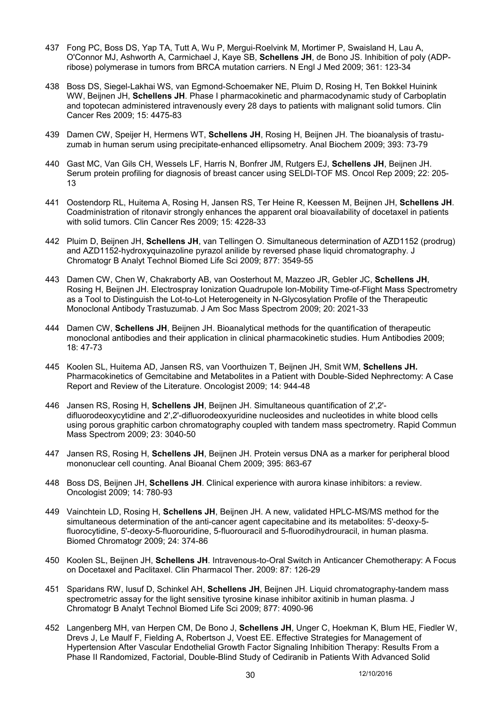- 437 Fong PC, Boss DS, Yap TA, Tutt A, Wu P, Mergui-Roelvink M, Mortimer P, Swaisland H, Lau A, O'Connor MJ, Ashworth A, Carmichael J, Kaye SB, **Schellens JH**, de Bono JS. Inhibition of poly (ADPribose) polymerase in tumors from BRCA mutation carriers. N Engl J Med 2009; 361: 123-34
- 438 Boss DS, Siegel-Lakhai WS, van Egmond-Schoemaker NE, Pluim D, Rosing H, Ten Bokkel Huinink WW, Beijnen JH, **Schellens JH**. Phase I pharmacokinetic and pharmacodynamic study of Carboplatin and topotecan administered intravenously every 28 days to patients with malignant solid tumors. Clin Cancer Res 2009; 15: 4475-83
- 439 Damen CW, Speijer H, Hermens WT, **Schellens JH**, Rosing H, Beijnen JH. The bioanalysis of trastuzumab in human serum using precipitate-enhanced ellipsometry. Anal Biochem 2009; 393: 73-79
- 440 Gast MC, Van Gils CH, Wessels LF, Harris N, Bonfrer JM, Rutgers EJ, **Schellens JH**, Beijnen JH. Serum protein profiling for diagnosis of breast cancer using SELDI-TOF MS. Oncol Rep 2009; 22: 205- 13
- 441 Oostendorp RL, Huitema A, Rosing H, Jansen RS, Ter Heine R, Keessen M, Beijnen JH, **Schellens JH**. Coadministration of ritonavir strongly enhances the apparent oral bioavailability of docetaxel in patients with solid tumors. Clin Cancer Res 2009; 15: 4228-33
- 442 Pluim D, Beijnen JH, **Schellens JH**, van Tellingen O. Simultaneous determination of AZD1152 (prodrug) and AZD1152-hydroxyquinazoline pyrazol anilide by reversed phase liquid chromatography. J Chromatogr B Analyt Technol Biomed Life Sci 2009; 877: 3549-55
- 443 Damen CW, Chen W, Chakraborty AB, van Oosterhout M, Mazzeo JR, Gebler JC, **Schellens JH**, Rosing H, Beijnen JH. Electrospray Ionization Quadrupole Ion-Mobility Time-of-Flight Mass Spectrometry as a Tool to Distinguish the Lot-to-Lot Heterogeneity in N-Glycosylation Profile of the Therapeutic Monoclonal Antibody Trastuzumab. J Am Soc Mass Spectrom 2009; 20: 2021-33
- 444 Damen CW, **Schellens JH**, Beijnen JH. Bioanalytical methods for the quantification of therapeutic monoclonal antibodies and their application in clinical pharmacokinetic studies. Hum Antibodies 2009; 18: 47-73
- 445 Koolen SL, Huitema AD, Jansen RS, van Voorthuizen T, Beijnen JH, Smit WM, **Schellens JH.**  Pharmacokinetics of Gemcitabine and Metabolites in a Patient with Double-Sided Nephrectomy: A Case Report and Review of the Literature. Oncologist 2009; 14: 944-48
- 446 Jansen RS, Rosing H, **Schellens JH**, Beijnen JH. Simultaneous quantification of 2',2' difluorodeoxycytidine and 2',2'-difluorodeoxyuridine nucleosides and nucleotides in white blood cells using porous graphitic carbon chromatography coupled with tandem mass spectrometry. Rapid Commun Mass Spectrom 2009; 23: 3040-50
- 447 Jansen RS, Rosing H, **Schellens JH**, Beijnen JH. Protein versus DNA as a marker for peripheral blood mononuclear cell counting. Anal Bioanal Chem 2009; 395: 863-67
- 448 Boss DS, Beijnen JH, **Schellens JH**. Clinical experience with aurora kinase inhibitors: a review. Oncologist 2009; 14: 780-93
- 449 Vainchtein LD, Rosing H, **Schellens JH**, Beijnen JH. A new, validated HPLC-MS/MS method for the simultaneous determination of the anti-cancer agent capecitabine and its metabolites: 5'-deoxy-5 fluorocytidine, 5'-deoxy-5-fluorouridine, 5-fluorouracil and 5-fluorodihydrouracil, in human plasma. Biomed Chromatogr 2009; 24: 374-86
- 450 Koolen SL, Beijnen JH, **Schellens JH**. Intravenous-to-Oral Switch in Anticancer Chemotherapy: A Focus on Docetaxel and Paclitaxel. Clin Pharmacol Ther. 2009: 87: 126-29
- 451 Sparidans RW, Iusuf D, Schinkel AH, **Schellens JH**, Beijnen JH. Liquid chromatography-tandem mass spectrometric assay for the light sensitive tyrosine kinase inhibitor axitinib in human plasma. J Chromatogr B Analyt Technol Biomed Life Sci 2009; 877: 4090-96
- 452 Langenberg MH, van Herpen CM, De Bono J, **Schellens JH**, Unger C, Hoekman K, Blum HE, Fiedler W, Drevs J, Le Maulf F, Fielding A, Robertson J, Voest EE. Effective Strategies for Management of Hypertension After Vascular Endothelial Growth Factor Signaling Inhibition Therapy: Results From a Phase II Randomized, Factorial, Double-Blind Study of Cediranib in Patients With Advanced Solid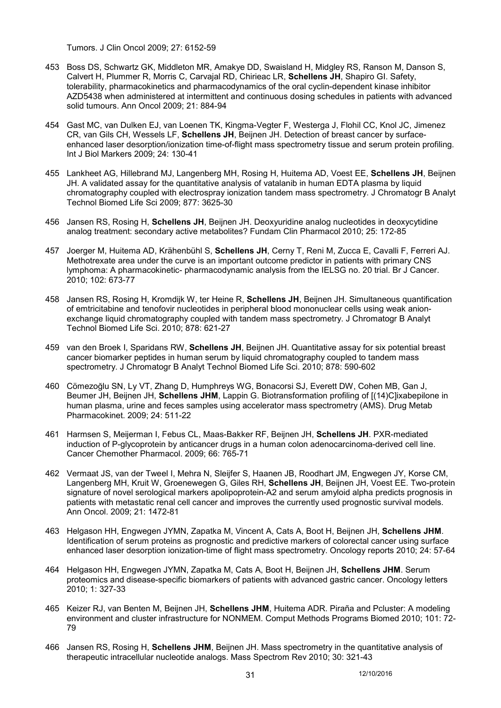Tumors. J Clin Oncol 2009; 27: 6152-59

- 453 Boss DS, Schwartz GK, Middleton MR, Amakye DD, Swaisland H, Midgley RS, Ranson M, Danson S, Calvert H, Plummer R, Morris C, Carvajal RD, Chirieac LR, **Schellens JH**, Shapiro GI. Safety, tolerability, pharmacokinetics and pharmacodynamics of the oral cyclin-dependent kinase inhibitor AZD5438 when administered at intermittent and continuous dosing schedules in patients with advanced solid tumours. Ann Oncol 2009; 21: 884-94
- 454 Gast MC, van Dulken EJ, van Loenen TK, Kingma-Vegter F, Westerga J, Flohil CC, Knol JC, Jimenez CR, van Gils CH, Wessels LF, **Schellens JH**, Beijnen JH. Detection of breast cancer by surfaceenhanced laser desorption/ionization time-of-flight mass spectrometry tissue and serum protein profiling. Int J Biol Markers 2009; 24: 130-41
- 455 Lankheet AG, Hillebrand MJ, Langenberg MH, Rosing H, Huitema AD, Voest EE, **Schellens JH**, Beijnen JH. A validated assay for the quantitative analysis of vatalanib in human EDTA plasma by liquid chromatography coupled with electrospray ionization tandem mass spectrometry. J Chromatogr B Analyt Technol Biomed Life Sci 2009; 877: 3625-30
- 456 Jansen RS, Rosing H, **Schellens JH**, Beijnen JH. Deoxyuridine analog nucleotides in deoxycytidine analog treatment: secondary active metabolites? Fundam Clin Pharmacol 2010; 25: 172-85
- 457 Joerger M, Huitema AD, Krähenbühl S, **Schellens JH**, Cerny T, Reni M, Zucca E, Cavalli F, Ferreri AJ. Methotrexate area under the curve is an important outcome predictor in patients with primary CNS lymphoma: A pharmacokinetic- pharmacodynamic analysis from the IELSG no. 20 trial. Br J Cancer. 2010; 102: 673-77
- 458 Jansen RS, Rosing H, Kromdijk W, ter Heine R, **Schellens JH**, Beijnen JH. Simultaneous quantification of emtricitabine and tenofovir nucleotides in peripheral blood mononuclear cells using weak anionexchange liquid chromatography coupled with tandem mass spectrometry. J Chromatogr B Analyt Technol Biomed Life Sci. 2010; 878: 621-27
- 459 van den Broek I, Sparidans RW, **Schellens JH**, Beijnen JH. Quantitative assay for six potential breast cancer biomarker peptides in human serum by liquid chromatography coupled to tandem mass spectrometry. J Chromatogr B Analyt Technol Biomed Life Sci. 2010; 878: 590-602
- 460 Cömezoğlu SN, Ly VT, Zhang D, Humphreys WG, Bonacorsi SJ, Everett DW, Cohen MB, Gan J, Beumer JH, Beijnen JH, **Schellens JHM**, Lappin G. Biotransformation profiling of [(14)C]ixabepilone in human plasma, urine and feces samples using accelerator mass spectrometry (AMS). Drug Metab Pharmacokinet. 2009; 24: 511-22
- 461 Harmsen S, Meijerman I, Febus CL, Maas-Bakker RF, Beijnen JH, **Schellens JH**. PXR-mediated induction of P-glycoprotein by anticancer drugs in a human colon adenocarcinoma-derived cell line. Cancer Chemother Pharmacol. 2009; 66: 765-71
- 462 Vermaat JS, van der Tweel I, Mehra N, Sleijfer S, Haanen JB, Roodhart JM, Engwegen JY, Korse CM, Langenberg MH, Kruit W, Groenewegen G, Giles RH, **Schellens JH**, Beijnen JH, Voest EE. Two-protein signature of novel serological markers apolipoprotein-A2 and serum amyloid alpha predicts prognosis in patients with metastatic renal cell cancer and improves the currently used prognostic survival models. Ann Oncol. 2009; 21: 1472-81
- 463 Helgason HH, Engwegen JYMN, Zapatka M, Vincent A, Cats A, Boot H, Beijnen JH, **Schellens JHM**. Identification of serum proteins as prognostic and predictive markers of colorectal cancer using surface enhanced laser desorption ionization-time of flight mass spectrometry. Oncology reports 2010; 24: 57-64
- 464 Helgason HH, Engwegen JYMN, Zapatka M, Cats A, Boot H, Beijnen JH, **Schellens JHM**. Serum proteomics and disease-specific biomarkers of patients with advanced gastric cancer. Oncology letters 2010; 1: 327-33
- 465 Keizer RJ, van Benten M, Beijnen JH, **Schellens JHM**, Huitema ADR. Piraña and Pcluster: A modeling environment and cluster infrastructure for NONMEM. Comput Methods Programs Biomed 2010; 101: 72- 79
- 466 Jansen RS, Rosing H, **Schellens JHM**, Beijnen JH. Mass spectrometry in the quantitative analysis of therapeutic intracellular nucleotide analogs. Mass Spectrom Rev 2010; 30: 321-43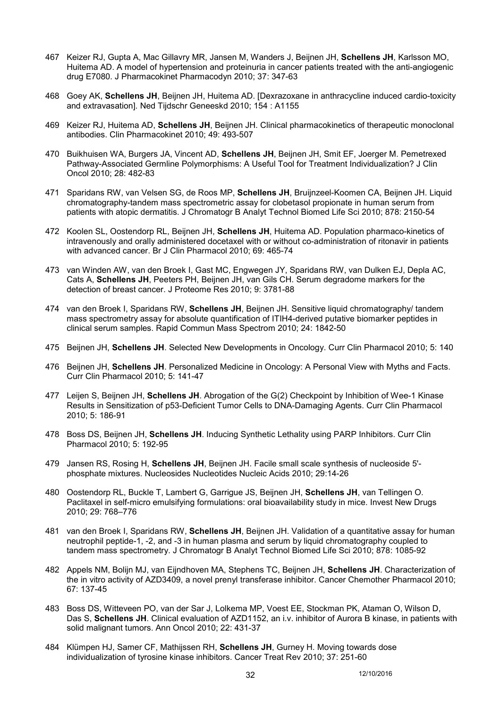- 467 Keizer RJ, Gupta A, Mac Gillavry MR, Jansen M, Wanders J, Beijnen JH, **Schellens JH**, Karlsson MO, Huitema AD. A model of hypertension and proteinuria in cancer patients treated with the anti-angiogenic drug E7080. J Pharmacokinet Pharmacodyn 2010; 37: 347-63
- 468 Goey AK, **Schellens JH**, Beijnen JH, Huitema AD. [Dexrazoxane in anthracycline induced cardio-toxicity and extravasation]. Ned Tijdschr Geneeskd 2010; 154 : A1155
- 469 Keizer RJ, Huitema AD, **Schellens JH**, Beijnen JH. Clinical pharmacokinetics of therapeutic monoclonal antibodies. Clin Pharmacokinet 2010; 49: 493-507
- 470 Buikhuisen WA, Burgers JA, Vincent AD, **Schellens JH**, Beijnen JH, Smit EF, Joerger M. Pemetrexed Pathway-Associated Germline Polymorphisms: A Useful Tool for Treatment Individualization? J Clin Oncol 2010; 28: 482-83
- 471 Sparidans RW, van Velsen SG, de Roos MP, **Schellens JH**, Bruijnzeel-Koomen CA, Beijnen JH. Liquid chromatography-tandem mass spectrometric assay for clobetasol propionate in human serum from patients with atopic dermatitis. J Chromatogr B Analyt Technol Biomed Life Sci 2010; 878: 2150-54
- 472 Koolen SL, Oostendorp RL, Beijnen JH, **Schellens JH**, Huitema AD. Population pharmaco-kinetics of intravenously and orally administered docetaxel with or without co-administration of ritonavir in patients with advanced cancer. Br J Clin Pharmacol 2010; 69: 465-74
- 473 van Winden AW, van den Broek I, Gast MC, Engwegen JY, Sparidans RW, van Dulken EJ, Depla AC, Cats A, **Schellens JH**, Peeters PH, Beijnen JH, van Gils CH. Serum degradome markers for the detection of breast cancer. J Proteome Res 2010; 9: 3781-88
- 474 van den Broek I, Sparidans RW, **Schellens JH**, Beijnen JH. Sensitive liquid chromatography/ tandem mass spectrometry assay for absolute quantification of ITIH4-derived putative biomarker peptides in clinical serum samples. Rapid Commun Mass Spectrom 2010; 24: 1842-50
- 475 Beijnen JH, **Schellens JH**. Selected New Developments in Oncology. Curr Clin Pharmacol 2010; 5: 140
- 476 Beijnen JH, **Schellens JH**. Personalized Medicine in Oncology: A Personal View with Myths and Facts. Curr Clin Pharmacol 2010; 5: 141-47
- 477 Leijen S, Beijnen JH, **Schellens JH**. Abrogation of the G(2) Checkpoint by Inhibition of Wee-1 Kinase Results in Sensitization of p53-Deficient Tumor Cells to DNA-Damaging Agents. Curr Clin Pharmacol 2010; 5: 186-91
- 478 Boss DS, Beijnen JH, **Schellens JH**. Inducing Synthetic Lethality using PARP Inhibitors. Curr Clin Pharmacol 2010; 5: 192-95
- 479 Jansen RS, Rosing H, **Schellens JH**, Beijnen JH. Facile small scale synthesis of nucleoside 5' phosphate mixtures. Nucleosides Nucleotides Nucleic Acids 2010; 29:14-26
- 480 Oostendorp RL, Buckle T, Lambert G, Garrigue JS, Beijnen JH, **Schellens JH**, van Tellingen O. Paclitaxel in self-micro emulsifying formulations: oral bioavailability study in mice. Invest New Drugs 2010; 29: 768–776
- 481 van den Broek I, Sparidans RW, **Schellens JH**, Beijnen JH. Validation of a quantitative assay for human neutrophil peptide-1, -2, and -3 in human plasma and serum by liquid chromatography coupled to tandem mass spectrometry. J Chromatogr B Analyt Technol Biomed Life Sci 2010; 878: 1085-92
- 482 Appels NM, Bolijn MJ, van Eijndhoven MA, Stephens TC, Beijnen JH, **Schellens JH**. Characterization of the in vitro activity of AZD3409, a novel prenyl transferase inhibitor. Cancer Chemother Pharmacol 2010; 67: 137-45
- 483 Boss DS, Witteveen PO, van der Sar J, Lolkema MP, Voest EE, Stockman PK, Ataman O, Wilson D, Das S, **Schellens JH**. Clinical evaluation of AZD1152, an i.v. inhibitor of Aurora B kinase, in patients with solid malignant tumors. Ann Oncol 2010; 22: 431-37
- 484 Klümpen HJ, Samer CF, Mathijssen RH, **Schellens JH**, Gurney H. Moving towards dose individualization of tyrosine kinase inhibitors. Cancer Treat Rev 2010; 37: 251-60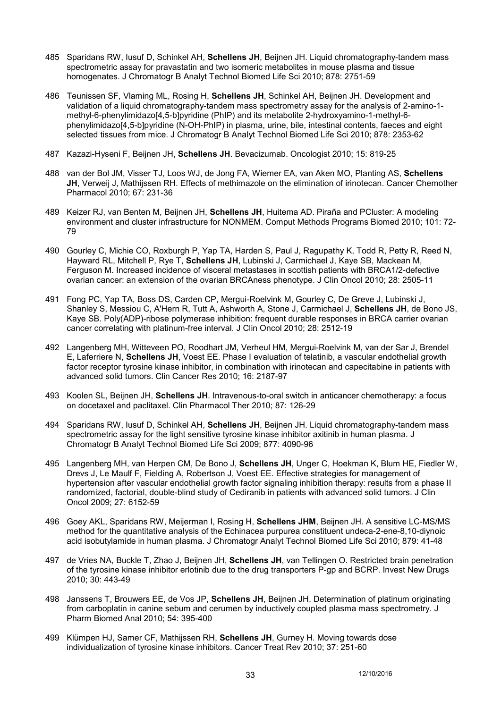- 485 Sparidans RW, Iusuf D, Schinkel AH, **Schellens JH**, Beijnen JH. Liquid chromatography-tandem mass spectrometric assay for pravastatin and two isomeric metabolites in mouse plasma and tissue homogenates. J Chromatogr B Analyt Technol Biomed Life Sci 2010; 878: 2751-59
- 486 Teunissen SF, Vlaming ML, Rosing H, **Schellens JH**, Schinkel AH, Beijnen JH. Development and validation of a liquid chromatography-tandem mass spectrometry assay for the analysis of 2-amino-1 methyl-6-phenylimidazo[4,5-b]pyridine (PhIP) and its metabolite 2-hydroxyamino-1-methyl-6 phenylimidazo[4,5-b]pyridine (N-OH-PhIP) in plasma, urine, bile, intestinal contents, faeces and eight selected tissues from mice. J Chromatogr B Analyt Technol Biomed Life Sci 2010; 878: 2353-62
- 487 Kazazi-Hyseni F, Beijnen JH, **Schellens JH**. Bevacizumab. Oncologist 2010; 15: 819-25
- 488 van der Bol JM, Visser TJ, Loos WJ, de Jong FA, Wiemer EA, van Aken MO, Planting AS, **Schellens JH**, Verweij J, Mathijssen RH. Effects of methimazole on the elimination of irinotecan. Cancer Chemother Pharmacol 2010; 67: 231-36
- 489 Keizer RJ, van Benten M, Beijnen JH, **Schellens JH**, Huitema AD. Piraña and PCluster: A modeling environment and cluster infrastructure for NONMEM. Comput Methods Programs Biomed 2010; 101: 72- 79
- 490 Gourley C, Michie CO, Roxburgh P, Yap TA, Harden S, Paul J, Ragupathy K, Todd R, Petty R, Reed N, Hayward RL, Mitchell P, Rye T, **Schellens JH**, Lubinski J, Carmichael J, Kaye SB, Mackean M, Ferguson M. Increased incidence of visceral metastases in scottish patients with BRCA1/2-defective ovarian cancer: an extension of the ovarian BRCAness phenotype. J Clin Oncol 2010; 28: 2505-11
- 491 Fong PC, Yap TA, Boss DS, Carden CP, Mergui-Roelvink M, Gourley C, De Greve J, Lubinski J, Shanley S, Messiou C, A'Hern R, Tutt A, Ashworth A, Stone J, Carmichael J, **Schellens JH**, de Bono JS, Kaye SB. Poly(ADP)-ribose polymerase inhibition: frequent durable responses in BRCA carrier ovarian cancer correlating with platinum-free interval. J Clin Oncol 2010; 28: 2512-19
- 492 Langenberg MH, Witteveen PO, Roodhart JM, Verheul HM, Mergui-Roelvink M, van der Sar J, Brendel E, Laferriere N, **Schellens JH**, Voest EE. Phase I evaluation of telatinib, a vascular endothelial growth factor receptor tyrosine kinase inhibitor, in combination with irinotecan and capecitabine in patients with advanced solid tumors. Clin Cancer Res 2010; 16: 2187-97
- 493 Koolen SL, Beijnen JH, **Schellens JH**. Intravenous-to-oral switch in anticancer chemotherapy: a focus on docetaxel and paclitaxel. Clin Pharmacol Ther 2010; 87: 126-29
- 494 Sparidans RW, Iusuf D, Schinkel AH, **Schellens JH**, Beijnen JH. Liquid chromatography-tandem mass spectrometric assay for the light sensitive tyrosine kinase inhibitor axitinib in human plasma. J Chromatogr B Analyt Technol Biomed Life Sci 2009; 877: 4090-96
- 495 Langenberg MH, van Herpen CM, De Bono J, **Schellens JH**, Unger C, Hoekman K, Blum HE, Fiedler W, Drevs J, Le Maulf F, Fielding A, Robertson J, Voest EE. Effective strategies for management of hypertension after vascular endothelial growth factor signaling inhibition therapy: results from a phase II randomized, factorial, double-blind study of Cediranib in patients with advanced solid tumors. J Clin Oncol 2009; 27: 6152-59
- 496 Goey AKL, Sparidans RW, Meijerman I, Rosing H, **Schellens JHM**, Beijnen JH. A sensitive LC-MS/MS method for the quantitative analysis of the Echinacea purpurea constituent undeca-2-ene-8,10-diynoic acid isobutylamide in human plasma. J Chromatogr Analyt Technol Biomed Life Sci 2010; 879: 41-48
- 497 de Vries NA, Buckle T, Zhao J, Beijnen JH, **Schellens JH**, van Tellingen O. Restricted brain penetration of the tyrosine kinase inhibitor erlotinib due to the drug transporters P-gp and BCRP. Invest New Drugs 2010; 30: 443-49
- 498 Janssens T, Brouwers EE, de Vos JP, **Schellens JH**, Beijnen JH. Determination of platinum originating from carboplatin in canine sebum and cerumen by inductively coupled plasma mass spectrometry. J Pharm Biomed Anal 2010; 54: 395-400
- 499 Klümpen HJ, Samer CF, Mathijssen RH, **Schellens JH**, Gurney H. Moving towards dose individualization of tyrosine kinase inhibitors. Cancer Treat Rev 2010; 37: 251-60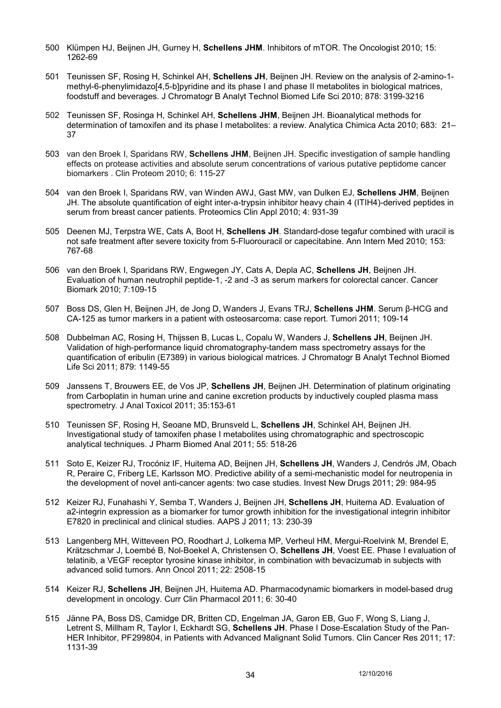- 500 Klümpen HJ, Beijnen JH, Gurney H, **Schellens JHM**. Inhibitors of mTOR. The Oncologist 2010; 15: 1262-69
- 501 Teunissen SF, Rosing H, Schinkel AH, **Schellens JH**, Beijnen JH. Review on the analysis of 2-amino-1 methyl-6-phenylimidazo[4,5-b]pyridine and its phase I and phase II metabolites in biological matrices, foodstuff and beverages. J Chromatogr B Analyt Technol Biomed Life Sci 2010; 878: 3199-3216
- 502 Teunissen SF, Rosinga H, Schinkel AH, **Schellens JHM**, Beijnen JH. Bioanalytical methods for determination of tamoxifen and its phase I metabolites: a review. Analytica Chimica Acta 2010; 683: 21– 37
- 503 van den Broek I, Sparidans RW, **Schellens JHM**, Beijnen JH. Specific investigation of sample handling effects on protease activities and absolute serum concentrations of various putative peptidome cancer biomarkers . Clin Proteom 2010; 6: 115-27
- 504 van den Broek I, Sparidans RW, van Winden AWJ, Gast MW, van Dulken EJ, **Schellens JHM**, Beijnen JH. The absolute quantification of eight inter-a-trypsin inhibitor heavy chain 4 (ITIH4)-derived peptides in serum from breast cancer patients. Proteomics Clin Appl 2010; 4: 931-39
- 505 Deenen MJ, Terpstra WE, Cats A, Boot H, **Schellens JH**. Standard-dose tegafur combined with uracil is not safe treatment after severe toxicity from 5-Fluorouracil or capecitabine. Ann Intern Med 2010; 153: 767-68
- 506 van den Broek I, Sparidans RW, Engwegen JY, Cats A, Depla AC, **Schellens JH**, Beijnen JH. Evaluation of human neutrophil peptide-1, -2 and -3 as serum markers for colorectal cancer. Cancer Biomark 2010; 7:109-15
- 507 Boss DS, Glen H, Beijnen JH, de Jong D, Wanders J, Evans TRJ, **Schellens JHM**. Serum β-HCG and CA-125 as tumor markers in a patient with osteosarcoma: case report. Tumori 2011; 109-14
- 508 Dubbelman AC, Rosing H, Thijssen B, Lucas L, Copalu W, Wanders J, **Schellens JH**, Beijnen JH. Validation of high-performance liquid chromatography-tandem mass spectrometry assays for the quantification of eribulin (E7389) in various biological matrices. J Chromatogr B Analyt Technol Biomed Life Sci 2011; 879: 1149-55
- 509 Janssens T, Brouwers EE, de Vos JP, **Schellens JH**, Beijnen JH. Determination of platinum originating from Carboplatin in human urine and canine excretion products by inductively coupled plasma mass spectrometry. J Anal Toxicol 2011; 35:153-61
- 510 Teunissen SF, Rosing H, Seoane MD, Brunsveld L, **Schellens JH**, Schinkel AH, Beijnen JH. Investigational study of tamoxifen phase I metabolites using chromatographic and spectroscopic analytical techniques. J Pharm Biomed Anal 2011; 55: 518-26
- 511 Soto E, Keizer RJ, Trocóniz IF, Huitema AD, Beijnen JH, **Schellens JH**, Wanders J, Cendrós JM, Obach R, Peraire C, Friberg LE, Karlsson MO. Predictive ability of a semi-mechanistic model for neutropenia in the development of novel anti-cancer agents: two case studies. Invest New Drugs 2011; 29: 984-95
- 512 Keizer RJ, Funahashi Y, Semba T, Wanders J, Beijnen JH, **Schellens JH**, Huitema AD. Evaluation of a2-integrin expression as a biomarker for tumor growth inhibition for the investigational integrin inhibitor E7820 in preclinical and clinical studies. AAPS J 2011; 13: 230-39
- 513 Langenberg MH, Witteveen PO, Roodhart J, Lolkema MP, Verheul HM, Mergui-Roelvink M, Brendel E, Krätzschmar J, Loembé B, Nol-Boekel A, Christensen O, **Schellens JH**, Voest EE. Phase I evaluation of telatinib, a VEGF receptor tyrosine kinase inhibitor, in combination with bevacizumab in subjects with advanced solid tumors. Ann Oncol 2011; 22: 2508-15
- 514 Keizer RJ, **Schellens JH**, Beijnen JH, Huitema AD. Pharmacodynamic biomarkers in model-based drug development in oncology. Curr Clin Pharmacol 2011; 6: 30-40
- 515 Jänne PA, Boss DS, Camidge DR, Britten CD, Engelman JA, Garon EB, Guo F, Wong S, Liang J, Letrent S, Millham R, Taylor I, Eckhardt SG, **Schellens JH**. Phase I Dose-Escalation Study of the Pan-HER Inhibitor, PF299804, in Patients with Advanced Malignant Solid Tumors. Clin Cancer Res 2011; 17: 1131-39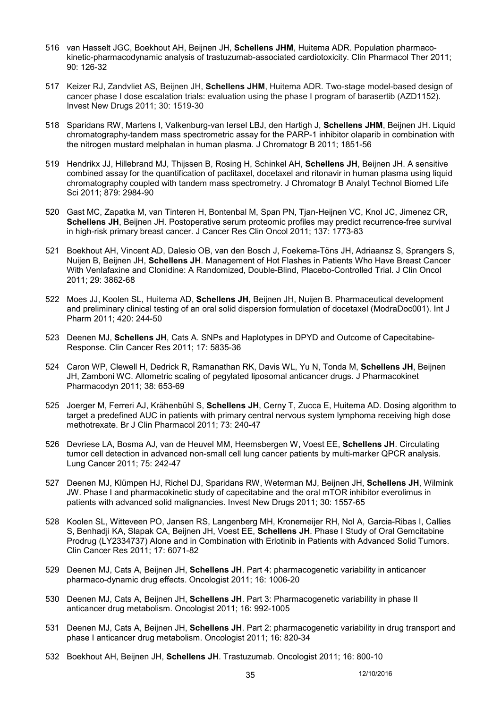- 516 van Hasselt JGC, Boekhout AH, Beijnen JH, **Schellens JHM**, Huitema ADR. Population pharmacokinetic-pharmacodynamic analysis of trastuzumab-associated cardiotoxicity. Clin Pharmacol Ther 2011; 90: 126-32
- 517 Keizer RJ, Zandvliet AS, Beijnen JH, **Schellens JHM**, Huitema ADR. Two-stage model-based design of cancer phase I dose escalation trials: evaluation using the phase I program of barasertib (AZD1152). Invest New Drugs 2011; 30: 1519-30
- 518 Sparidans RW, Martens I, Valkenburg-van Iersel LBJ, den Hartigh J, **Schellens JHM**, Beijnen JH. Liquid chromatography-tandem mass spectrometric assay for the PARP-1 inhibitor olaparib in combination with the nitrogen mustard melphalan in human plasma. J Chromatogr B 2011; 1851-56
- 519 Hendrikx JJ, Hillebrand MJ, Thijssen B, Rosing H, Schinkel AH, **Schellens JH**, Beijnen JH. A sensitive combined assay for the quantification of paclitaxel, docetaxel and ritonavir in human plasma using liquid chromatography coupled with tandem mass spectrometry. J Chromatogr B Analyt Technol Biomed Life Sci 2011; 879: 2984-90
- 520 Gast MC, Zapatka M, van Tinteren H, Bontenbal M, Span PN, Tjan-Heijnen VC, Knol JC, Jimenez CR, **Schellens JH**, Beijnen JH. Postoperative serum proteomic profiles may predict recurrence-free survival in high-risk primary breast cancer. J Cancer Res Clin Oncol 2011; 137: 1773-83
- 521 Boekhout AH, Vincent AD, Dalesio OB, van den Bosch J, Foekema-Töns JH, Adriaansz S, Sprangers S, Nuijen B, Beijnen JH, **Schellens JH**. Management of Hot Flashes in Patients Who Have Breast Cancer With Venlafaxine and Clonidine: A Randomized, Double-Blind, Placebo-Controlled Trial. J Clin Oncol 2011; 29: 3862-68
- 522 Moes JJ, Koolen SL, Huitema AD, **Schellens JH**, Beijnen JH, Nuijen B. Pharmaceutical development and preliminary clinical testing of an oral solid dispersion formulation of docetaxel (ModraDoc001). Int J Pharm 2011; 420: 244-50
- 523 Deenen MJ, **Schellens JH**, Cats A. SNPs and Haplotypes in DPYD and Outcome of Capecitabine-Response. Clin Cancer Res 2011; 17: 5835-36
- 524 Caron WP, Clewell H, Dedrick R, Ramanathan RK, Davis WL, Yu N, Tonda M, **Schellens JH**, Beijnen JH, Zamboni WC. Allometric scaling of pegylated liposomal anticancer drugs. J Pharmacokinet Pharmacodyn 2011; 38: 653-69
- 525 Joerger M, Ferreri AJ, Krähenbühl S, **Schellens JH**, Cerny T, Zucca E, Huitema AD. Dosing algorithm to target a predefined AUC in patients with primary central nervous system lymphoma receiving high dose methotrexate. Br J Clin Pharmacol 2011; 73: 240-47
- 526 Devriese LA, Bosma AJ, van de Heuvel MM, Heemsbergen W, Voest EE, **Schellens JH**. Circulating tumor cell detection in advanced non-small cell lung cancer patients by multi-marker QPCR analysis. Lung Cancer 2011; 75: 242-47
- 527 Deenen MJ, Klümpen HJ, Richel DJ, Sparidans RW, Weterman MJ, Beijnen JH, **Schellens JH**, Wilmink JW. Phase I and pharmacokinetic study of capecitabine and the oral mTOR inhibitor everolimus in patients with advanced solid malignancies. Invest New Drugs 2011; 30: 1557-65
- 528 Koolen SL, Witteveen PO, Jansen RS, Langenberg MH, Kronemeijer RH, Nol A, Garcia-Ribas I, Callies S, Benhadji KA, Slapak CA, Beijnen JH, Voest EE, **Schellens JH**. Phase I Study of Oral Gemcitabine Prodrug (LY2334737) Alone and in Combination with Erlotinib in Patients with Advanced Solid Tumors. Clin Cancer Res 2011; 17: 6071-82
- 529 Deenen MJ, Cats A, Beijnen JH, **Schellens JH**. Part 4: pharmacogenetic variability in anticancer pharmaco-dynamic drug effects. Oncologist 2011; 16: 1006-20
- 530 Deenen MJ, Cats A, Beijnen JH, **Schellens JH**. Part 3: Pharmacogenetic variability in phase II anticancer drug metabolism. Oncologist 2011; 16: 992-1005
- 531 Deenen MJ, Cats A, Beijnen JH, **Schellens JH**. Part 2: pharmacogenetic variability in drug transport and phase I anticancer drug metabolism. Oncologist 2011; 16: 820-34
- 532 Boekhout AH, Beijnen JH, **Schellens JH**. Trastuzumab. Oncologist 2011; 16: 800-10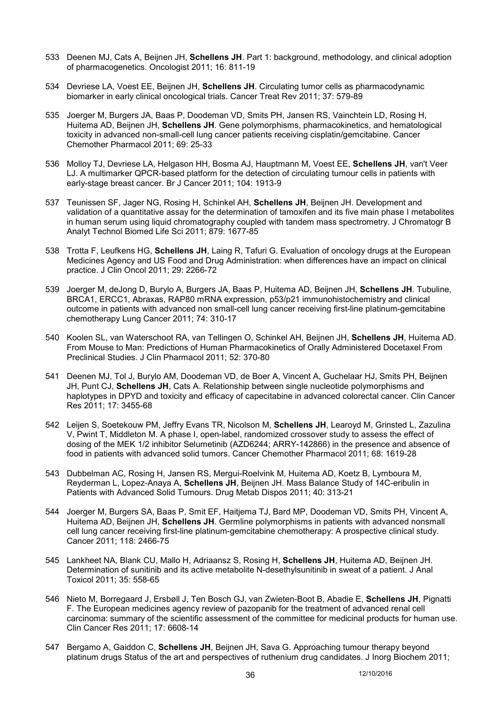- 533 Deenen MJ, Cats A, Beijnen JH, **Schellens JH**. Part 1: background, methodology, and clinical adoption of pharmacogenetics. Oncologist 2011; 16: 811-19
- 534 Devriese LA, Voest EE, Beijnen JH, **Schellens JH**. Circulating tumor cells as pharmacodynamic biomarker in early clinical oncological trials. Cancer Treat Rev 2011; 37: 579-89
- 535 Joerger M, Burgers JA, Baas P, Doodeman VD, Smits PH, Jansen RS, Vainchtein LD, Rosing H, Huitema AD, Beijnen JH, **Schellens JH**. Gene polymorphisms, pharmacokinetics, and hematological toxicity in advanced non-small-cell lung cancer patients receiving cisplatin/gemcitabine. Cancer Chemother Pharmacol 2011; 69: 25-33
- 536 Molloy TJ, Devriese LA, Helgason HH, Bosma AJ, Hauptmann M, Voest EE, **Schellens JH**, van't Veer LJ. A multimarker QPCR-based platform for the detection of circulating tumour cells in patients with early-stage breast cancer. Br J Cancer 2011; 104: 1913-9
- 537 Teunissen SF, Jager NG, Rosing H, Schinkel AH, **Schellens JH**, Beijnen JH. Development and validation of a quantitative assay for the determination of tamoxifen and its five main phase I metabolites in human serum using liquid chromatography coupled with tandem mass spectrometry. J Chromatogr B Analyt Technol Biomed Life Sci 2011; 879: 1677-85
- 538 Trotta F, Leufkens HG, **Schellens JH**, Laing R, Tafuri G. Evaluation of oncology drugs at the European Medicines Agency and US Food and Drug Administration: when differences have an impact on clinical practice. J Clin Oncol 2011; 29: 2266-72
- 539 Joerger M, deJong D, Burylo A, Burgers JA, Baas P, Huitema AD, Beijnen JH, **Schellens JH**. Tubuline, BRCA1, ERCC1, Abraxas, RAP80 mRNA expression, p53/p21 immunohistochemistry and clinical outcome in patients with advanced non small-cell lung cancer receiving first-line platinum-gemcitabine chemotherapy Lung Cancer 2011; 74: 310-17
- 540 Koolen SL, van Waterschoot RA, van Tellingen O, Schinkel AH, Beijnen JH, **Schellens JH**, Huitema AD. From Mouse to Man: Predictions of Human Pharmacokinetics of Orally Administered Docetaxel From Preclinical Studies. J Clin Pharmacol 2011; 52: 370-80
- 541 Deenen MJ, Tol J, Burylo AM, Doodeman VD, de Boer A, Vincent A, Guchelaar HJ, Smits PH, Beijnen JH, Punt CJ, **Schellens JH**, Cats A. Relationship between single nucleotide polymorphisms and haplotypes in DPYD and toxicity and efficacy of capecitabine in advanced colorectal cancer. Clin Cancer Res 2011; 17: 3455-68
- 542 Leijen S, Soetekouw PM, Jeffry Evans TR, Nicolson M, **Schellens JH**, Learoyd M, Grinsted L, Zazulina V, Pwint T, Middleton M. A phase I, open-label, randomized crossover study to assess the effect of dosing of the MEK 1/2 inhibitor Selumetinib (AZD6244; ARRY-142866) in the presence and absence of food in patients with advanced solid tumors. Cancer Chemother Pharmacol 2011; 68: 1619-28
- 543 Dubbelman AC, Rosing H, Jansen RS, Mergui-Roelvink M, Huitema AD, Koetz B, Lymboura M, Reyderman L, Lopez-Anaya A, **Schellens JH**, Beijnen JH. Mass Balance Study of 14C-eribulin in Patients with Advanced Solid Tumours. Drug Metab Dispos 2011; 40: 313-21
- 544 Joerger M, Burgers SA, Baas P, Smit EF, Haitjema TJ, Bard MP, Doodeman VD, Smits PH, Vincent A, Huitema AD, Beijnen JH, **Schellens JH**. Germline polymorphisms in patients with advanced nonsmall cell lung cancer receiving first-line platinum-gemcitabine chemotherapy: A prospective clinical study. Cancer 2011; 118: 2466-75
- 545 Lankheet NA, Blank CU, Mallo H, Adriaansz S, Rosing H, **Schellens JH**, Huitema AD, Beijnen JH. Determination of sunitinib and its active metabolite N-desethylsunitinib in sweat of a patient. J Anal Toxicol 2011; 35: 558-65
- 546 Nieto M, Borregaard J, Ersbøll J, Ten Bosch GJ, van Zwieten-Boot B, Abadie E, **Schellens JH**, Pignatti F. The European medicines agency review of pazopanib for the treatment of advanced renal cell carcinoma: summary of the scientific assessment of the committee for medicinal products for human use. Clin Cancer Res 2011; 17: 6608-14
- 547 Bergamo A, Gaiddon C, **Schellens JH**, Beijnen JH, Sava G. Approaching tumour therapy beyond platinum drugs Status of the art and perspectives of ruthenium drug candidates. J Inorg Biochem 2011;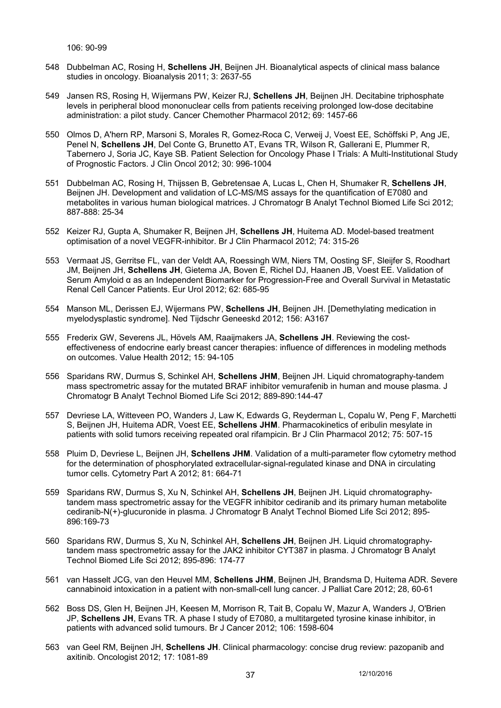106: 90-99

- 548 Dubbelman AC, Rosing H, **Schellens JH**, Beijnen JH. Bioanalytical aspects of clinical mass balance studies in oncology. Bioanalysis 2011; 3: 2637-55
- 549 Jansen RS, Rosing H, Wijermans PW, Keizer RJ, **Schellens JH**, Beijnen JH. Decitabine triphosphate levels in peripheral blood mononuclear cells from patients receiving prolonged low-dose decitabine administration: a pilot study. Cancer Chemother Pharmacol 2012; 69: 1457-66
- 550 Olmos D, A'hern RP, Marsoni S, Morales R, Gomez-Roca C, Verweij J, Voest EE, Schöffski P, Ang JE, Penel N, **Schellens JH**, Del Conte G, Brunetto AT, Evans TR, Wilson R, Gallerani E, Plummer R, Tabernero J, Soria JC, Kaye SB. Patient Selection for Oncology Phase I Trials: A Multi-Institutional Study of Prognostic Factors. J Clin Oncol 2012; 30: 996-1004
- 551 Dubbelman AC, Rosing H, Thijssen B, Gebretensae A, Lucas L, Chen H, Shumaker R, **Schellens JH**, Beijnen JH. Development and validation of LC-MS/MS assays for the quantification of E7080 and metabolites in various human biological matrices. J Chromatogr B Analyt Technol Biomed Life Sci 2012; 887-888: 25-34
- 552 Keizer RJ, Gupta A, Shumaker R, Beijnen JH, **Schellens JH**, Huitema AD. Model-based treatment optimisation of a novel VEGFR-inhibitor. Br J Clin Pharmacol 2012; 74: 315-26
- 553 Vermaat JS, Gerritse FL, van der Veldt AA, Roessingh WM, Niers TM, Oosting SF, Sleijfer S, Roodhart JM, Beijnen JH, **Schellens JH**, Gietema JA, Boven E, Richel DJ, Haanen JB, Voest EE. Validation of Serum Amyloid α as an Independent Biomarker for Progression-Free and Overall Survival in Metastatic Renal Cell Cancer Patients. Eur Urol 2012; 62: 685-95
- 554 Manson ML, Derissen EJ, Wijermans PW, **Schellens JH**, Beijnen JH. [Demethylating medication in myelodysplastic syndrome]. Ned Tijdschr Geneeskd 2012; 156: A3167
- 555 Frederix GW, Severens JL, Hövels AM, Raaijmakers JA, **Schellens JH**. Reviewing the costeffectiveness of endocrine early breast cancer therapies: influence of differences in modeling methods on outcomes. Value Health 2012; 15: 94-105
- 556 Sparidans RW, Durmus S, Schinkel AH, **Schellens JHM**, Beijnen JH. Liquid chromatography-tandem mass spectrometric assay for the mutated BRAF inhibitor vemurafenib in human and mouse plasma. J Chromatogr B Analyt Technol Biomed Life Sci 2012; 889-890:144-47
- 557 Devriese LA, Witteveen PO, Wanders J, Law K, Edwards G, Reyderman L, Copalu W, Peng F, Marchetti S, Beijnen JH, Huitema ADR, Voest EE, **Schellens JHM**. Pharmacokinetics of eribulin mesylate in patients with solid tumors receiving repeated oral rifampicin. Br J Clin Pharmacol 2012; 75: 507-15
- 558 Pluim D, Devriese L, Beijnen JH, **Schellens JHM**. Validation of a multi-parameter flow cytometry method for the determination of phosphorylated extracellular-signal-regulated kinase and DNA in circulating tumor cells. Cytometry Part A 2012; 81: 664-71
- 559 Sparidans RW, Durmus S, Xu N, Schinkel AH, **Schellens JH**, Beijnen JH. Liquid chromatographytandem mass spectrometric assay for the VEGFR inhibitor cediranib and its primary human metabolite cediranib-N(+)-glucuronide in plasma. J Chromatogr B Analyt Technol Biomed Life Sci 2012; 895- 896:169-73
- 560 Sparidans RW, Durmus S, Xu N, Schinkel AH, **Schellens JH**, Beijnen JH. Liquid chromatographytandem mass spectrometric assay for the JAK2 inhibitor CYT387 in plasma. J Chromatogr B Analyt Technol Biomed Life Sci 2012; 895-896: 174-77
- 561 van Hasselt JCG, van den Heuvel MM, **Schellens JHM**, Beijnen JH, Brandsma D, Huitema ADR. Severe cannabinoid intoxication in a patient with non-small-cell lung cancer. J Palliat Care 2012; 28, 60-61
- 562 Boss DS, Glen H, Beijnen JH, Keesen M, Morrison R, Tait B, Copalu W, Mazur A, Wanders J, O'Brien JP, **Schellens JH**, Evans TR. A phase I study of E7080, a multitargeted tyrosine kinase inhibitor, in patients with advanced solid tumours. Br J Cancer 2012; 106: 1598-604
- 563 van Geel RM, Beijnen JH, **Schellens JH**. Clinical pharmacology: concise drug review: pazopanib and axitinib. Oncologist 2012; 17: 1081-89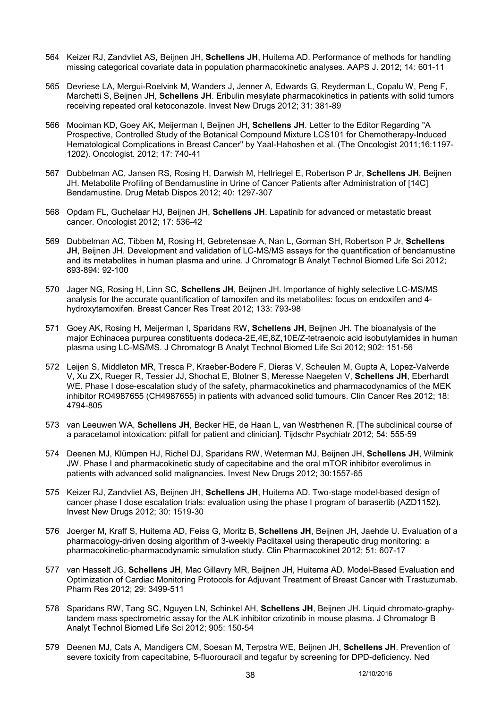- 564 Keizer RJ, Zandvliet AS, Beijnen JH, **Schellens JH**, Huitema AD. Performance of methods for handling missing categorical covariate data in population pharmacokinetic analyses. AAPS J. 2012; 14: 601-11
- 565 Devriese LA, Mergui-Roelvink M, Wanders J, Jenner A, Edwards G, Reyderman L, Copalu W, Peng F, Marchetti S, Beijnen JH, **Schellens JH**. Eribulin mesylate pharmacokinetics in patients with solid tumors receiving repeated oral ketoconazole. Invest New Drugs 2012; 31: 381-89
- 566 Mooiman KD, Goey AK, Meijerman I, Beijnen JH, **Schellens JH**. Letter to the Editor Regarding "A Prospective, Controlled Study of the Botanical Compound Mixture LCS101 for Chemotherapy-Induced Hematological Complications in Breast Cancer" by Yaal-Hahoshen et al. (The Oncologist 2011;16:1197- 1202). Oncologist. 2012; 17: 740-41
- 567 Dubbelman AC, Jansen RS, Rosing H, Darwish M, Hellriegel E, Robertson P Jr, **Schellens JH**, Beijnen JH. Metabolite Profiling of Bendamustine in Urine of Cancer Patients after Administration of [14C] Bendamustine. Drug Metab Dispos 2012; 40: 1297-307
- 568 Opdam FL, Guchelaar HJ, Beijnen JH, **Schellens JH**. Lapatinib for advanced or metastatic breast cancer. Oncologist 2012; 17: 536-42
- 569 Dubbelman AC, Tibben M, Rosing H, Gebretensae A, Nan L, Gorman SH, Robertson P Jr, **Schellens JH**, Beijnen JH. Development and validation of LC-MS/MS assays for the quantification of bendamustine and its metabolites in human plasma and urine. J Chromatogr B Analyt Technol Biomed Life Sci 2012; 893-894: 92-100
- 570 Jager NG, Rosing H, Linn SC, **Schellens JH**, Beijnen JH. Importance of highly selective LC-MS/MS analysis for the accurate quantification of tamoxifen and its metabolites: focus on endoxifen and 4 hydroxytamoxifen. Breast Cancer Res Treat 2012; 133: 793-98
- 571 Goey AK, Rosing H, Meijerman I, Sparidans RW, **Schellens JH**, Beijnen JH. The bioanalysis of the major Echinacea purpurea constituents dodeca-2E,4E,8Z,10E/Z-tetraenoic acid isobutylamides in human plasma using LC-MS/MS. J Chromatogr B Analyt Technol Biomed Life Sci 2012; 902: 151-56
- 572 Leijen S, Middleton MR, Tresca P, Kraeber-Bodere F, Dieras V, Scheulen M, Gupta A, Lopez-Valverde V, Xu ZX, Rueger R, Tessier JJ, Shochat E, Blotner S, Meresse Naegelen V, **Schellens JH**, Eberhardt WE. Phase I dose-escalation study of the safety, pharmacokinetics and pharmacodynamics of the MEK inhibitor RO4987655 (CH4987655) in patients with advanced solid tumours. Clin Cancer Res 2012; 18: 4794-805
- 573 van Leeuwen WA, **Schellens JH**, Becker HE, de Haan L, van Westrhenen R. [The subclinical course of a paracetamol intoxication: pitfall for patient and clinician]. Tijdschr Psychiatr 2012; 54: 555-59
- 574 Deenen MJ, Klümpen HJ, Richel DJ, Sparidans RW, Weterman MJ, Beijnen JH, **Schellens JH**, Wilmink JW. Phase I and pharmacokinetic study of capecitabine and the oral mTOR inhibitor everolimus in patients with advanced solid malignancies. Invest New Drugs 2012; 30:1557-65
- 575 Keizer RJ, Zandvliet AS, Beijnen JH, **Schellens JH**, Huitema AD. Two-stage model-based design of cancer phase I dose escalation trials: evaluation using the phase I program of barasertib (AZD1152). Invest New Drugs 2012; 30: 1519-30
- 576 Joerger M, Kraff S, Huitema AD, Feiss G, Moritz B, **Schellens JH**, Beijnen JH, Jaehde U. Evaluation of a pharmacology-driven dosing algorithm of 3-weekly Paclitaxel using therapeutic drug monitoring: a pharmacokinetic-pharmacodynamic simulation study. Clin Pharmacokinet 2012; 51: 607-17
- 577 van Hasselt JG, **Schellens JH**, Mac Gillavry MR, Beijnen JH, Huitema AD. Model-Based Evaluation and Optimization of Cardiac Monitoring Protocols for Adjuvant Treatment of Breast Cancer with Trastuzumab. Pharm Res 2012; 29: 3499-511
- 578 Sparidans RW, Tang SC, Nguyen LN, Schinkel AH, **Schellens JH**, Beijnen JH. Liquid chromato-graphytandem mass spectrometric assay for the ALK inhibitor crizotinib in mouse plasma. J Chromatogr B Analyt Technol Biomed Life Sci 2012; 905: 150-54
- 579 Deenen MJ, Cats A, Mandigers CM, Soesan M, Terpstra WE, Beijnen JH, **Schellens JH**. Prevention of severe toxicity from capecitabine, 5-fluorouracil and tegafur by screening for DPD-deficiency. Ned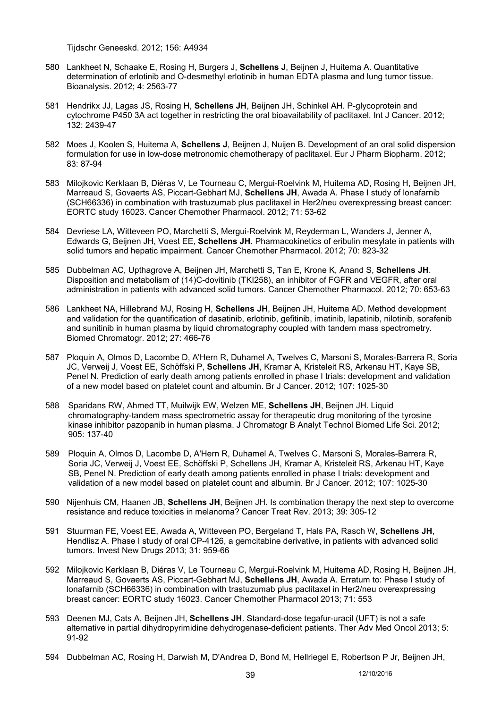Tijdschr Geneeskd. 2012; 156: A4934

- 580 Lankheet N, Schaake E, Rosing H, Burgers J, **Schellens J**, Beijnen J, Huitema A. Quantitative determination of erlotinib and O-desmethyl erlotinib in human EDTA plasma and lung tumor tissue. Bioanalysis. 2012; 4: 2563-77
- 581 Hendrikx JJ, Lagas JS, Rosing H, **Schellens JH**, Beijnen JH, Schinkel AH. P-glycoprotein and cytochrome P450 3A act together in restricting the oral bioavailability of paclitaxel. Int J Cancer. 2012; 132: 2439-47
- 582 Moes J, Koolen S, Huitema A, **Schellens J**, Beijnen J, Nuijen B. Development of an oral solid dispersion formulation for use in low-dose metronomic chemotherapy of paclitaxel. Eur J Pharm Biopharm. 2012; 83: 87-94
- 583 Milojkovic Kerklaan B, Diéras V, Le Tourneau C, Mergui-Roelvink M, Huitema AD, Rosing H, Beijnen JH, Marreaud S, Govaerts AS, Piccart-Gebhart MJ, **Schellens JH**, Awada A. Phase I study of lonafarnib (SCH66336) in combination with trastuzumab plus paclitaxel in Her2/neu overexpressing breast cancer: EORTC study 16023. Cancer Chemother Pharmacol. 2012; 71: 53-62
- 584 Devriese LA, Witteveen PO, Marchetti S, Mergui-Roelvink M, Reyderman L, Wanders J, Jenner A, Edwards G, Beijnen JH, Voest EE, **Schellens JH**. Pharmacokinetics of eribulin mesylate in patients with solid tumors and hepatic impairment. Cancer Chemother Pharmacol. 2012; 70: 823-32
- 585 Dubbelman AC, Upthagrove A, Beijnen JH, Marchetti S, Tan E, Krone K, Anand S, **Schellens JH**. Disposition and metabolism of (14)C-dovitinib (TKI258), an inhibitor of FGFR and VEGFR, after oral administration in patients with advanced solid tumors. Cancer Chemother Pharmacol. 2012; 70: 653-63
- 586 Lankheet NA, Hillebrand MJ, Rosing H, **Schellens JH**, Beijnen JH, Huitema AD. Method development and validation for the quantification of dasatinib, erlotinib, gefitinib, imatinib, lapatinib, nilotinib, sorafenib and sunitinib in human plasma by liquid chromatography coupled with tandem mass spectrometry. Biomed Chromatogr. 2012; 27: 466-76
- 587 Ploquin A, Olmos D, Lacombe D, A'Hern R, Duhamel A, Twelves C, Marsoni S, Morales-Barrera R, Soria JC, Verweij J, Voest EE, Schöffski P, **Schellens JH**, Kramar A, Kristeleit RS, Arkenau HT, Kaye SB, Penel N. Prediction of early death among patients enrolled in phase I trials: development and validation of a new model based on platelet count and albumin. Br J Cancer. 2012; 107: 1025-30
- 588 Sparidans RW, Ahmed TT, Muilwijk EW, Welzen ME, **Schellens JH**, Beijnen JH. Liquid chromatography-tandem mass spectrometric assay for therapeutic drug monitoring of the tyrosine kinase inhibitor pazopanib in human plasma. J Chromatogr B Analyt Technol Biomed Life Sci. 2012; 905: 137-40
- 589 Ploquin A, Olmos D, Lacombe D, A'Hern R, Duhamel A, Twelves C, Marsoni S, Morales-Barrera R, Soria JC, Verweij J, Voest EE, Schöffski P, Schellens JH, Kramar A, Kristeleit RS, Arkenau HT, Kaye SB, Penel N. Prediction of early death among patients enrolled in phase I trials: development and validation of a new model based on platelet count and albumin. Br J Cancer. 2012; 107: 1025-30
- 590 Nijenhuis CM, Haanen JB, **Schellens JH**, Beijnen JH. Is combination therapy the next step to overcome resistance and reduce toxicities in melanoma? Cancer Treat Rev. 2013; 39: 305-12
- 591 Stuurman FE, Voest EE, Awada A, Witteveen PO, Bergeland T, Hals PA, Rasch W, **Schellens JH**, Hendlisz A. Phase I study of oral CP-4126, a gemcitabine derivative, in patients with advanced solid tumors. Invest New Drugs 2013; 31: 959-66
- 592 Milojkovic Kerklaan B, Diéras V, Le Tourneau C, Mergui-Roelvink M, Huitema AD, Rosing H, Beijnen JH, Marreaud S, Govaerts AS, Piccart-Gebhart MJ, **Schellens JH**, Awada A. Erratum to: Phase I study of lonafarnib (SCH66336) in combination with trastuzumab plus paclitaxel in Her2/neu overexpressing breast cancer: EORTC study 16023. Cancer Chemother Pharmacol 2013; 71: 553
- 593 Deenen MJ, Cats A, Beijnen JH, **Schellens JH**. Standard-dose tegafur-uracil (UFT) is not a safe alternative in partial dihydropyrimidine dehydrogenase-deficient patients. Ther Adv Med Oncol 2013; 5: 91-92
- 594 Dubbelman AC, Rosing H, Darwish M, D'Andrea D, Bond M, Hellriegel E, Robertson P Jr, Beijnen JH,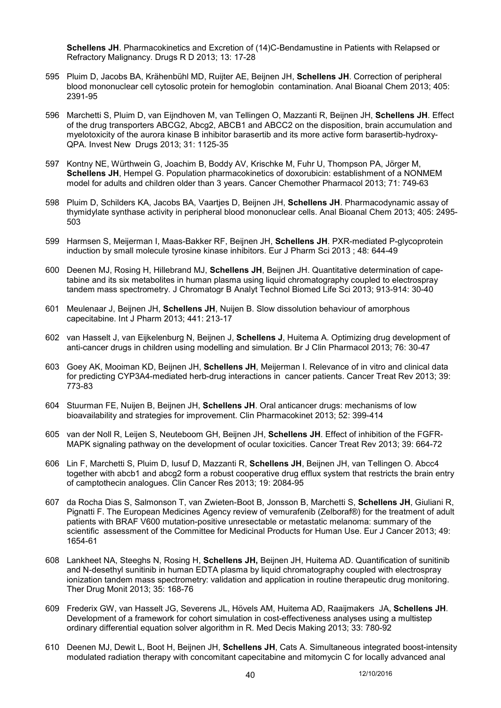**Schellens JH**. Pharmacokinetics and Excretion of (14)C-Bendamustine in Patients with Relapsed or Refractory Malignancy. Drugs R D 2013; 13: 17-28

- 595 Pluim D, Jacobs BA, Krähenbühl MD, Ruijter AE, Beijnen JH, **Schellens JH**. Correction of peripheral blood mononuclear cell cytosolic protein for hemoglobin contamination. Anal Bioanal Chem 2013; 405: 2391-95
- 596 Marchetti S, Pluim D, van Eijndhoven M, van Tellingen O, Mazzanti R, Beijnen JH, **Schellens JH**. Effect of the drug transporters ABCG2, Abcg2, ABCB1 and ABCC2 on the disposition, brain accumulation and myelotoxicity of the aurora kinase B inhibitor barasertib and its more active form barasertib-hydroxy-QPA. Invest New Drugs 2013; 31: 1125-35
- 597 Kontny NE, Würthwein G, Joachim B, Boddy AV, Krischke M, Fuhr U, Thompson PA, Jörger M, **Schellens JH**, Hempel G. Population pharmacokinetics of doxorubicin: establishment of a NONMEM model for adults and children older than 3 years. Cancer Chemother Pharmacol 2013; 71: 749-63
- 598 Pluim D, Schilders KA, Jacobs BA, Vaartjes D, Beijnen JH, **Schellens JH**. Pharmacodynamic assay of thymidylate synthase activity in peripheral blood mononuclear cells. Anal Bioanal Chem 2013; 405: 2495- 503
- 599 Harmsen S, Meijerman I, Maas-Bakker RF, Beijnen JH, **Schellens JH**. PXR-mediated P-glycoprotein induction by small molecule tyrosine kinase inhibitors. Eur J Pharm Sci 2013 ; 48: 644-49
- 600 Deenen MJ, Rosing H, Hillebrand MJ, **Schellens JH**, Beijnen JH. Quantitative determination of capetabine and its six metabolites in human plasma using liquid chromatography coupled to electrospray tandem mass spectrometry. J Chromatogr B Analyt Technol Biomed Life Sci 2013; 913-914: 30-40
- 601 Meulenaar J, Beijnen JH, **Schellens JH**, Nuijen B. Slow dissolution behaviour of amorphous capecitabine. Int J Pharm 2013; 441: 213-17
- 602 van Hasselt J, van Eijkelenburg N, Beijnen J, **Schellens J**, Huitema A. Optimizing drug development of anti-cancer drugs in children using modelling and simulation. Br J Clin Pharmacol 2013; 76: 30-47
- 603 Goey AK, Mooiman KD, Beijnen JH, **Schellens JH**, Meijerman I. Relevance of in vitro and clinical data for predicting CYP3A4-mediated herb-drug interactions in cancer patients. Cancer Treat Rev 2013; 39: 773-83
- 604 Stuurman FE, Nuijen B, Beijnen JH, **Schellens JH**. Oral anticancer drugs: mechanisms of low bioavailability and strategies for improvement. Clin Pharmacokinet 2013; 52: 399-414
- 605 van der Noll R, Leijen S, Neuteboom GH, Beijnen JH, **Schellens JH**. Effect of inhibition of the FGFR-MAPK signaling pathway on the development of ocular toxicities. Cancer Treat Rev 2013; 39: 664-72
- 606 Lin F, Marchetti S, Pluim D, Iusuf D, Mazzanti R, **Schellens JH**, Beijnen JH, van Tellingen O. Abcc4 together with abcb1 and abcg2 form a robust cooperative drug efflux system that restricts the brain entry of camptothecin analogues. Clin Cancer Res 2013; 19: 2084-95
- 607 da Rocha Dias S, Salmonson T, van Zwieten-Boot B, Jonsson B, Marchetti S, **Schellens JH**, Giuliani R, Pignatti F. The European Medicines Agency review of vemurafenib (Zelboraf®) for the treatment of adult patients with BRAF V600 mutation-positive unresectable or metastatic melanoma: summary of the scientific assessment of the Committee for Medicinal Products for Human Use. Eur J Cancer 2013; 49: 1654-61
- 608 Lankheet NA, Steeghs N, Rosing H, **Schellens JH,** Beijnen JH, Huitema AD. Quantification of sunitinib and N-desethyl sunitinib in human EDTA plasma by liquid chromatography coupled with electrospray ionization tandem mass spectrometry: validation and application in routine therapeutic drug monitoring. Ther Drug Monit 2013; 35: 168-76
- 609 Frederix GW, van Hasselt JG, Severens JL, Hövels AM, Huitema AD, Raaijmakers JA, **Schellens JH**. Development of a framework for cohort simulation in cost-effectiveness analyses using a multistep ordinary differential equation solver algorithm in R. Med Decis Making 2013; 33: 780-92
- 610 Deenen MJ, Dewit L, Boot H, Beijnen JH, **Schellens JH**, Cats A. Simultaneous integrated boost-intensity modulated radiation therapy with concomitant capecitabine and mitomycin C for locally advanced anal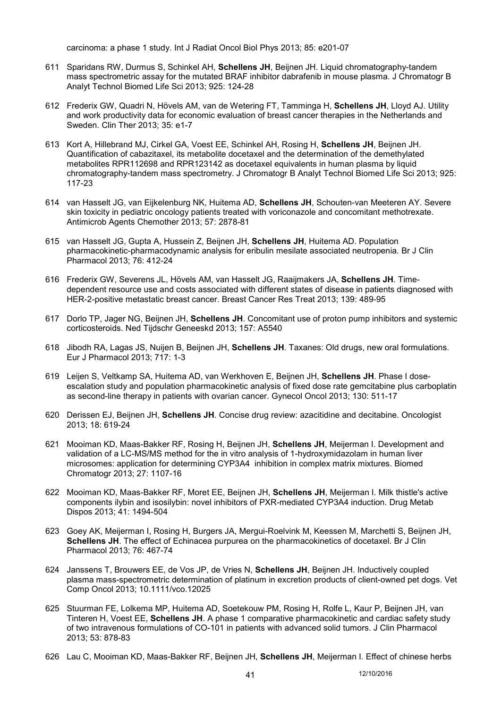carcinoma: a phase 1 study. Int J Radiat Oncol Biol Phys 2013; 85: e201-07

- 611 Sparidans RW, Durmus S, Schinkel AH, **Schellens JH**, Beijnen JH. Liquid chromatography-tandem mass spectrometric assay for the mutated BRAF inhibitor dabrafenib in mouse plasma. J Chromatogr B Analyt Technol Biomed Life Sci 2013; 925: 124-28
- 612 Frederix GW, Quadri N, Hövels AM, van de Wetering FT, Tamminga H, **Schellens JH**, Lloyd AJ. Utility and work productivity data for economic evaluation of breast cancer therapies in the Netherlands and Sweden. Clin Ther 2013; 35: e1-7
- 613 Kort A, Hillebrand MJ, Cirkel GA, Voest EE, Schinkel AH, Rosing H, **Schellens JH**, Beijnen JH. Quantification of cabazitaxel, its metabolite docetaxel and the determination of the demethylated metabolites RPR112698 and RPR123142 as docetaxel equivalents in human plasma by liquid chromatography-tandem mass spectrometry. J Chromatogr B Analyt Technol Biomed Life Sci 2013; 925: 117-23
- 614 van Hasselt JG, van Eijkelenburg NK, Huitema AD, **Schellens JH**, Schouten-van Meeteren AY. Severe skin toxicity in pediatric oncology patients treated with voriconazole and concomitant methotrexate. Antimicrob Agents Chemother 2013; 57: 2878-81
- 615 van Hasselt JG, Gupta A, Hussein Z, Beijnen JH, **Schellens JH**, Huitema AD. Population pharmacokinetic-pharmacodynamic analysis for eribulin mesilate associated neutropenia. Br J Clin Pharmacol 2013; 76: 412-24
- 616 Frederix GW, Severens JL, Hövels AM, van Hasselt JG, Raaijmakers JA, **Schellens JH**. Timedependent resource use and costs associated with different states of disease in patients diagnosed with HER-2-positive metastatic breast cancer. Breast Cancer Res Treat 2013; 139: 489-95
- 617 Dorlo TP, Jager NG, Beijnen JH, **Schellens JH**. Concomitant use of proton pump inhibitors and systemic corticosteroids. Ned Tijdschr Geneeskd 2013; 157: A5540
- 618 Jibodh RA, Lagas JS, Nuijen B, Beijnen JH, **Schellens JH**. Taxanes: Old drugs, new oral formulations. Eur J Pharmacol 2013; 717: 1-3
- 619 Leijen S, Veltkamp SA, Huitema AD, van Werkhoven E, Beijnen JH, **Schellens JH**. Phase I doseescalation study and population pharmacokinetic analysis of fixed dose rate gemcitabine plus carboplatin as second-line therapy in patients with ovarian cancer. Gynecol Oncol 2013; 130: 511-17
- 620 Derissen EJ, Beijnen JH, **Schellens JH**. Concise drug review: azacitidine and decitabine. Oncologist 2013; 18: 619-24
- 621 Mooiman KD, Maas-Bakker RF, Rosing H, Beijnen JH, **Schellens JH**, Meijerman I. Development and validation of a LC-MS/MS method for the in vitro analysis of 1-hydroxymidazolam in human liver microsomes: application for determining CYP3A4 inhibition in complex matrix mixtures. Biomed Chromatogr 2013; 27: 1107-16
- 622 Mooiman KD, Maas-Bakker RF, Moret EE, Beijnen JH, **Schellens JH**, Meijerman I. Milk thistle's active components ilybin and isosilybin: novel inhibitors of PXR-mediated CYP3A4 induction. Drug Metab Dispos 2013; 41: 1494-504
- 623 Goey AK, Meijerman I, Rosing H, Burgers JA, Mergui-Roelvink M, Keessen M, Marchetti S, Beijnen JH, **Schellens JH**. The effect of Echinacea purpurea on the pharmacokinetics of docetaxel. Br J Clin Pharmacol 2013; 76: 467-74
- 624 Janssens T, Brouwers EE, de Vos JP, de Vries N, **Schellens JH**, Beijnen JH. Inductively coupled plasma mass-spectrometric determination of platinum in excretion products of client-owned pet dogs. Vet Comp Oncol 2013; 10.1111/vco.12025
- 625 Stuurman FE, Lolkema MP, Huitema AD, Soetekouw PM, Rosing H, Rolfe L, Kaur P, Beijnen JH, van Tinteren H, Voest EE, **Schellens JH**. A phase 1 comparative pharmacokinetic and cardiac safety study of two intravenous formulations of CO-101 in patients with advanced solid tumors. J Clin Pharmacol 2013; 53: 878-83
- 626 Lau C, Mooiman KD, Maas-Bakker RF, Beijnen JH, **Schellens JH**, Meijerman I. Effect of chinese herbs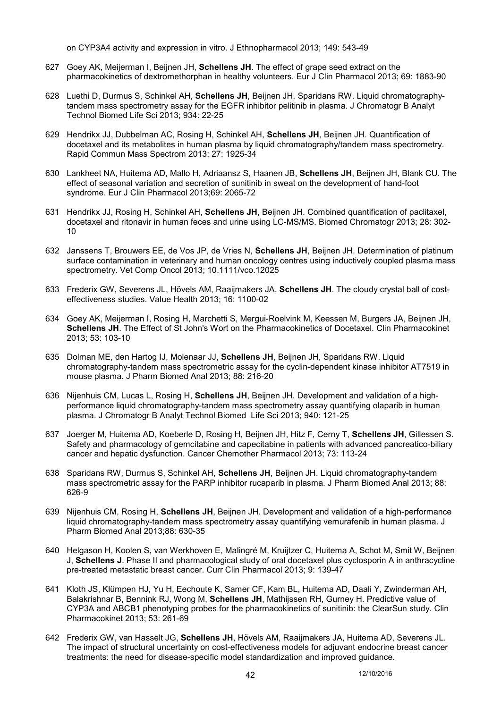on CYP3A4 activity and expression in vitro. J Ethnopharmacol 2013; 149: 543-49

- 627 Goey AK, Meijerman I, Beijnen JH, **Schellens JH**. The effect of grape seed extract on the pharmacokinetics of dextromethorphan in healthy volunteers. Eur J Clin Pharmacol 2013; 69: 1883-90
- 628 Luethi D, Durmus S, Schinkel AH, **Schellens JH**, Beijnen JH, Sparidans RW. Liquid chromatographytandem mass spectrometry assay for the EGFR inhibitor pelitinib in plasma. J Chromatogr B Analyt Technol Biomed Life Sci 2013; 934: 22-25
- 629 Hendrikx JJ, Dubbelman AC, Rosing H, Schinkel AH, **Schellens JH**, Beijnen JH. Quantification of docetaxel and its metabolites in human plasma by liquid chromatography/tandem mass spectrometry. Rapid Commun Mass Spectrom 2013; 27: 1925-34
- 630 Lankheet NA, Huitema AD, Mallo H, Adriaansz S, Haanen JB, **Schellens JH**, Beijnen JH, Blank CU. The effect of seasonal variation and secretion of sunitinib in sweat on the development of hand-foot syndrome. Eur J Clin Pharmacol 2013;69: 2065-72
- 631 Hendrikx JJ, Rosing H, Schinkel AH, **Schellens JH**, Beijnen JH. Combined quantification of paclitaxel, docetaxel and ritonavir in human feces and urine using LC-MS/MS. Biomed Chromatogr 2013; 28: 302- 10
- 632 Janssens T, Brouwers EE, de Vos JP, de Vries N, **Schellens JH**, Beijnen JH. Determination of platinum surface contamination in veterinary and human oncology centres using inductively coupled plasma mass spectrometry. Vet Comp Oncol 2013; 10.1111/vco.12025
- 633 Frederix GW, Severens JL, Hövels AM, Raaijmakers JA, **Schellens JH**. The cloudy crystal ball of costeffectiveness studies. Value Health 2013; 16: 1100-02
- 634 Goey AK, Meijerman I, Rosing H, Marchetti S, Mergui-Roelvink M, Keessen M, Burgers JA, Beijnen JH, **Schellens JH**. The Effect of St John's Wort on the Pharmacokinetics of Docetaxel. Clin Pharmacokinet 2013; 53: 103-10
- 635 Dolman ME, den Hartog IJ, Molenaar JJ, **Schellens JH**, Beijnen JH, Sparidans RW. Liquid chromatography-tandem mass spectrometric assay for the cyclin-dependent kinase inhibitor AT7519 in mouse plasma. J Pharm Biomed Anal 2013; 88: 216-20
- 636 Nijenhuis CM, Lucas L, Rosing H, **Schellens JH**, Beijnen JH. Development and validation of a highperformance liquid chromatography-tandem mass spectrometry assay quantifying olaparib in human plasma. J Chromatogr B Analyt Technol Biomed Life Sci 2013; 940: 121-25
- 637 Joerger M, Huitema AD, Koeberle D, Rosing H, Beijnen JH, Hitz F, Cerny T, **Schellens JH**, Gillessen S. Safety and pharmacology of gemcitabine and capecitabine in patients with advanced pancreatico-biliary cancer and hepatic dysfunction. Cancer Chemother Pharmacol 2013; 73: 113-24
- 638 Sparidans RW, Durmus S, Schinkel AH, **Schellens JH**, Beijnen JH. Liquid chromatography-tandem mass spectrometric assay for the PARP inhibitor rucaparib in plasma. J Pharm Biomed Anal 2013; 88: 626-9
- 639 Nijenhuis CM, Rosing H, **Schellens JH**, Beijnen JH. Development and validation of a high-performance liquid chromatography-tandem mass spectrometry assay quantifying vemurafenib in human plasma. J Pharm Biomed Anal 2013;88: 630-35
- 640 Helgason H, Koolen S, van Werkhoven E, Malingré M, Kruijtzer C, Huitema A, Schot M, Smit W, Beijnen J, **Schellens J**. Phase II and pharmacological study of oral docetaxel plus cyclosporin A in anthracycline pre-treated metastatic breast cancer. Curr Clin Pharmacol 2013; 9: 139-47
- 641 Kloth JS, Klümpen HJ, Yu H, Eechoute K, Samer CF, Kam BL, Huitema AD, Daali Y, Zwinderman AH, Balakrishnar B, Bennink RJ, Wong M, **Schellens JH**, Mathijssen RH, Gurney H. Predictive value of CYP3A and ABCB1 phenotyping probes for the pharmacokinetics of sunitinib: the ClearSun study. Clin Pharmacokinet 2013; 53: 261-69
- 642 Frederix GW, van Hasselt JG, **Schellens JH**, Hövels AM, Raaijmakers JA, Huitema AD, Severens JL. The impact of structural uncertainty on cost-effectiveness models for adjuvant endocrine breast cancer treatments: the need for disease-specific model standardization and improved guidance.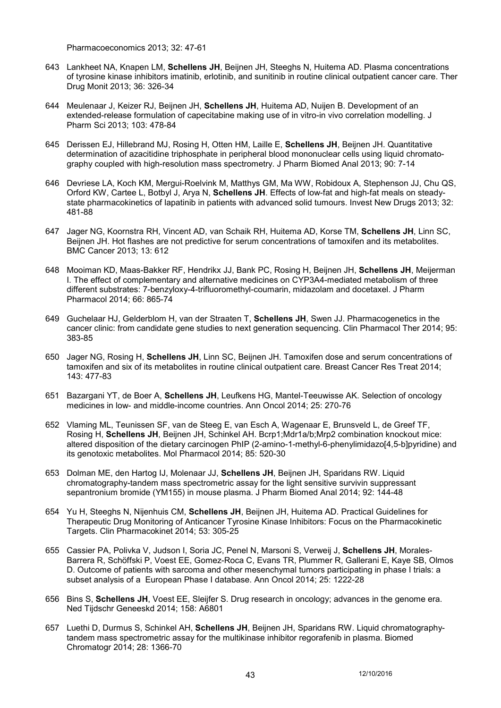Pharmacoeconomics 2013; 32: 47-61

- 643 Lankheet NA, Knapen LM, **Schellens JH**, Beijnen JH, Steeghs N, Huitema AD. Plasma concentrations of tyrosine kinase inhibitors imatinib, erlotinib, and sunitinib in routine clinical outpatient cancer care. Ther Drug Monit 2013; 36: 326-34
- 644 Meulenaar J, Keizer RJ, Beijnen JH, **Schellens JH**, Huitema AD, Nuijen B. Development of an extended-release formulation of capecitabine making use of in vitro-in vivo correlation modelling. J Pharm Sci 2013; 103: 478-84
- 645 Derissen EJ, Hillebrand MJ, Rosing H, Otten HM, Laille E, **Schellens JH**, Beijnen JH. Quantitative determination of azacitidine triphosphate in peripheral blood mononuclear cells using liquid chromatography coupled with high-resolution mass spectrometry. J Pharm Biomed Anal 2013; 90: 7-14
- 646 Devriese LA, Koch KM, Mergui-Roelvink M, Matthys GM, Ma WW, Robidoux A, Stephenson JJ, Chu QS, Orford KW, Cartee L, Botbyl J, Arya N, **Schellens JH**. Effects of low-fat and high-fat meals on steadystate pharmacokinetics of lapatinib in patients with advanced solid tumours. Invest New Drugs 2013; 32: 481-88
- 647 Jager NG, Koornstra RH, Vincent AD, van Schaik RH, Huitema AD, Korse TM, **Schellens JH**, Linn SC, Beijnen JH. Hot flashes are not predictive for serum concentrations of tamoxifen and its metabolites. BMC Cancer 2013; 13: 612
- 648 Mooiman KD, Maas-Bakker RF, Hendrikx JJ, Bank PC, Rosing H, Beijnen JH, **Schellens JH**, Meijerman I. The effect of complementary and alternative medicines on CYP3A4-mediated metabolism of three different substrates: 7-benzyloxy-4-trifluoromethyl-coumarin, midazolam and docetaxel. J Pharm Pharmacol 2014; 66: 865-74
- 649 Guchelaar HJ, Gelderblom H, van der Straaten T, **Schellens JH**, Swen JJ. Pharmacogenetics in the cancer clinic: from candidate gene studies to next generation sequencing. Clin Pharmacol Ther 2014; 95: 383-85
- 650 Jager NG, Rosing H, **Schellens JH**, Linn SC, Beijnen JH. Tamoxifen dose and serum concentrations of tamoxifen and six of its metabolites in routine clinical outpatient care. Breast Cancer Res Treat 2014; 143: 477-83
- 651 Bazargani YT, de Boer A, **Schellens JH**, Leufkens HG, Mantel-Teeuwisse AK. Selection of oncology medicines in low- and middle-income countries. Ann Oncol 2014; 25: 270-76
- 652 Vlaming ML, Teunissen SF, van de Steeg E, van Esch A, Wagenaar E, Brunsveld L, de Greef TF, Rosing H, **Schellens JH**, Beijnen JH, Schinkel AH. Bcrp1;Mdr1a/b;Mrp2 combination knockout mice: altered disposition of the dietary carcinogen PhIP (2-amino-1-methyl-6-phenylimidazo[4,5-b]pyridine) and its genotoxic metabolites. Mol Pharmacol 2014; 85: 520-30
- 653 Dolman ME, den Hartog IJ, Molenaar JJ, **Schellens JH**, Beijnen JH, Sparidans RW. Liquid chromatography-tandem mass spectrometric assay for the light sensitive survivin suppressant sepantronium bromide (YM155) in mouse plasma. J Pharm Biomed Anal 2014; 92: 144-48
- 654 Yu H, Steeghs N, Nijenhuis CM, **Schellens JH**, Beijnen JH, Huitema AD. Practical Guidelines for Therapeutic Drug Monitoring of Anticancer Tyrosine Kinase Inhibitors: Focus on the Pharmacokinetic Targets. Clin Pharmacokinet 2014; 53: 305-25
- 655 Cassier PA, Polivka V, Judson I, Soria JC, Penel N, Marsoni S, Verweij J, **Schellens JH**, Morales-Barrera R, Schöffski P, Voest EE, Gomez-Roca C, Evans TR, Plummer R, Gallerani E, Kaye SB, Olmos D. Outcome of patients with sarcoma and other mesenchymal tumors participating in phase I trials: a subset analysis of a European Phase I database. Ann Oncol 2014; 25: 1222-28
- 656 Bins S, **Schellens JH**, Voest EE, Sleijfer S. Drug research in oncology; advances in the genome era. Ned Tijdschr Geneeskd 2014; 158: A6801
- 657 Luethi D, Durmus S, Schinkel AH, **Schellens JH**, Beijnen JH, Sparidans RW. Liquid chromatographytandem mass spectrometric assay for the multikinase inhibitor regorafenib in plasma. Biomed Chromatogr 2014; 28: 1366-70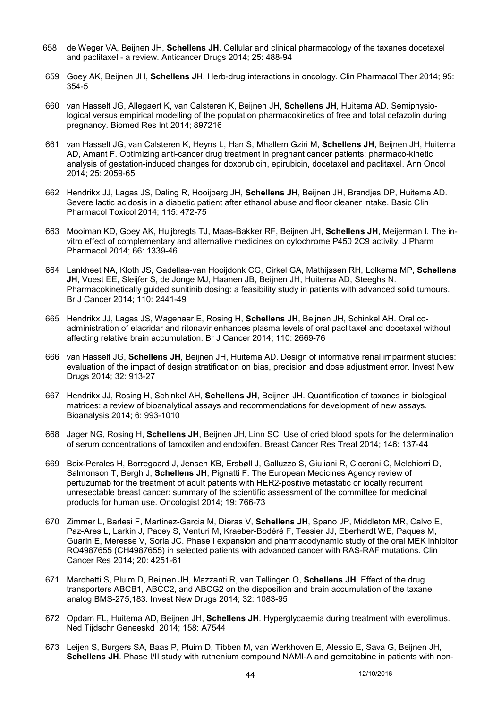- 658 de Weger VA, Beijnen JH, **Schellens JH**. Cellular and clinical pharmacology of the taxanes docetaxel and paclitaxel - a review. Anticancer Drugs 2014; 25: 488-94
- 659 Goey AK, Beijnen JH, **Schellens JH**. Herb-drug interactions in oncology. Clin Pharmacol Ther 2014; 95: 354-5
- 660 van Hasselt JG, Allegaert K, van Calsteren K, Beijnen JH, **Schellens JH**, Huitema AD. Semiphysiological versus empirical modelling of the population pharmacokinetics of free and total cefazolin during pregnancy. Biomed Res Int 2014; 897216
- 661 van Hasselt JG, van Calsteren K, Heyns L, Han S, Mhallem Gziri M, **Schellens JH**, Beijnen JH, Huitema AD, Amant F. Optimizing anti-cancer drug treatment in pregnant cancer patients: pharmaco-kinetic analysis of gestation-induced changes for doxorubicin, epirubicin, docetaxel and paclitaxel. Ann Oncol 2014; 25: 2059-65
- 662 Hendrikx JJ, Lagas JS, Daling R, Hooijberg JH, **Schellens JH**, Beijnen JH, Brandjes DP, Huitema AD. Severe lactic acidosis in a diabetic patient after ethanol abuse and floor cleaner intake. Basic Clin Pharmacol Toxicol 2014; 115: 472-75
- 663 Mooiman KD, Goey AK, Huijbregts TJ, Maas-Bakker RF, Beijnen JH, **Schellens JH**, Meijerman I. The invitro effect of complementary and alternative medicines on cytochrome P450 2C9 activity. J Pharm Pharmacol 2014; 66: 1339-46
- 664 Lankheet NA, Kloth JS, Gadellaa-van Hooijdonk CG, Cirkel GA, Mathijssen RH, Lolkema MP, **Schellens JH**, Voest EE, Sleijfer S, de Jonge MJ, Haanen JB, Beijnen JH, Huitema AD, Steeghs N. Pharmacokinetically guided sunitinib dosing: a feasibility study in patients with advanced solid tumours. Br J Cancer 2014; 110: 2441-49
- 665 Hendrikx JJ, Lagas JS, Wagenaar E, Rosing H, **Schellens JH**, Beijnen JH, Schinkel AH. Oral coadministration of elacridar and ritonavir enhances plasma levels of oral paclitaxel and docetaxel without affecting relative brain accumulation. Br J Cancer 2014; 110: 2669-76
- 666 van Hasselt JG, **Schellens JH**, Beijnen JH, Huitema AD. Design of informative renal impairment studies: evaluation of the impact of design stratification on bias, precision and dose adjustment error. Invest New Drugs 2014; 32: 913-27
- 667 Hendrikx JJ, Rosing H, Schinkel AH, **Schellens JH**, Beijnen JH. Quantification of taxanes in biological matrices: a review of bioanalytical assays and recommendations for development of new assays. Bioanalysis 2014; 6: 993-1010
- 668 Jager NG, Rosing H, **Schellens JH**, Beijnen JH, Linn SC. Use of dried blood spots for the determination of serum concentrations of tamoxifen and endoxifen. Breast Cancer Res Treat 2014; 146: 137-44
- 669 Boix-Perales H, Borregaard J, Jensen KB, Ersbøll J, Galluzzo S, Giuliani R, Ciceroni C, Melchiorri D, Salmonson T, Bergh J, **Schellens JH**, Pignatti F. The European Medicines Agency review of pertuzumab for the treatment of adult patients with HER2-positive metastatic or locally recurrent unresectable breast cancer: summary of the scientific assessment of the committee for medicinal products for human use. Oncologist 2014; 19: 766-73
- 670 Zimmer L, Barlesi F, Martinez-Garcia M, Dieras V, **Schellens JH**, Spano JP, Middleton MR, Calvo E, Paz-Ares L, Larkin J, Pacey S, Venturi M, Kraeber-Bodéré F, Tessier JJ, Eberhardt WE, Paques M, Guarin E, Meresse V, Soria JC. Phase I expansion and pharmacodynamic study of the oral MEK inhibitor RO4987655 (CH4987655) in selected patients with advanced cancer with RAS-RAF mutations. Clin Cancer Res 2014; 20: 4251-61
- 671 Marchetti S, Pluim D, Beijnen JH, Mazzanti R, van Tellingen O, **Schellens JH**. Effect of the drug transporters ABCB1, ABCC2, and ABCG2 on the disposition and brain accumulation of the taxane analog BMS-275,183. Invest New Drugs 2014; 32: 1083-95
- 672 Opdam FL, Huitema AD, Beijnen JH, **Schellens JH**. Hyperglycaemia during treatment with everolimus. Ned Tijdschr Geneeskd 2014; 158: A7544
- 673 Leijen S, Burgers SA, Baas P, Pluim D, Tibben M, van Werkhoven E, Alessio E, Sava G, Beijnen JH, **Schellens JH**. Phase I/II study with ruthenium compound NAMI-A and gemcitabine in patients with non-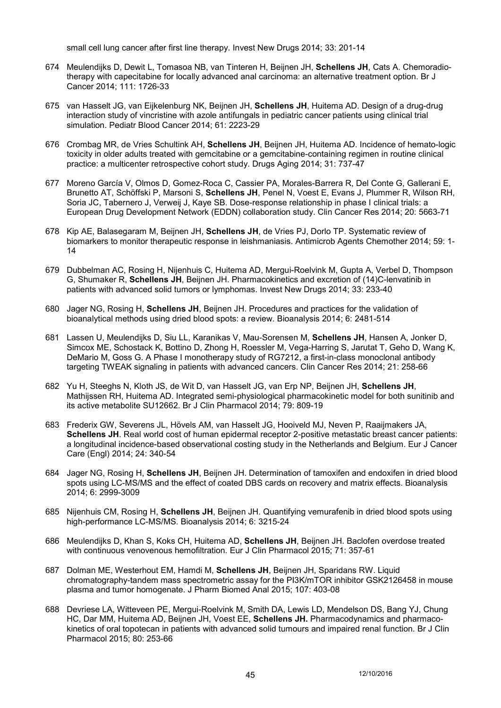small cell lung cancer after first line therapy. Invest New Drugs 2014; 33: 201-14

- 674 Meulendijks D, Dewit L, Tomasoa NB, van Tinteren H, Beijnen JH, **Schellens JH**, Cats A. Chemoradiotherapy with capecitabine for locally advanced anal carcinoma: an alternative treatment option. Br J Cancer 2014; 111: 1726-33
- 675 van Hasselt JG, van Eijkelenburg NK, Beijnen JH, **Schellens JH**, Huitema AD. Design of a drug-drug interaction study of vincristine with azole antifungals in pediatric cancer patients using clinical trial simulation. Pediatr Blood Cancer 2014; 61: 2223-29
- 676 Crombag MR, de Vries Schultink AH, **Schellens JH**, Beijnen JH, Huitema AD. Incidence of hemato-logic toxicity in older adults treated with gemcitabine or a gemcitabine-containing regimen in routine clinical practice: a multicenter retrospective cohort study. Drugs Aging 2014; 31: 737-47
- 677 Moreno García V, Olmos D, Gomez-Roca C, Cassier PA, Morales-Barrera R, Del Conte G, Gallerani E, Brunetto AT, Schöffski P, Marsoni S, **Schellens JH**, Penel N, Voest E, Evans J, Plummer R, Wilson RH, Soria JC, Tabernero J, Verweij J, Kaye SB. Dose-response relationship in phase I clinical trials: a European Drug Development Network (EDDN) collaboration study. Clin Cancer Res 2014; 20: 5663-71
- 678 Kip AE, Balasegaram M, Beijnen JH, **Schellens JH**, de Vries PJ, Dorlo TP. Systematic review of biomarkers to monitor therapeutic response in leishmaniasis. Antimicrob Agents Chemother 2014; 59: 1- 14
- 679 Dubbelman AC, Rosing H, Nijenhuis C, Huitema AD, Mergui-Roelvink M, Gupta A, Verbel D, Thompson G, Shumaker R, **Schellens JH**, Beijnen JH. Pharmacokinetics and excretion of (14)C-lenvatinib in patients with advanced solid tumors or lymphomas. Invest New Drugs 2014; 33: 233-40
- 680 Jager NG, Rosing H, **Schellens JH**, Beijnen JH. Procedures and practices for the validation of bioanalytical methods using dried blood spots: a review. Bioanalysis 2014; 6: 2481-514
- 681 Lassen U, Meulendijks D, Siu LL, Karanikas V, Mau-Sorensen M, **Schellens JH**, Hansen A, Jonker D, Simcox ME, Schostack K, Bottino D, Zhong H, Roessler M, Vega-Harring S, Jarutat T, Geho D, Wang K, DeMario M, Goss G. A Phase I monotherapy study of RG7212, a first-in-class monoclonal antibody targeting TWEAK signaling in patients with advanced cancers. Clin Cancer Res 2014; 21: 258-66
- 682 Yu H, Steeghs N, Kloth JS, de Wit D, van Hasselt JG, van Erp NP, Beijnen JH, **Schellens JH**, Mathijssen RH, Huitema AD. Integrated semi-physiological pharmacokinetic model for both sunitinib and its active metabolite SU12662. Br J Clin Pharmacol 2014; 79: 809-19
- 683 Frederix GW, Severens JL, Hövels AM, van Hasselt JG, Hooiveld MJ, Neven P, Raaijmakers JA, **Schellens JH**. Real world cost of human epidermal receptor 2-positive metastatic breast cancer patients: a longitudinal incidence-based observational costing study in the Netherlands and Belgium. Eur J Cancer Care (Engl) 2014; 24: 340-54
- 684 Jager NG, Rosing H, **Schellens JH**, Beijnen JH. Determination of tamoxifen and endoxifen in dried blood spots using LC-MS/MS and the effect of coated DBS cards on recovery and matrix effects. Bioanalysis 2014; 6: 2999-3009
- 685 Nijenhuis CM, Rosing H, **Schellens JH**, Beijnen JH. Quantifying vemurafenib in dried blood spots using high-performance LC-MS/MS. Bioanalysis 2014; 6: 3215-24
- 686 Meulendijks D, Khan S, Koks CH, Huitema AD, **Schellens JH**, Beijnen JH. Baclofen overdose treated with continuous venovenous hemofiltration. Eur J Clin Pharmacol 2015; 71: 357-61
- 687 Dolman ME, Westerhout EM, Hamdi M, **Schellens JH**, Beijnen JH, Sparidans RW. Liquid chromatography-tandem mass spectrometric assay for the PI3K/mTOR inhibitor GSK2126458 in mouse plasma and tumor homogenate. J Pharm Biomed Anal 2015; 107: 403-08
- 688 Devriese LA, Witteveen PE, Mergui-Roelvink M, Smith DA, Lewis LD, Mendelson DS, Bang YJ, Chung HC, Dar MM, Huitema AD, Beijnen JH, Voest EE, **Schellens JH.** Pharmacodynamics and pharmacokinetics of oral topotecan in patients with advanced solid tumours and impaired renal function. Br J Clin Pharmacol 2015; 80: 253-66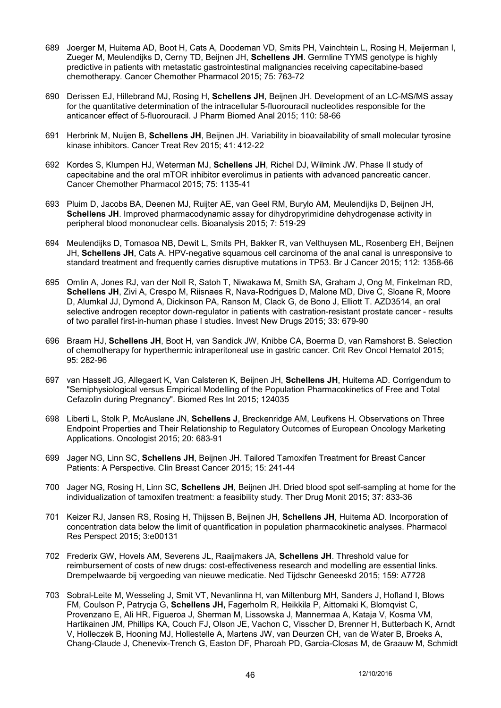- 689 Joerger M, Huitema AD, Boot H, Cats A, Doodeman VD, Smits PH, Vainchtein L, Rosing H, Meijerman I, Zueger M, Meulendijks D, Cerny TD, Beijnen JH, **Schellens JH**. Germline TYMS genotype is highly predictive in patients with metastatic gastrointestinal malignancies receiving capecitabine-based chemotherapy. Cancer Chemother Pharmacol 2015; 75: 763-72
- 690 Derissen EJ, Hillebrand MJ, Rosing H, **Schellens JH**, Beijnen JH. Development of an LC-MS/MS assay for the quantitative determination of the intracellular 5-fluorouracil nucleotides responsible for the anticancer effect of 5-fluorouracil. J Pharm Biomed Anal 2015; 110: 58-66
- 691 Herbrink M, Nuijen B, **Schellens JH**, Beijnen JH. Variability in bioavailability of small molecular tyrosine kinase inhibitors. Cancer Treat Rev 2015; 41: 412-22
- 692 Kordes S, Klumpen HJ, Weterman MJ, **Schellens JH**, Richel DJ, Wilmink JW. Phase II study of capecitabine and the oral mTOR inhibitor everolimus in patients with advanced pancreatic cancer. Cancer Chemother Pharmacol 2015; 75: 1135-41
- 693 Pluim D, Jacobs BA, Deenen MJ, Ruijter AE, van Geel RM, Burylo AM, Meulendijks D, Beijnen JH, **Schellens JH**. Improved pharmacodynamic assay for dihydropyrimidine dehydrogenase activity in peripheral blood mononuclear cells. Bioanalysis 2015; 7: 519-29
- 694 Meulendijks D, Tomasoa NB, Dewit L, Smits PH, Bakker R, van Velthuysen ML, Rosenberg EH, Beijnen JH, **Schellens JH**, Cats A. HPV-negative squamous cell carcinoma of the anal canal is unresponsive to standard treatment and frequently carries disruptive mutations in TP53. Br J Cancer 2015; 112: 1358-66
- 695 Omlin A, Jones RJ, van der Noll R, Satoh T, Niwakawa M, Smith SA, Graham J, Ong M, Finkelman RD, **Schellens JH**, Zivi A, Crespo M, Riisnaes R, Nava-Rodrigues D, Malone MD, Dive C, Sloane R, Moore D, Alumkal JJ, Dymond A, Dickinson PA, Ranson M, Clack G, de Bono J, Elliott T. AZD3514, an oral selective androgen receptor down-regulator in patients with castration-resistant prostate cancer - results of two parallel first-in-human phase I studies. Invest New Drugs 2015; 33: 679-90
- 696 Braam HJ, **Schellens JH**, Boot H, van Sandick JW, Knibbe CA, Boerma D, van Ramshorst B. Selection of chemotherapy for hyperthermic intraperitoneal use in gastric cancer. Crit Rev Oncol Hematol 2015; 95: 282-96
- 697 van Hasselt JG, Allegaert K, Van Calsteren K, Beijnen JH, **Schellens JH**, Huitema AD. Corrigendum to "Semiphysiological versus Empirical Modelling of the Population Pharmacokinetics of Free and Total Cefazolin during Pregnancy". Biomed Res Int 2015; 124035
- 698 Liberti L, Stolk P, McAuslane JN, **Schellens J**, Breckenridge AM, Leufkens H. Observations on Three Endpoint Properties and Their Relationship to Regulatory Outcomes of European Oncology Marketing Applications. Oncologist 2015; 20: 683-91
- 699 Jager NG, Linn SC, **Schellens JH**, Beijnen JH. Tailored Tamoxifen Treatment for Breast Cancer Patients: A Perspective. Clin Breast Cancer 2015; 15: 241-44
- 700 Jager NG, Rosing H, Linn SC, **Schellens JH**, Beijnen JH. Dried blood spot self-sampling at home for the individualization of tamoxifen treatment: a feasibility study. Ther Drug Monit 2015; 37: 833-36
- 701 Keizer RJ, Jansen RS, Rosing H, Thijssen B, Beijnen JH, **Schellens JH**, Huitema AD. Incorporation of concentration data below the limit of quantification in population pharmacokinetic analyses. Pharmacol Res Perspect 2015; 3:e00131
- 702 Frederix GW, Hovels AM, Severens JL, Raaijmakers JA, **Schellens JH**. Threshold value for reimbursement of costs of new drugs: cost-effectiveness research and modelling are essential links. Drempelwaarde bij vergoeding van nieuwe medicatie. Ned Tijdschr Geneeskd 2015; 159: A7728
- 703 Sobral-Leite M, Wesseling J, Smit VT, Nevanlinna H, van Miltenburg MH, Sanders J, Hofland I, Blows FM, Coulson P, Patrycja G, **Schellens JH,** Fagerholm R, Heikkila P, Aittomaki K, Blomqvist C, Provenzano E, Ali HR, Figueroa J, Sherman M, Lissowska J, Mannermaa A, Kataja V, Kosma VM, Hartikainen JM, Phillips KA, Couch FJ, Olson JE, Vachon C, Visscher D, Brenner H, Butterbach K, Arndt V, Holleczek B, Hooning MJ, Hollestelle A, Martens JW, van Deurzen CH, van de Water B, Broeks A, Chang-Claude J, Chenevix-Trench G, Easton DF, Pharoah PD, Garcia-Closas M, de Graauw M, Schmidt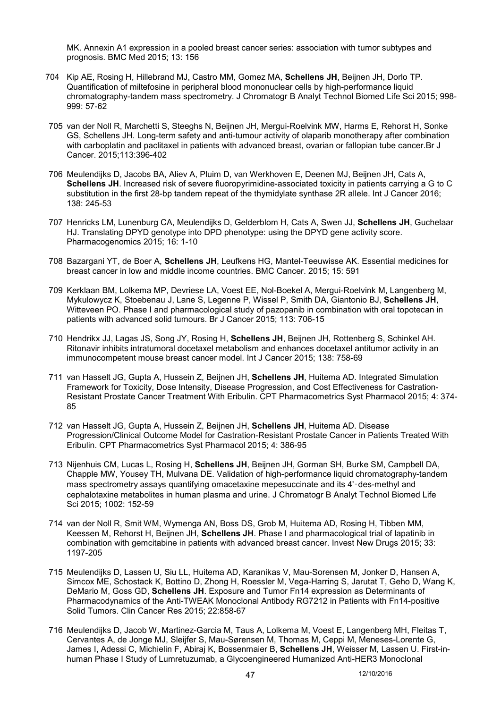MK. Annexin A1 expression in a pooled breast cancer series: association with tumor subtypes and prognosis. BMC Med 2015; 13: 156

- 704 Kip AE, Rosing H, Hillebrand MJ, Castro MM, Gomez MA, **Schellens JH**, Beijnen JH, Dorlo TP. Quantification of miltefosine in peripheral blood mononuclear cells by high-performance liquid chromatography-tandem mass spectrometry. J Chromatogr B Analyt Technol Biomed Life Sci 2015; 998- 999: 57-62
- 705 van der Noll R, Marchetti S, Steeghs N, Beijnen JH, Mergui-Roelvink MW, Harms E, Rehorst H, Sonke GS, Schellens JH. Long-term safety and anti-tumour activity of olaparib monotherapy after combination with carboplatin and paclitaxel in patients with advanced breast, ovarian or fallopian tube cancer.Br J Cancer. 2015;113:396-402
- 706 Meulendijks D, Jacobs BA, Aliev A, Pluim D, van Werkhoven E, Deenen MJ, Beijnen JH, Cats A, **Schellens JH**. Increased risk of severe fluoropyrimidine-associated toxicity in patients carrying a G to C substitution in the first 28-bp tandem repeat of the thymidylate synthase 2R allele. Int J Cancer 2016; 138: 245-53
- 707 Henricks LM, Lunenburg CA, Meulendijks D, Gelderblom H, Cats A, Swen JJ, **Schellens JH**, Guchelaar HJ. Translating DPYD genotype into DPD phenotype: using the DPYD gene activity score. Pharmacogenomics 2015; 16: 1-10
- 708 Bazargani YT, de Boer A, **Schellens JH**, Leufkens HG, Mantel-Teeuwisse AK. Essential medicines for breast cancer in low and middle income countries. BMC Cancer. 2015; 15: 591
- 709 Kerklaan BM, Lolkema MP, Devriese LA, Voest EE, Nol-Boekel A, Mergui-Roelvink M, Langenberg M, Mykulowycz K, Stoebenau J, Lane S, Legenne P, Wissel P, Smith DA, Giantonio BJ, **Schellens JH**, Witteveen PO. Phase I and pharmacological study of pazopanib in combination with oral topotecan in patients with advanced solid tumours. Br J Cancer 2015; 113: 706-15
- 710 Hendrikx JJ, Lagas JS, Song JY, Rosing H, **Schellens JH**, Beijnen JH, Rottenberg S, Schinkel AH. Ritonavir inhibits intratumoral docetaxel metabolism and enhances docetaxel antitumor activity in an immunocompetent mouse breast cancer model. Int J Cancer 2015; 138: 758-69
- 711 van Hasselt JG, Gupta A, Hussein Z, Beijnen JH, **Schellens JH**, Huitema AD. Integrated Simulation Framework for Toxicity, Dose Intensity, Disease Progression, and Cost Effectiveness for Castration-Resistant Prostate Cancer Treatment With Eribulin. CPT Pharmacometrics Syst Pharmacol 2015; 4: 374- 85
- 712 van Hasselt JG, Gupta A, Hussein Z, Beijnen JH, **Schellens JH**, Huitema AD. Disease Progression/Clinical Outcome Model for Castration-Resistant Prostate Cancer in Patients Treated With Eribulin. CPT Pharmacometrics Syst Pharmacol 2015; 4: 386-95
- 713 Nijenhuis CM, Lucas L, Rosing H, **Schellens JH**, Beijnen JH, Gorman SH, Burke SM, Campbell DA, Chapple MW, Yousey TH, Mulvana DE. Validation of high-performance liquid chromatography-tandem mass spectrometry assays quantifying omacetaxine mepesuccinate and its 4'‑des-methyl and cephalotaxine metabolites in human plasma and urine. J Chromatogr B Analyt Technol Biomed Life Sci 2015; 1002: 152-59
- 714 van der Noll R, Smit WM, Wymenga AN, Boss DS, Grob M, Huitema AD, Rosing H, Tibben MM, Keessen M, Rehorst H, Beijnen JH, **Schellens JH**. Phase I and pharmacological trial of lapatinib in combination with gemcitabine in patients with advanced breast cancer. Invest New Drugs 2015; 33: 1197-205
- 715 Meulendijks D, Lassen U, Siu LL, Huitema AD, Karanikas V, Mau-Sorensen M, Jonker D, Hansen A, Simcox ME, Schostack K, Bottino D, Zhong H, Roessler M, Vega-Harring S, Jarutat T, Geho D, Wang K, DeMario M, Goss GD, **Schellens JH**. Exposure and Tumor Fn14 expression as Determinants of Pharmacodynamics of the Anti-TWEAK Monoclonal Antibody RG7212 in Patients with Fn14-positive Solid Tumors. Clin Cancer Res 2015; 22:858-67
- 716 Meulendijks D, Jacob W, Martinez-Garcia M, Taus A, Lolkema M, Voest E, Langenberg MH, Fleitas T, Cervantes A, de Jonge MJ, Sleijfer S, Mau-Sørensen M, Thomas M, Ceppi M, Meneses-Lorente G, James I, Adessi C, Michielin F, Abiraj K, Bossenmaier B, **Schellens JH**, Weisser M, Lassen U. First-inhuman Phase I Study of Lumretuzumab, a Glycoengineered Humanized Anti-HER3 Monoclonal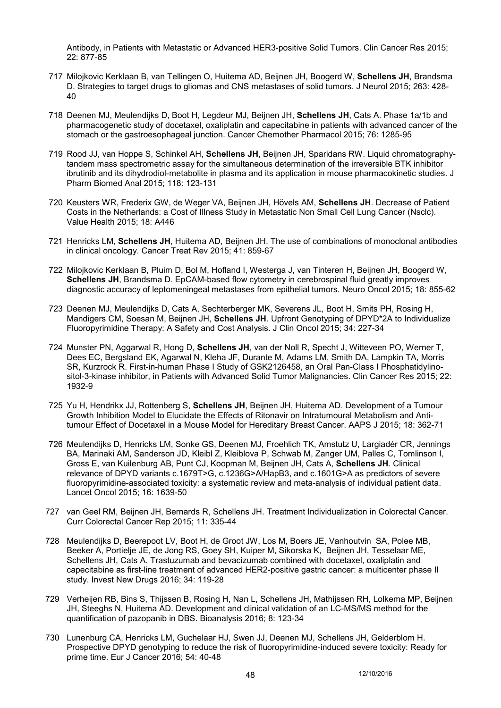Antibody, in Patients with Metastatic or Advanced HER3-positive Solid Tumors. Clin Cancer Res 2015; 22: 877-85

- 717 Milojkovic Kerklaan B, van Tellingen O, Huitema AD, Beijnen JH, Boogerd W, **Schellens JH**, Brandsma D. Strategies to target drugs to gliomas and CNS metastases of solid tumors. J Neurol 2015; 263: 428- 40
- 718 Deenen MJ, Meulendijks D, Boot H, Legdeur MJ, Beijnen JH, **Schellens JH**, Cats A. Phase 1a/1b and pharmacogenetic study of docetaxel, oxaliplatin and capecitabine in patients with advanced cancer of the stomach or the gastroesophageal junction. Cancer Chemother Pharmacol 2015; 76: 1285-95
- 719 Rood JJ, van Hoppe S, Schinkel AH, **Schellens JH**, Beijnen JH, Sparidans RW. Liquid chromatographytandem mass spectrometric assay for the simultaneous determination of the irreversible BTK inhibitor ibrutinib and its dihydrodiol-metabolite in plasma and its application in mouse pharmacokinetic studies. J Pharm Biomed Anal 2015; 118: 123-131
- 720 Keusters WR, Frederix GW, de Weger VA, Beijnen JH, Hövels AM, **Schellens JH**. Decrease of Patient Costs in the Netherlands: a Cost of Illness Study in Metastatic Non Small Cell Lung Cancer (Nsclc). Value Health 2015; 18: A446
- 721 Henricks LM, **Schellens JH**, Huitema AD, Beijnen JH. The use of combinations of monoclonal antibodies in clinical oncology. Cancer Treat Rev 2015; 41: 859-67
- 722 Milojkovic Kerklaan B, Pluim D, Bol M, Hofland I, Westerga J, van Tinteren H, Beijnen JH, Boogerd W, **Schellens JH**, Brandsma D. EpCAM-based flow cytometry in cerebrospinal fluid greatly improves diagnostic accuracy of leptomeningeal metastases from epithelial tumors. Neuro Oncol 2015; 18: 855-62
- 723 Deenen MJ, Meulendijks D, Cats A, Sechterberger MK, Severens JL, Boot H, Smits PH, Rosing H, Mandigers CM, Soesan M, Beijnen JH, **Schellens JH**. Upfront Genotyping of DPYD\*2A to Individualize Fluoropyrimidine Therapy: A Safety and Cost Analysis. J Clin Oncol 2015; 34: 227-34
- 724 Munster PN, Aggarwal R, Hong D, **Schellens JH**, van der Noll R, Specht J, Witteveen PO, Werner T, Dees EC, Bergsland EK, Agarwal N, Kleha JF, Durante M, Adams LM, Smith DA, Lampkin TA, Morris SR, Kurzrock R. First-in-human Phase I Study of GSK2126458, an Oral Pan-Class I Phosphatidylinositol-3-kinase inhibitor, in Patients with Advanced Solid Tumor Malignancies. Clin Cancer Res 2015; 22: 1932-9
- 725 Yu H, Hendrikx JJ, Rottenberg S, **Schellens JH**, Beijnen JH, Huitema AD. Development of a Tumour Growth Inhibition Model to Elucidate the Effects of Ritonavir on Intratumoural Metabolism and Antitumour Effect of Docetaxel in a Mouse Model for Hereditary Breast Cancer. AAPS J 2015; 18: 362-71
- 726 Meulendijks D, Henricks LM, Sonke GS, Deenen MJ, Froehlich TK, Amstutz U, Largiadèr CR, Jennings BA, Marinaki AM, Sanderson JD, Kleibl Z, Kleiblova P, Schwab M, Zanger UM, Palles C, Tomlinson I, Gross E, van Kuilenburg AB, Punt CJ, Koopman M, Beijnen JH, Cats A, **Schellens JH**. Clinical relevance of DPYD variants c.1679T>G, c.1236G>A/HapB3, and c.1601G>A as predictors of severe fluoropyrimidine-associated toxicity: a systematic review and meta-analysis of individual patient data. Lancet Oncol 2015; 16: 1639-50
- 727 van Geel RM, Beijnen JH, Bernards R, Schellens JH. Treatment Individualization in Colorectal Cancer. Curr Colorectal Cancer Rep 2015; 11: 335-44
- 728 Meulendijks D, Beerepoot LV, Boot H, de Groot JW, Los M, Boers JE, Vanhoutvin SA, Polee MB, Beeker A, Portielje JE, de Jong RS, Goey SH, Kuiper M, Sikorska K, Beijnen JH, Tesselaar ME, Schellens JH, Cats A. Trastuzumab and bevacizumab combined with docetaxel, oxaliplatin and capecitabine as first-line treatment of advanced HER2-positive gastric cancer: a multicenter phase II study. Invest New Drugs 2016; 34: 119-28
- 729 Verheijen RB, Bins S, Thijssen B, Rosing H, Nan L, Schellens JH, Mathijssen RH, Lolkema MP, Beijnen JH, Steeghs N, Huitema AD. Development and clinical validation of an LC-MS/MS method for the quantification of pazopanib in DBS. Bioanalysis 2016; 8: 123-34
- 730 Lunenburg CA, Henricks LM, Guchelaar HJ, Swen JJ, Deenen MJ, Schellens JH, Gelderblom H. Prospective DPYD genotyping to reduce the risk of fluoropyrimidine-induced severe toxicity: Ready for prime time. Eur J Cancer 2016; 54: 40-48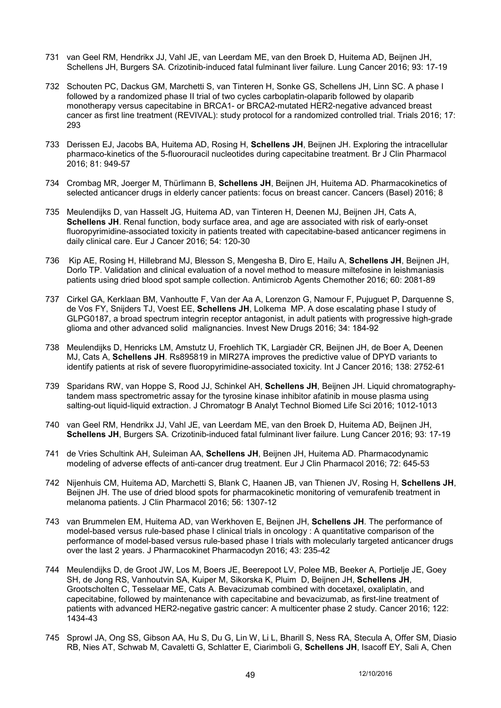- 731 van Geel RM, Hendrikx JJ, Vahl JE, van Leerdam ME, van den Broek D, Huitema AD, Beijnen JH, Schellens JH, Burgers SA. Crizotinib-induced fatal fulminant liver failure. Lung Cancer 2016; 93: 17-19
- 732 Schouten PC, Dackus GM, Marchetti S, van Tinteren H, Sonke GS, Schellens JH, Linn SC. A phase I followed by a randomized phase II trial of two cycles carboplatin-olaparib followed by olaparib monotherapy versus capecitabine in BRCA1- or BRCA2-mutated HER2-negative advanced breast cancer as first line treatment (REVIVAL): study protocol for a randomized controlled trial. Trials 2016; 17: 293
- 733 Derissen EJ, Jacobs BA, Huitema AD, Rosing H, **Schellens JH**, Beijnen JH. Exploring the intracellular pharmaco-kinetics of the 5-fluorouracil nucleotides during capecitabine treatment. Br J Clin Pharmacol 2016; 81: 949-57
- 734 Crombag MR, Joerger M, Thürlimann B, **Schellens JH**, Beijnen JH, Huitema AD. Pharmacokinetics of selected anticancer drugs in elderly cancer patients: focus on breast cancer. Cancers (Basel) 2016; 8
- 735 Meulendijks D, van Hasselt JG, Huitema AD, van Tinteren H, Deenen MJ, Beijnen JH, Cats A, **Schellens JH**. Renal function, body surface area, and age are associated with risk of early-onset fluoropyrimidine-associated toxicity in patients treated with capecitabine-based anticancer regimens in daily clinical care. Eur J Cancer 2016; 54: 120-30
- 736 Kip AE, Rosing H, Hillebrand MJ, Blesson S, Mengesha B, Diro E, Hailu A, **Schellens JH**, Beijnen JH, Dorlo TP. Validation and clinical evaluation of a novel method to measure miltefosine in leishmaniasis patients using dried blood spot sample collection. Antimicrob Agents Chemother 2016; 60: 2081-89
- 737 Cirkel GA, Kerklaan BM, Vanhoutte F, Van der Aa A, Lorenzon G, Namour F, Pujuguet P, Darquenne S, de Vos FY, Snijders TJ, Voest EE, **Schellens JH**, Lolkema MP. A dose escalating phase I study of GLPG0187, a broad spectrum integrin receptor antagonist, in adult patients with progressive high-grade glioma and other advanced solid malignancies. Invest New Drugs 2016; 34: 184-92
- 738 Meulendijks D, Henricks LM, Amstutz U, Froehlich TK, Largiadèr CR, Beijnen JH, de Boer A, Deenen MJ, Cats A, **Schellens JH**. Rs895819 in MIR27A improves the predictive value of DPYD variants to identify patients at risk of severe fluoropyrimidine-associated toxicity. Int J Cancer 2016; 138: 2752-61
- 739 Sparidans RW, van Hoppe S, Rood JJ, Schinkel AH, **Schellens JH**, Beijnen JH. Liquid chromatographytandem mass spectrometric assay for the tyrosine kinase inhibitor afatinib in mouse plasma using salting-out liquid-liquid extraction. J Chromatogr B Analyt Technol Biomed Life Sci 2016; 1012-1013
- 740 van Geel RM, Hendrikx JJ, Vahl JE, van Leerdam ME, van den Broek D, Huitema AD, Beijnen JH, **Schellens JH**, Burgers SA. Crizotinib-induced fatal fulminant liver failure. Lung Cancer 2016; 93: 17-19
- 741 de Vries Schultink AH, Suleiman AA, **Schellens JH**, Beijnen JH, Huitema AD. Pharmacodynamic modeling of adverse effects of anti-cancer drug treatment. Eur J Clin Pharmacol 2016; 72: 645-53
- 742 Nijenhuis CM, Huitema AD, Marchetti S, Blank C, Haanen JB, van Thienen JV, Rosing H, **Schellens JH**, Beijnen JH. The use of dried blood spots for pharmacokinetic monitoring of vemurafenib treatment in melanoma patients. J Clin Pharmacol 2016; 56: 1307-12
- 743 van Brummelen EM, Huitema AD, van Werkhoven E, Beijnen JH, **Schellens JH**. The performance of model-based versus rule-based phase I clinical trials in oncology : A quantitative comparison of the performance of model-based versus rule-based phase I trials with molecularly targeted anticancer drugs over the last 2 years. J Pharmacokinet Pharmacodyn 2016; 43: 235-42
- 744 Meulendijks D, de Groot JW, Los M, Boers JE, Beerepoot LV, Polee MB, Beeker A, Portielje JE, Goey SH, de Jong RS, Vanhoutvin SA, Kuiper M, Sikorska K, Pluim D, Beijnen JH, **Schellens JH**, Grootscholten C, Tesselaar ME, Cats A. Bevacizumab combined with docetaxel, oxaliplatin, and capecitabine, followed by maintenance with capecitabine and bevacizumab, as first-line treatment of patients with advanced HER2-negative gastric cancer: A multicenter phase 2 study. Cancer 2016; 122: 1434-43
- 745 Sprowl JA, Ong SS, Gibson AA, Hu S, Du G, Lin W, Li L, Bharill S, Ness RA, Stecula A, Offer SM, Diasio RB, Nies AT, Schwab M, Cavaletti G, Schlatter E, Ciarimboli G, **Schellens JH**, Isacoff EY, Sali A, Chen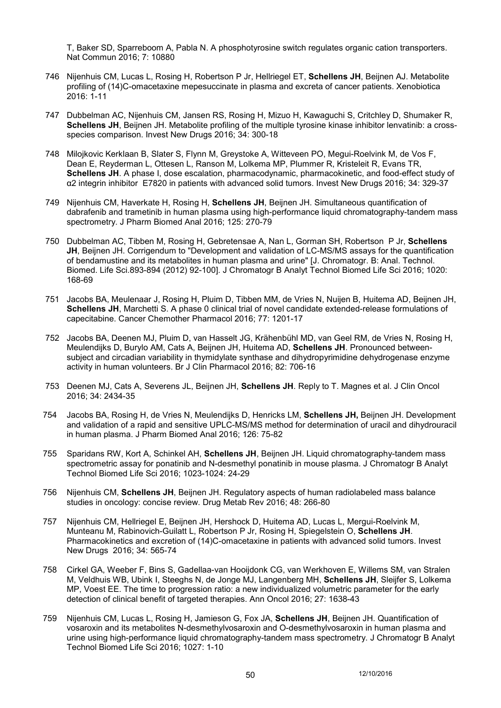T, Baker SD, Sparreboom A, Pabla N. A phosphotyrosine switch regulates organic cation transporters. Nat Commun 2016; 7: 10880

- 746 Nijenhuis CM, Lucas L, Rosing H, Robertson P Jr, Hellriegel ET, **Schellens JH**, Beijnen AJ. Metabolite profiling of (14)C-omacetaxine mepesuccinate in plasma and excreta of cancer patients. Xenobiotica 2016: 1-11
- 747 Dubbelman AC, Nijenhuis CM, Jansen RS, Rosing H, Mizuo H, Kawaguchi S, Critchley D, Shumaker R, **Schellens JH**, Beijnen JH. Metabolite profiling of the multiple tyrosine kinase inhibitor lenvatinib: a crossspecies comparison. Invest New Drugs 2016; 34: 300-18
- 748 Milojkovic Kerklaan B, Slater S, Flynn M, Greystoke A, Witteveen PO, Megui-Roelvink M, de Vos F, Dean E, Reyderman L, Ottesen L, Ranson M, Lolkema MP, Plummer R, Kristeleit R, Evans TR, **Schellens JH**. A phase I, dose escalation, pharmacodynamic, pharmacokinetic, and food-effect study of α2 integrin inhibitor E7820 in patients with advanced solid tumors. Invest New Drugs 2016; 34: 329-37
- 749 Nijenhuis CM, Haverkate H, Rosing H, **Schellens JH**, Beijnen JH. Simultaneous quantification of dabrafenib and trametinib in human plasma using high-performance liquid chromatography-tandem mass spectrometry. J Pharm Biomed Anal 2016; 125: 270-79
- 750 Dubbelman AC, Tibben M, Rosing H, Gebretensae A, Nan L, Gorman SH, Robertson P Jr, **Schellens JH**, Beijnen JH. Corrigendum to "Development and validation of LC-MS/MS assays for the quantification of bendamustine and its metabolites in human plasma and urine" [J. Chromatogr. B: Anal. Technol. Biomed. Life Sci.893-894 (2012) 92-100]. J Chromatogr B Analyt Technol Biomed Life Sci 2016; 1020: 168-69
- 751 Jacobs BA, Meulenaar J, Rosing H, Pluim D, Tibben MM, de Vries N, Nuijen B, Huitema AD, Beijnen JH, **Schellens JH**, Marchetti S. A phase 0 clinical trial of novel candidate extended-release formulations of capecitabine. Cancer Chemother Pharmacol 2016; 77: 1201-17
- 752 Jacobs BA, Deenen MJ, Pluim D, van Hasselt JG, Krähenbühl MD, van Geel RM, de Vries N, Rosing H, Meulendijks D, Burylo AM, Cats A, Beijnen JH, Huitema AD, **Schellens JH**. Pronounced betweensubject and circadian variability in thymidylate synthase and dihydropyrimidine dehydrogenase enzyme activity in human volunteers. Br J Clin Pharmacol 2016; 82: 706-16
- 753 Deenen MJ, Cats A, Severens JL, Beijnen JH, **Schellens JH**. Reply to T. Magnes et al. J Clin Oncol 2016; 34: 2434-35
- 754 Jacobs BA, Rosing H, de Vries N, Meulendijks D, Henricks LM, **Schellens JH,** Beijnen JH. Development and validation of a rapid and sensitive UPLC-MS/MS method for determination of uracil and dihydrouracil in human plasma. J Pharm Biomed Anal 2016; 126: 75-82
- 755 Sparidans RW, Kort A, Schinkel AH, **Schellens JH**, Beijnen JH. Liquid chromatography-tandem mass spectrometric assay for ponatinib and N-desmethyl ponatinib in mouse plasma. J Chromatogr B Analyt Technol Biomed Life Sci 2016; 1023-1024: 24-29
- 756 Nijenhuis CM, **Schellens JH**, Beijnen JH. Regulatory aspects of human radiolabeled mass balance studies in oncology: concise review. Drug Metab Rev 2016; 48: 266-80
- 757 Nijenhuis CM, Hellriegel E, Beijnen JH, Hershock D, Huitema AD, Lucas L, Mergui-Roelvink M, Munteanu M, Rabinovich-Guilatt L, Robertson P Jr, Rosing H, Spiegelstein O, **Schellens JH**. Pharmacokinetics and excretion of (14)C-omacetaxine in patients with advanced solid tumors. Invest New Drugs 2016; 34: 565-74
- 758 Cirkel GA, Weeber F, Bins S, Gadellaa-van Hooijdonk CG, van Werkhoven E, Willems SM, van Stralen M, Veldhuis WB, Ubink I, Steeghs N, de Jonge MJ, Langenberg MH, **Schellens JH**, Sleijfer S, Lolkema MP, Voest EE. The time to progression ratio: a new individualized volumetric parameter for the early detection of clinical benefit of targeted therapies. Ann Oncol 2016; 27: 1638-43
- 759 Nijenhuis CM, Lucas L, Rosing H, Jamieson G, Fox JA, **Schellens JH**, Beijnen JH. Quantification of vosaroxin and its metabolites N-desmethylvosaroxin and O-desmethylvosaroxin in human plasma and urine using high-performance liquid chromatography-tandem mass spectrometry. J Chromatogr B Analyt Technol Biomed Life Sci 2016; 1027: 1-10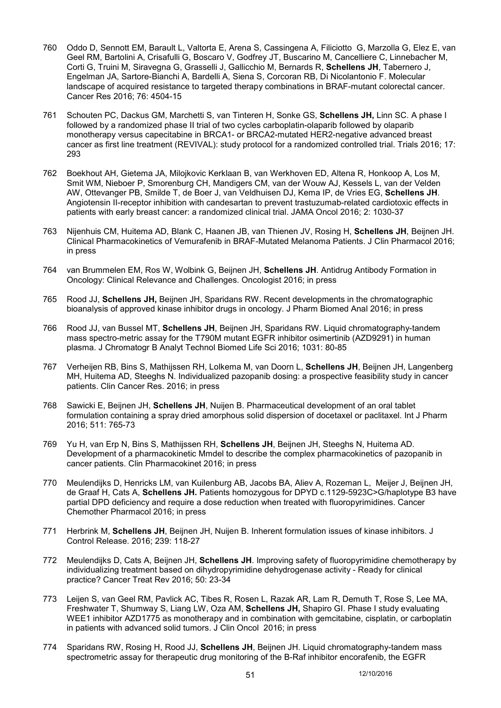- 760 Oddo D, Sennott EM, Barault L, Valtorta E, Arena S, Cassingena A, Filiciotto G, Marzolla G, Elez E, van Geel RM, Bartolini A, Crisafulli G, Boscaro V, Godfrey JT, Buscarino M, Cancelliere C, Linnebacher M, Corti G, Truini M, Siravegna G, Grasselli J, Gallicchio M, Bernards R, **Schellens JH**, Tabernero J, Engelman JA, Sartore-Bianchi A, Bardelli A, Siena S, Corcoran RB, Di Nicolantonio F. Molecular landscape of acquired resistance to targeted therapy combinations in BRAF-mutant colorectal cancer. Cancer Res 2016; 76: 4504-15
- 761 Schouten PC, Dackus GM, Marchetti S, van Tinteren H, Sonke GS, **Schellens JH,** Linn SC. A phase I followed by a randomized phase II trial of two cycles carboplatin-olaparib followed by olaparib monotherapy versus capecitabine in BRCA1- or BRCA2-mutated HER2-negative advanced breast cancer as first line treatment (REVIVAL): study protocol for a randomized controlled trial. Trials 2016; 17: 293
- 762 Boekhout AH, Gietema JA, Milojkovic Kerklaan B, van Werkhoven ED, Altena R, Honkoop A, Los M, Smit WM, Nieboer P, Smorenburg CH, Mandigers CM, van der Wouw AJ, Kessels L, van der Velden AW, Ottevanger PB, Smilde T, de Boer J, van Veldhuisen DJ, Kema IP, de Vries EG, **Schellens JH**. Angiotensin II-receptor inhibition with candesartan to prevent trastuzumab-related cardiotoxic effects in patients with early breast cancer: a randomized clinical trial. JAMA Oncol 2016; 2: 1030-37
- 763 Nijenhuis CM, Huitema AD, Blank C, Haanen JB, van Thienen JV, Rosing H, **Schellens JH**, Beijnen JH. Clinical Pharmacokinetics of Vemurafenib in BRAF-Mutated Melanoma Patients. J Clin Pharmacol 2016; in press
- 764 van Brummelen EM, Ros W, Wolbink G, Beijnen JH, **Schellens JH**. Antidrug Antibody Formation in Oncology: Clinical Relevance and Challenges. Oncologist 2016; in press
- 765 Rood JJ, **Schellens JH,** Beijnen JH, Sparidans RW. Recent developments in the chromatographic bioanalysis of approved kinase inhibitor drugs in oncology. J Pharm Biomed Anal 2016; in press
- 766 Rood JJ, van Bussel MT, **Schellens JH**, Beijnen JH, Sparidans RW. Liquid chromatography-tandem mass spectro-metric assay for the T790M mutant EGFR inhibitor osimertinib (AZD9291) in human plasma. J Chromatogr B Analyt Technol Biomed Life Sci 2016; 1031: 80-85
- 767 Verheijen RB, Bins S, Mathijssen RH, Lolkema M, van Doorn L, **Schellens JH**, Beijnen JH, Langenberg MH, Huitema AD, Steeghs N. Individualized pazopanib dosing: a prospective feasibility study in cancer patients. Clin Cancer Res. 2016; in press
- 768 Sawicki E, Beijnen JH, **Schellens JH**, Nuijen B. Pharmaceutical development of an oral tablet formulation containing a spray dried amorphous solid dispersion of docetaxel or paclitaxel. Int J Pharm 2016; 511: 765-73
- 769 Yu H, van Erp N, Bins S, Mathijssen RH, **Schellens JH**, Beijnen JH, Steeghs N, Huitema AD. Development of a pharmacokinetic Mmdel to describe the complex pharmacokinetics of pazopanib in cancer patients. Clin Pharmacokinet 2016; in press
- 770 Meulendijks D, Henricks LM, van Kuilenburg AB, Jacobs BA, Aliev A, Rozeman L, Meijer J, Beijnen JH, de Graaf H, Cats A, **Schellens JH.** Patients homozygous for DPYD c.1129-5923C>G/haplotype B3 have partial DPD deficiency and require a dose reduction when treated with fluoropyrimidines. Cancer Chemother Pharmacol 2016; in press
- 771 Herbrink M, **Schellens JH**, Beijnen JH, Nuijen B. Inherent formulation issues of kinase inhibitors. J Control Release. 2016; 239: 118-27
- 772 Meulendijks D, Cats A, Beijnen JH, **Schellens JH**. Improving safety of fluoropyrimidine chemotherapy by individualizing treatment based on dihydropyrimidine dehydrogenase activity - Ready for clinical practice? Cancer Treat Rev 2016; 50: 23-34
- 773 Leijen S, van Geel RM, Pavlick AC, Tibes R, Rosen L, Razak AR, Lam R, Demuth T, Rose S, Lee MA, Freshwater T, Shumway S, Liang LW, Oza AM, **Schellens JH,** Shapiro GI. Phase I study evaluating WEE1 inhibitor AZD1775 as monotherapy and in combination with gemcitabine, cisplatin, or carboplatin in patients with advanced solid tumors. J Clin Oncol 2016; in press
- 774 Sparidans RW, Rosing H, Rood JJ, **Schellens JH**, Beijnen JH. Liquid chromatography-tandem mass spectrometric assay for therapeutic drug monitoring of the B-Raf inhibitor encorafenib, the EGFR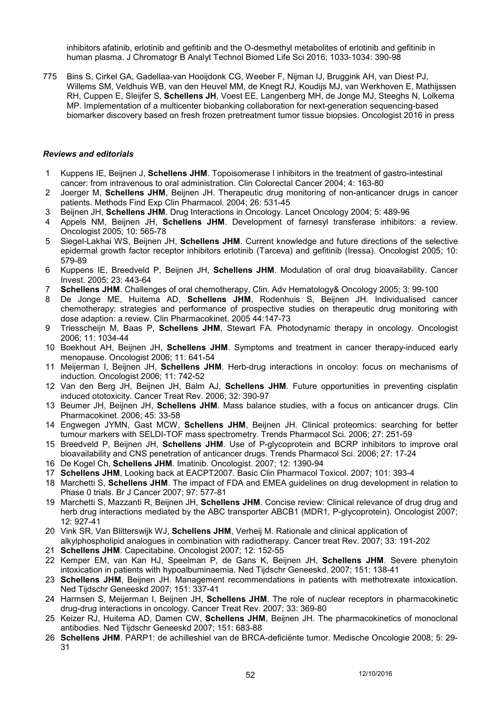inhibitors afatinib, erlotinib and gefitinib and the O-desmethyl metabolites of erlotinib and gefitinib in human plasma. J Chromatogr B Analyt Technol Biomed Life Sci 2016; 1033-1034: 390-98

775 Bins S, Cirkel GA, Gadellaa-van Hooijdonk CG, Weeber F, Nijman IJ, Bruggink AH, van Diest PJ, Willems SM, Veldhuis WB, van den Heuvel MM, de Knegt RJ, Koudijs MJ, van Werkhoven E, Mathijssen RH, Cuppen E, Sleijfer S, **Schellens JH**, Voest EE, Langenberg MH, de Jonge MJ, Steeghs N, Lolkema MP. Implementation of a multicenter biobanking collaboration for next-generation sequencing-based biomarker discovery based on fresh frozen pretreatment tumor tissue biopsies. Oncologist 2016 in press

### *Reviews and editorials*

- 1 Kuppens IE, Beijnen J, **Schellens JHM**. Topoisomerase I inhibitors in the treatment of gastro-intestinal cancer: from intravenous to oral administration. Clin Colorectal Cancer 2004; 4: 163-80
- 2 Joerger M, **Schellens JHM**, Beijnen JH. Therapeutic drug monitoring of non-anticancer drugs in cancer patients. Methods Find Exp Clin Pharmacol. 2004; 26: 531-45
- 3 Beijnen JH, **Schellens JHM**. Drug Interactions in Oncology. Lancet Oncology 2004; 5: 489-96
- 4 Appels NM, Beijnen JH, **Schellens JHM**. Development of farnesyl transferase inhibitors: a review. Oncologist 2005; 10: 565-78
- 5 Siegel-Lakhai WS, Beijnen JH, **Schellens JHM**. Current knowledge and future directions of the selective epidermal growth factor receptor inhibitors erlotinib (Tarceva) and gefitinib (Iressa). Oncologist 2005; 10: 579-89
- 6 Kuppens IE, Breedveld P, Beijnen JH, **Schellens JHM**. Modulation of oral drug bioavailability. Cancer Invest. 2005; 23: 443-64
- 7 **Schellens JHM**. Challenges of oral chemotherapy, Clin. Adv Hematology& Oncology 2005; 3: 99-100
- 8 De Jonge ME, Huitema AD, **Schellens JHM**, Rodenhuis S, Beijnen JH. Individualised cancer chemotherapy: strategies and performance of prospective studies on therapeutic drug monitoring with dose adaption: a review. Clin Pharmacokinet. 2005 44:147-73
- 9 Triesscheijn M, Baas P, **Schellens JHM**, Stewart FA. Photodynamic therapy in oncology. Oncologist 2006; 11: 1034-44
- 10 Boekhout AH, Beijnen JH, **Schellens JHM**. Symptoms and treatment in cancer therapy-induced early menopause. Oncologist 2006; 11: 641-54
- 11 Meijerman I, Beijnen JH, **Schellens JHM**. Herb-drug interactions in oncoloy: focus on mechanisms of induction. Oncologist 2006; 11: 742-52
- 12 Van den Berg JH, Beijnen JH, Balm AJ, **Schellens JHM**. Future opportunities in preventing cisplatin induced ototoxicity. Cancer Treat Rev. 2006; 32: 390-97
- 13 Beumer JH, Beijnen JH, **Schellens JHM**. Mass balance studies, with a focus on anticancer drugs. Clin Pharmacokinet. 2006; 45: 33-58
- 14 Engwegen JYMN, Gast MCW, **Schellens JHM**, Beijnen JH. Clinical proteomics: searching for better tumour markers with SELDI-TOF mass spectrometry. Trends Pharmacol Sci. 2006; 27: 251-59
- 15 Breedveld P, Beijnen JH, **Schellens JHM**. Use of P-glycoprotein and BCRP inhibitors to improve oral bioavailability and CNS penetration of anticancer drugs. Trends Pharmacol Sci. 2006; 27: 17-24
- 16 De Kogel Ch, **Schellens JHM**. Imatinib. Oncologist. 2007; 12: 1390-94
- 17 **Schellens JHM**, Looking back at EACPT2007. Basic Clin Pharmacol Toxicol. 2007; 101: 393-4
- 18 Marchetti S, **Schellens JHM**. The impact of FDA and EMEA guidelines on drug development in relation to Phase 0 trials. Br J Cancer 2007; 97: 577-81
- 19 Marchetti S, Mazzanti R, Beijnen JH, **Schellens JHM**. Concise review: Clinical relevance of drug drug and herb drug interactions mediated by the ABC transporter ABCB1 (MDR1, P-glycoprotein). Oncologist 2007: 12: 927-41
- 20 Vink SR, Van Blitterswijk WJ, **Schellens JHM**, Verheij M. Rationale and clinical application of alkylphospholipid analogues in combination with radiotherapy. Cancer treat Rev. 2007; 33: 191-202
- 21 **Schellens JHM**. Capecitabine. Oncologist 2007; 12: 152-55
- 22 Kemper EM, van Kan HJ, Speelman P, de Gans K, Beijnen JH, **Schellens JHM**. Severe phenytoin intoxication in patients with hypoalbuminaemia. Ned Tijdschr Geneeskd. 2007; 151: 138-41
- 23 **Schellens JHM**, Beijnen JH. Management recommendations in patients with methotrexate intoxication. Ned Tijdschr Geneeskd 2007; 151: 337-41
- 24 Harmsen S, Meijerman I, Beijnen JH, **Schellens JHM**. The role of nuclear receptors in pharmacokinetic drug-drug interactions in oncology. Cancer Treat Rev. 2007; 33: 369-80
- 25 Keizer RJ, Huitema AD, Damen CW, **Schellens JHM**, Beijnen JH. The pharmacokinetics of monoclonal antibodies. Ned Tijdschr Geneeskd 2007; 151: 683-88
- 26 **Schellens JHM**. PARP1: de achilleshiel van de BRCA-deficiënte tumor. Medische Oncologie 2008; 5: 29- 31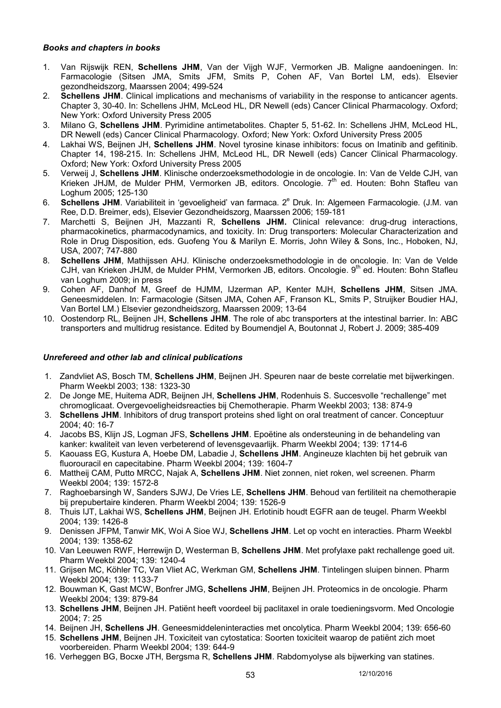### *Books and chapters in books*

- 1. Van Rijswijk REN, **Schellens JHM**, Van der Vijgh WJF, Vermorken JB. Maligne aandoeningen. In: Farmacologie (Sitsen JMA, Smits JFM, Smits P, Cohen AF, Van Bortel LM, eds). Elsevier gezondheidszorg, Maarssen 2004; 499-524
- 2. **Schellens JHM**. Clinical implications and mechanisms of variability in the response to anticancer agents. Chapter 3, 30-40. In: Schellens JHM, McLeod HL, DR Newell (eds) Cancer Clinical Pharmacology. Oxford; New York: Oxford University Press 2005
- 3. Milano G, **Schellens JHM**. Pyrimidine antimetabolites. Chapter 5, 51-62. In: Schellens JHM, McLeod HL, DR Newell (eds) Cancer Clinical Pharmacology. Oxford; New York: Oxford University Press 2005
- 4. Lakhai WS, Beijnen JH, **Schellens JHM**. Novel tyrosine kinase inhibitors: focus on Imatinib and gefitinib. Chapter 14, 198-215. In: Schellens JHM, McLeod HL, DR Newell (eds) Cancer Clinical Pharmacology. Oxford; New York: Oxford University Press 2005
- 5. Verweij J, **Schellens JHM**. Klinische onderzoeksmethodologie in de oncologie. In: Van de Velde CJH, van Krieken JHJM, de Mulder PHM, Vermorken JB, editors. Oncologie. 7<sup>th</sup> ed. Houten: Bohn Stafleu van Loghum 2005; 125-130
- 6. Schellens JHM. Variabiliteit in 'gevoeligheid' van farmaca. 2<sup>e</sup> Druk. In: Algemeen Farmacologie. (J.M. van Ree, D.D. Breimer, eds), Elsevier Gezondheidszorg, Maarssen 2006; 159-181
- 7. Marchetti S, Beijnen JH, Mazzanti R, **Schellens JHM.** Clinical relevance: drug-drug interactions, pharmacokinetics, pharmacodynamics, and toxicity. In: Drug transporters: Molecular Characterization and Role in Drug Disposition, eds. Guofeng You & Marilyn E. Morris, John Wiley & Sons, Inc., Hoboken, NJ, USA, 2007; 747-880
- 8. **Schellens JHM**, Mathijssen AHJ. Klinische onderzoeksmethodologie in de oncologie. In: Van de Velde CJH, van Krieken JHJM, de Mulder PHM, Vermorken JB, editors. Oncologie. 9<sup>th</sup> ed. Houten: Bohn Stafleu van Loghum 2009; in press
- 9. Cohen AF, Danhof M, Greef de HJMM, IJzerman AP, Kenter MJH, **Schellens JHM**, Sitsen JMA. Geneesmiddelen. In: Farmacologie (Sitsen JMA, Cohen AF, Franson KL, Smits P, Struijker Boudier HAJ, Van Bortel LM.) Elsevier gezondheidszorg, Maarssen 2009; 13-64
- 10. Oostendorp RL, Beijnen JH, **Schellens JHM**. The role of abc transporters at the intestinal barrier. In: ABC transporters and multidrug resistance. Edited by Boumendjel A, Boutonnat J, Robert J. 2009; 385-409

## *Unrefereed and other lab and clinical publications*

- 1. Zandvliet AS, Bosch TM, **Schellens JHM**, Beijnen JH. Speuren naar de beste correlatie met bijwerkingen. Pharm Weekbl 2003; 138: 1323-30
- 2. De Jonge ME, Huitema ADR, Beijnen JH, **Schellens JHM**, Rodenhuis S. Succesvolle "rechallenge" met chromoglicaat. Overgevoeligheidsreacties bij Chemotherapie. Pharm Weekbl 2003; 138: 874-9
- 3. **Schellens JHM**. Inhibitors of drug transport proteins shed light on oral treatment of cancer. Conceptuur 2004; 40: 16-7
- 4. Jacobs BS, Klijn JS, Logman JFS, **Schellens JHM**. Epoëtine als ondersteuning in de behandeling van kanker: kwaliteit van leven verbeterend of levensgevaarlijk. Pharm Weekbl 2004; 139: 1714-6
- 5. Kaouass EG, Kustura A, Hoebe DM, Labadie J, **Schellens JHM**. Angineuze klachten bij het gebruik van fluorouracil en capecitabine. Pharm Weekbl 2004; 139: 1604-7
- 6. Mattheij CAM, Putto MRCC, Najak A, **Schellens JHM**. Niet zonnen, niet roken, wel screenen. Pharm Weekbl 2004; 139: 1572-8
- 7. Raghoebarsingh W, Sanders SJWJ, De Vries LE, **Schellens JHM**. Behoud van fertiliteit na chemotherapie bij prepubertaire kinderen. Pharm Weekbl 2004; 139: 1526-9
- 8. Thuis IJT, Lakhai WS, **Schellens JHM**, Beijnen JH. Erlotinib houdt EGFR aan de teugel. Pharm Weekbl 2004; 139: 1426-8
- 9. Denissen JFPM, Tanwir MK, Woi A Sioe WJ, **Schellens JHM**. Let op vocht en interacties. Pharm Weekbl 2004; 139: 1358-62
- 10. Van Leeuwen RWF, Herrewijn D, Westerman B, **Schellens JHM**. Met profylaxe pakt rechallenge goed uit. Pharm Weekbl 2004; 139: 1240-4
- 11. Grijsen MC, Köhler TC, Van Vliet AC, Werkman GM, **Schellens JHM**. Tintelingen sluipen binnen. Pharm Weekbl 2004; 139: 1133-7
- 12. Bouwman K, Gast MCW, Bonfrer JMG, **Schellens JHM**, Beijnen JH. Proteomics in de oncologie. Pharm Weekbl 2004; 139: 879-84
- 13. **Schellens JHM**, Beijnen JH. Patiënt heeft voordeel bij paclitaxel in orale toedieningsvorm. Med Oncologie 2004; 7: 25
- 14. Beijnen JH, **Schellens JH**. Geneesmiddeleninteracties met oncolytica. Pharm Weekbl 2004; 139: 656-60
- 15. **Schellens JHM**, Beijnen JH. Toxiciteit van cytostatica: Soorten toxiciteit waarop de patiënt zich moet voorbereiden. Pharm Weekbl 2004; 139: 644-9
- 16. Verheggen BG, Bocxe JTH, Bergsma R, **Schellens JHM**. Rabdomyolyse als bijwerking van statines.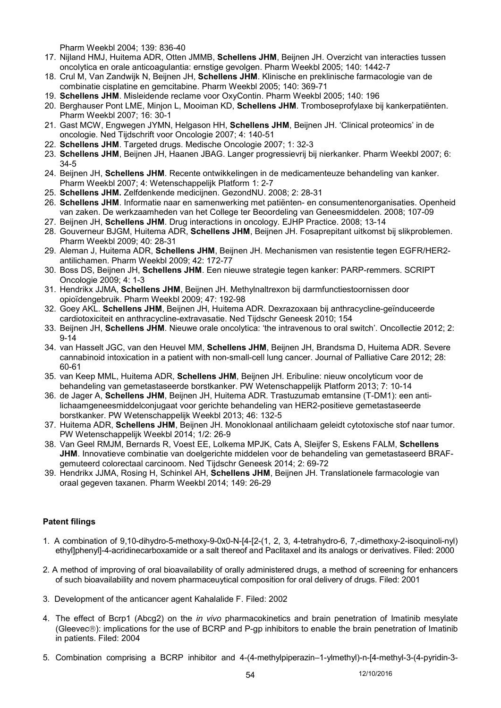Pharm Weekbl 2004; 139: 836-40

- 17. Nijland HMJ, Huitema ADR, Otten JMMB, **Schellens JHM**, Beijnen JH. Overzicht van interacties tussen oncolytica en orale anticoagulantia: ernstige gevolgen. Pharm Weekbl 2005; 140: 1442-7
- 18. Crul M, Van Zandwijk N, Beijnen JH, **Schellens JHM**. Klinische en preklinische farmacologie van de combinatie cisplatine en gemcitabine. Pharm Weekbl 2005; 140: 369-71
- 19. **Schellens JHM**. Misleidende reclame voor OxyContin. Pharm Weekbl 2005; 140: 196
- 20. Berghauser Pont LME, Minjon L, Mooiman KD, **Schellens JHM**. Tromboseprofylaxe bij kankerpatiënten. Pharm Weekbl 2007; 16: 30-1
- 21. Gast MCW, Engwegen JYMN, Helgason HH, **Schellens JHM**, Beijnen JH. 'Clinical proteomics' in de oncologie. Ned Tijdschrift voor Oncologie 2007; 4: 140-51
- 22. **Schellens JHM**. Targeted drugs. Medische Oncologie 2007; 1: 32-3
- 23. **Schellens JHM**, Beijnen JH, Haanen JBAG. Langer progressievrij bij nierkanker. Pharm Weekbl 2007; 6: 34-5
- 24. Beijnen JH, **Schellens JHM**. Recente ontwikkelingen in de medicamenteuze behandeling van kanker. Pharm Weekbl 2007; 4: Wetenschappelijk Platform 1: 2-7
- 25. **Schellens JHM.** Zelfdenkende medicijnen. GezondNU. 2008; 2: 28-31
- 26. **Schellens JHM**. Informatie naar en samenwerking met patiënten- en consumentenorganisaties. Openheid van zaken. De werkzaamheden van het College ter Beoordeling van Geneesmiddelen. 2008; 107-09 27. Beijnen JH, **Schellens JHM**. Drug interactions in oncology. EJHP Practice. 2008; 13-14
- 28. Gouverneur BJGM, Huitema ADR, **Schellens JHM**, Beijnen JH. Fosaprepitant uitkomst bij slikproblemen. Pharm Weekbl 2009; 40: 28-31
- 29. Aleman J, Huitema ADR, **Schellens JHM**, Beijnen JH. Mechanismen van resistentie tegen EGFR/HER2 antilichamen. Pharm Weekbl 2009; 42: 172-77
- 30. Boss DS, Beijnen JH, **Schellens JHM**. Een nieuwe strategie tegen kanker: PARP-remmers. SCRIPT Oncologie 2009; 4: 1-3
- 31. Hendrikx JJMA, **Schellens JHM**, Beijnen JH. Methylnaltrexon bij darmfunctiestoornissen door opioïdengebruik. Pharm Weekbl 2009; 47: 192-98
- 32. Goey AKL. **Schellens JHM**, Beijnen JH, Huitema ADR. Dexrazoxaan bij anthracycline-geïnduceerde cardiotoxiciteit en anthracycline-extravasatie. Ned Tijdschr Geneesk 2010; 154
- 33. Beijnen JH, **Schellens JHM**. Nieuwe orale oncolytica: 'the intravenous to oral switch'. Oncollectie 2012; 2: 9-14
- 34. van Hasselt JGC, van den Heuvel MM, **Schellens JHM**, Beijnen JH, Brandsma D, Huitema ADR. Severe cannabinoid intoxication in a patient with non-small-cell lung cancer. Journal of Palliative Care 2012; 28: 60-61
- 35. van Keep MML, Huitema ADR, **Schellens JHM**, Beijnen JH. Eribuline: nieuw oncolyticum voor de behandeling van gemetastaseerde borstkanker. PW Wetenschappelijk Platform 2013; 7: 10-14
- 36. de Jager A, **Schellens JHM**, Beijnen JH, Huitema ADR. Trastuzumab emtansine (T-DM1): een antilichaamgeneesmiddelconjugaat voor gerichte behandeling van HER2-positieve gemetastaseerde borstkanker. PW Wetenschappelijk Weekbl 2013; 46: 132-5
- 37. Huitema ADR, **Schellens JHM**, Beijnen JH. Monoklonaal antilichaam geleidt cytotoxische stof naar tumor. PW Wetenschappelijk Weekbl 2014; 1/2: 26-9
- 38. Van Geel RMJM, Bernards R, Voest EE, Lolkema MPJK, Cats A, Sleijfer S, Eskens FALM, **Schellens JHM**. Innovatieve combinatie van doelgerichte middelen voor de behandeling van gemetastaseerd BRAFgemuteerd colorectaal carcinoom. Ned Tijdschr Geneesk 2014; 2: 69-72
- 39. Hendrikx JJMA, Rosing H, Schinkel AH, **Schellens JHM**, Beijnen JH. Translationele farmacologie van oraal gegeven taxanen. Pharm Weekbl 2014; 149: 26-29

# **Patent filings**

- 1. A combination of 9,10-dihydro-5-methoxy-9-0x0-N-[4-[2-(1, 2, 3, 4-tetrahydro-6, 7,-dimethoxy-2-isoquinoli-nyl) ethyl]phenyl]-4-acridinecarboxamide or a salt thereof and Paclitaxel and its analogs or derivatives. Filed: 2000
- 2. A method of improving of oral bioavailability of orally administered drugs, a method of screening for enhancers of such bioavailability and novem pharmaceuytical composition for oral delivery of drugs. Filed: 2001
- 3. Development of the anticancer agent Kahalalide F. Filed: 2002
- 4. The effect of Bcrp1 (Abcg2) on the *in vivo* pharmacokinetics and brain penetration of Imatinib mesylate (Gleevec®): implications for the use of BCRP and P-gp inhibitors to enable the brain penetration of Imatinib in patients. Filed: 2004
- 5. Combination comprising a BCRP inhibitor and 4-(4-methylpiperazin–1-ylmethyl)-n-[4-methyl-3-(4-pyridin-3-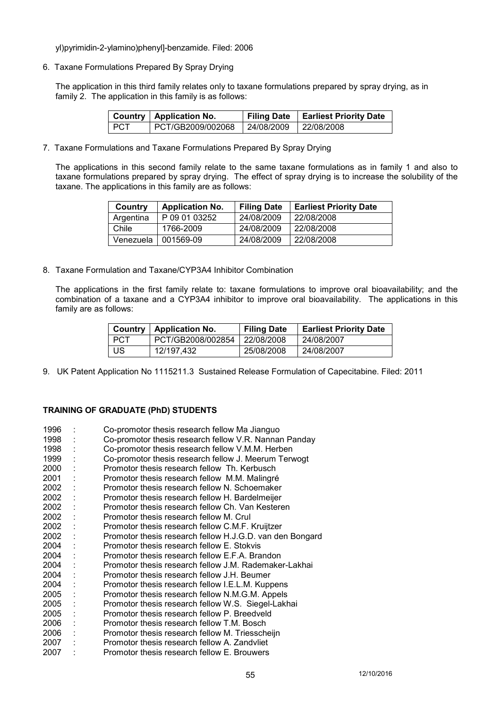yl)pyrimidin-2-ylamino)phenyl]-benzamide. Filed: 2006

6. Taxane Formulations Prepared By Spray Drying

The application in this third family relates only to taxane formulations prepared by spray drying, as in family 2. The application in this family is as follows:

|       | Country   Application No.                   | Filing Date   Earliest Priority Date |
|-------|---------------------------------------------|--------------------------------------|
| I PCT | PCT/GB2009/002068   24/08/2009   22/08/2008 |                                      |

7. Taxane Formulations and Taxane Formulations Prepared By Spray Drying

The applications in this second family relate to the same taxane formulations as in family 1 and also to taxane formulations prepared by spray drying. The effect of spray drying is to increase the solubility of the taxane. The applications in this family are as follows:

| Country   | <b>Application No.</b> | <b>Filing Date</b> | <b>Earliest Priority Date</b> |
|-----------|------------------------|--------------------|-------------------------------|
| Argentina | P 09 01 03252          | 24/08/2009         | 22/08/2008                    |
| Chile     | 1766-2009              | 24/08/2009         | 22/08/2008                    |
| Venezuela | 001569-09              | 24/08/2009         | 22/08/2008                    |

8. Taxane Formulation and Taxane/CYP3A4 Inhibitor Combination

The applications in the first family relate to: taxane formulations to improve oral bioavailability; and the combination of a taxane and a CYP3A4 inhibitor to improve oral bioavailability. The applications in this family are as follows:

|            | Country   Application No. | <b>Filing Date</b> | <b>Earliest Priority Date</b> |
|------------|---------------------------|--------------------|-------------------------------|
| <b>PCT</b> | PCT/GB2008/002854         | 22/08/2008         | 24/08/2007                    |
| US         | 12/197,432                | 25/08/2008         | 24/08/2007                    |

9. UK Patent Application No 1115211.3 Sustained Release Formulation of Capecitabine. Filed: 2011

### **TRAINING OF GRADUATE (PhD) STUDENTS**

| 1996 | Co-promotor thesis research fellow Ma Jianguo            |
|------|----------------------------------------------------------|
| 1998 | Co-promotor thesis research fellow V.R. Nannan Panday    |
| 1998 | Co-promotor thesis research fellow V.M.M. Herben         |
| 1999 | Co-promotor thesis research fellow J. Meerum Terwogt     |
| 2000 | Promotor thesis research fellow Th. Kerbusch             |
| 2001 | Promotor thesis research fellow M.M. Malingré            |
| 2002 | Promotor thesis research fellow N. Schoemaker            |
| 2002 | Promotor thesis research fellow H. Bardelmeijer          |
| 2002 | Promotor thesis research fellow Ch. Van Kesteren         |
| 2002 | Promotor thesis research fellow M. Crul                  |
| 2002 | Promotor thesis research fellow C.M.F. Kruijtzer         |
| 2002 | Promotor thesis research fellow H.J.G.D. van den Bongard |
| 2004 | Promotor thesis research fellow E. Stokvis               |
| 2004 | Promotor thesis research fellow E.F.A. Brandon           |
| 2004 | Promotor thesis research fellow J.M. Rademaker-Lakhai    |
| 2004 | Promotor thesis research fellow J.H. Beumer              |
| 2004 | Promotor thesis research fellow I.E.L.M. Kuppens         |
| 2005 | Promotor thesis research fellow N.M.G.M. Appels          |
| 2005 | Promotor thesis research fellow W.S. Siegel-Lakhai       |
| 2005 | Promotor thesis research fellow P. Breedveld             |
| 2006 | Promotor thesis research fellow T.M. Bosch               |
| 2006 | Promotor thesis research fellow M. Triesscheijn          |
| 2007 | Promotor thesis research fellow A. Zandvliet             |
| 2007 | Promotor thesis research fellow E. Brouwers              |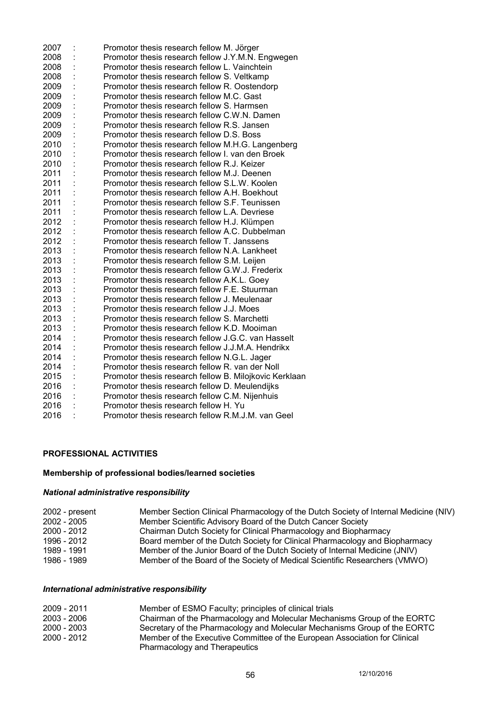| 2007 | Promotor thesis research fellow M. Jörger              |
|------|--------------------------------------------------------|
| 2008 | Promotor thesis research fellow J.Y.M.N. Engwegen      |
| 2008 | Promotor thesis research fellow L. Vainchtein          |
| 2008 | Promotor thesis research fellow S. Veltkamp            |
| 2009 | Promotor thesis research fellow R. Oostendorp          |
| 2009 | Promotor thesis research fellow M.C. Gast              |
| 2009 | Promotor thesis research fellow S. Harmsen             |
| 2009 | Promotor thesis research fellow C.W.N. Damen           |
| 2009 | Promotor thesis research fellow R.S. Jansen            |
| 2009 | Promotor thesis research fellow D.S. Boss              |
| 2010 | Promotor thesis research fellow M.H.G. Langenberg      |
| 2010 | Promotor thesis research fellow I. van den Broek       |
| 2010 | Promotor thesis research fellow R.J. Keizer            |
| 2011 | Promotor thesis research fellow M.J. Deenen            |
| 2011 | Promotor thesis research fellow S.L.W. Koolen          |
| 2011 | Promotor thesis research fellow A.H. Boekhout          |
| 2011 | Promotor thesis research fellow S.F. Teunissen         |
| 2011 | Promotor thesis research fellow L.A. Devriese          |
| 2012 | Promotor thesis research fellow H.J. Klümpen           |
| 2012 | Promotor thesis research fellow A.C. Dubbelman         |
| 2012 | Promotor thesis research fellow T. Janssens            |
| 2013 | Promotor thesis research fellow N.A. Lankheet          |
| 2013 | Promotor thesis research fellow S.M. Leijen            |
| 2013 | Promotor thesis research fellow G.W.J. Frederix        |
| 2013 | Promotor thesis research fellow A.K.L. Goey            |
| 2013 | Promotor thesis research fellow F.E. Stuurman          |
| 2013 | Promotor thesis research fellow J. Meulenaar           |
| 2013 | Promotor thesis research fellow J.J. Moes              |
| 2013 | Promotor thesis research fellow S. Marchetti           |
| 2013 | Promotor thesis research fellow K.D. Mooiman           |
| 2014 | Promotor thesis research fellow J.G.C. van Hasselt     |
| 2014 | Promotor thesis research fellow J.J.M.A. Hendrikx      |
| 2014 | Promotor thesis research fellow N.G.L. Jager           |
| 2014 | Promotor thesis research fellow R. van der Noll        |
| 2015 | Promotor thesis research fellow B. Milojkovic Kerklaan |
| 2016 | Promotor thesis research fellow D. Meulendijks         |
| 2016 | Promotor thesis research fellow C.M. Nijenhuis         |
| 2016 | Promotor thesis research fellow H. Yu                  |
| 2016 | Promotor thesis research fellow R.M.J.M. van Geel      |

# **PROFESSIONAL ACTIVITIES**

# **Membership of professional bodies/learned societies**

# *National administrative responsibility*

| $2002$ - present | Member Section Clinical Pharmacology of the Dutch Society of Internal Medicine (NIV) |
|------------------|--------------------------------------------------------------------------------------|
| $2002 - 2005$    | Member Scientific Advisory Board of the Dutch Cancer Society                         |
| $2000 - 2012$    | Chairman Dutch Society for Clinical Pharmacology and Biopharmacy                     |
| 1996 - 2012      | Board member of the Dutch Society for Clinical Pharmacology and Biopharmacy          |
| 1989 - 1991      | Member of the Junior Board of the Dutch Society of Internal Medicine (JNIV)          |
| 1986 - 1989      | Member of the Board of the Society of Medical Scientific Researchers (VMWO)          |

# *International administrative responsibility*

| 2009 - 2011   | Member of ESMO Faculty; principles of clinical trials                      |
|---------------|----------------------------------------------------------------------------|
| $2003 - 2006$ | Chairman of the Pharmacology and Molecular Mechanisms Group of the EORTC   |
| $2000 - 2003$ | Secretary of the Pharmacology and Molecular Mechanisms Group of the EORTC  |
| $2000 - 2012$ | Member of the Executive Committee of the European Association for Clinical |
|               | Pharmacology and Therapeutics                                              |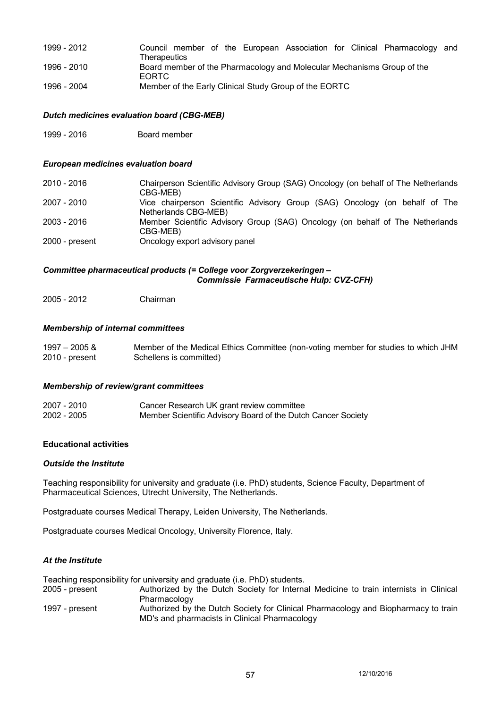- 1999 2012 Council member of the European Association for Clinical Pharmacology and **Therapeutics** 1996 - 2010 Board member of the Pharmacology and Molecular Mechanisms Group of the EORTC
- 1996 2004 Member of the Early Clinical Study Group of the EORTC

### *Dutch medicines evaluation board (CBG-MEB)*

1999 - 2016 Board member

### *European medicines evaluation board*

| 2010 - 2016      | Chairperson Scientific Advisory Group (SAG) Oncology (on behalf of The Netherlands<br>CBG-MEB)      |
|------------------|-----------------------------------------------------------------------------------------------------|
| 2007 - 2010      | Vice chairperson Scientific Advisory Group (SAG) Oncology (on behalf of The<br>Netherlands CBG-MEB) |
| 2003 - 2016      | Member Scientific Advisory Group (SAG) Oncology (on behalf of The Netherlands<br>CBG-MEB)           |
| $2000 - present$ | Oncology export advisory panel                                                                      |

### *Committee pharmaceutical products (= College voor Zorgverzekeringen – Commissie Farmaceutische Hulp: CVZ-CFH)*

2005 - 2012 Chairman

### *Membership of internal committees*

1997 – 2005 & Member of the Medical Ethics Committee (non-voting member for studies to which JHM Schellens is committed)

#### *Membership of review/grant committees*

| 2007 - 2010 | Cancer Research UK grant review committee                    |
|-------------|--------------------------------------------------------------|
| 2002 - 2005 | Member Scientific Advisory Board of the Dutch Cancer Society |

#### **Educational activities**

#### *Outside the Institute*

Teaching responsibility for university and graduate (i.e. PhD) students, Science Faculty, Department of Pharmaceutical Sciences, Utrecht University, The Netherlands.

Postgraduate courses Medical Therapy, Leiden University, The Netherlands.

Postgraduate courses Medical Oncology, University Florence, Italy.

### *At the Institute*

Teaching responsibility for university and graduate (i.e. PhD) students.

- 2005 present Authorized by the Dutch Society for Internal Medicine to train internists in Clinical Pharmacology
- 1997 present Authorized by the Dutch Society for Clinical Pharmacology and Biopharmacy to train MD's and pharmacists in Clinical Pharmacology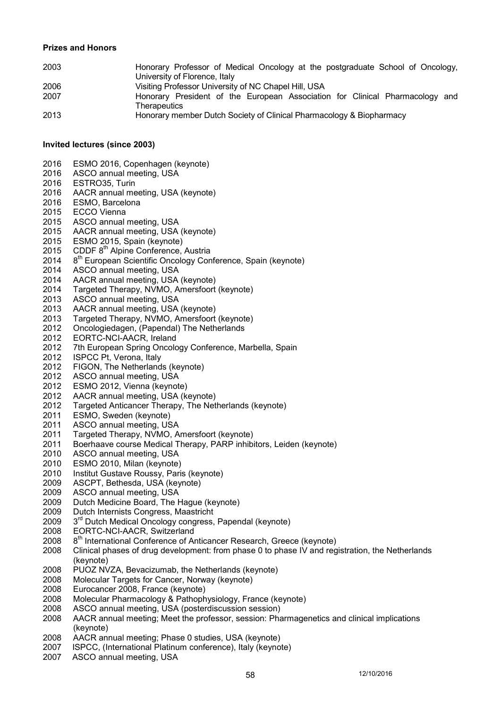### **Prizes and Honors**

| 2003 | Honorary Professor of Medical Oncology at the postgraduate School of Oncology,               |
|------|----------------------------------------------------------------------------------------------|
|      | University of Florence, Italy                                                                |
| 2006 | Visiting Professor University of NC Chapel Hill, USA                                         |
| 2007 | Honorary President of the European Association for Clinical Pharmacology and<br>Therapeutics |
| 2013 | Honorary member Dutch Society of Clinical Pharmacology & Biopharmacy                         |

#### **Invited lectures (since 2003)**

- 2016 ESMO 2016, Copenhagen (keynote)
- 2016 ASCO annual meeting, USA
- 2016 ESTRO35, Turin
- 2016 AACR annual meeting, USA (keynote)
- 2016 ESMO, Barcelona
- 2015 ECCO Vienna
- 2015 ASCO annual meeting, USA
- 2015 AACR annual meeting, USA (keynote)
- 2015 ESMO 2015, Spain (keynote)
- 2015 CDDF 8<sup>th</sup> Alpine Conference, Austria
- 2014 8<sup>th</sup> European Scientific Oncology Conference, Spain (keynote)<br>2014 ASCO annual meeting, USA
- ASCO annual meeting, USA
- 2014 AACR annual meeting, USA (keynote)
- 2014 Targeted Therapy, NVMO, Amersfoort (keynote)
- 2013 ASCO annual meeting, USA
- 2013 AACR annual meeting, USA (keynote)
- 2013 Targeted Therapy, NVMO, Amersfoort (keynote)<br>2012 Oncologiedagen, (Papendal) The Netherlands
- 2012 Oncologiedagen, (Papendal) The Netherlands
- 2012 EORTC-NCI-AACR, Ireland
- 2012 7th European Spring Oncology Conference, Marbella, Spain<br>2012 ISPCC Pt. Verona, Italy
- 2012 ISPCC Pt, Verona, Italy<br>2012 FIGON, The Netherland
- FIGON, The Netherlands (keynote)
- 2012 ASCO annual meeting, USA
- 2012 ESMO 2012, Vienna (keynote)
- 2012 AACR annual meeting, USA (keynote)
- 2012 Targeted Anticancer Therapy, The Netherlands (keynote)
- 2011 ESMO, Sweden (keynote)
- 2011 ASCO annual meeting, USA
- 2011 Targeted Therapy, NVMO, Amersfoort (keynote)
- 2011 Boerhaave course Medical Therapy, PARP inhibitors, Leiden (keynote)
- 2010 ASCO annual meeting, USA<br>2010 ESMO 2010, Milan (kevnote)
- 2010 ESMO 2010, Milan (keynote)<br>2010 Institut Gustave Roussy, Pari
- Institut Gustave Roussy, Paris (keynote)
- 2009 ASCPT, Bethesda, USA (keynote)
- 2009 ASCO annual meeting, USA
- 2009 Dutch Medicine Board, The Hague (keynote)
- 2009 Dutch Internists Congress, Maastricht
- 2009 3<sup>rd</sup> Dutch Medical Oncology congress, Papendal (keynote)<br>2008 EORTC-NCI-AACR. Switzerland
- EORTC-NCI-AACR, Switzerland
- 2008 8<sup>th</sup> International Conference of Anticancer Research, Greece (keynote)
- 2008 Clinical phases of drug development: from phase 0 to phase IV and registration, the Netherlands (keynote)
- 2008 PUOZ NVZA, Bevacizumab, the Netherlands (keynote)
- 2008 Molecular Targets for Cancer, Norway (keynote)
- 2008 Eurocancer 2008, France (keynote)
- 2008 Molecular Pharmacology & Pathophysiology, France (keynote)
- 2008 ASCO annual meeting, USA (posterdiscussion session)
- 2008 AACR annual meeting; Meet the professor, session: Pharmagenetics and clinical implications (keynote)
- 2008 AACR annual meeting; Phase 0 studies, USA (keynote)
- 2007 ISPCC, (International Platinum conference), Italy (keynote)
- 2007 ASCO annual meeting, USA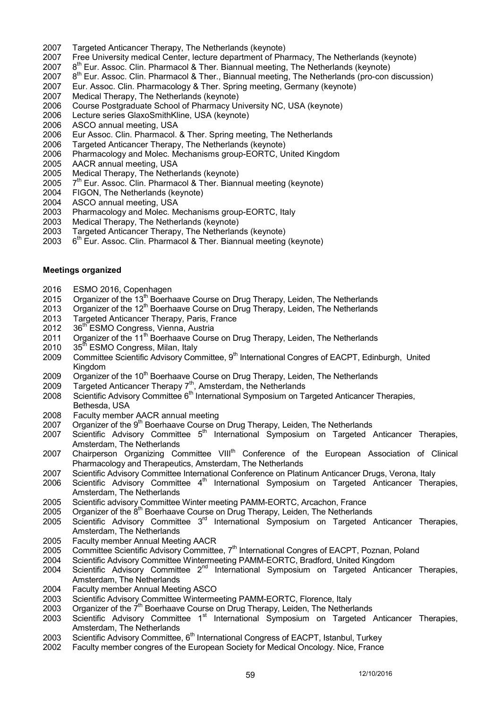- 2007 Targeted Anticancer Therapy, The Netherlands (keynote)
- 2007 Free University medical Center, lecture department of Pharmacy, The Netherlands (keynote)
- 2007  $8<sup>th</sup>$  Eur. Assoc. Clin. Pharmacol & Ther. Biannual meeting, The Netherlands (keynote)
- 2007 8<sup>th</sup> Eur. Assoc. Clin. Pharmacol & Ther., Biannual meeting, The Netherlands (pro-con discussion)
- 2007 Eur. Assoc. Clin. Pharmacology & Ther. Spring meeting, Germany (keynote)
- 2007 Medical Therapy, The Netherlands (keynote)<br>2006 Course Postgraduate School of Pharmacy Ur
- Course Postgraduate School of Pharmacy University NC, USA (keynote)
- 2006 Lecture series GlaxoSmithKline, USA (keynote)
- 2006 ASCO annual meeting, USA
- 2006 Eur Assoc. Clin. Pharmacol. & Ther. Spring meeting, The Netherlands
- 2006 Targeted Anticancer Therapy, The Netherlands (keynote)
- Pharmacology and Molec. Mechanisms group-EORTC, United Kingdom
- 2005 AACR annual meeting, USA
- 2005 Medical Therapy, The Netherlands (keynote)
- 2005 7<sup>th</sup> Eur. Assoc. Clin. Pharmacol & Ther. Biannual meeting (keynote)
- 2004 FIGON, The Netherlands (keynote)
- 2004 ASCO annual meeting, USA
- 2003 Pharmacology and Molec. Mechanisms group-EORTC, Italy
- 2003 Medical Therapy, The Netherlands (keynote)
- 2003 Targeted Anticancer Therapy, The Netherlands (keynote)
- 2003  $6<sup>th</sup>$  Eur. Assoc. Clin. Pharmacol & Ther. Biannual meeting (keynote)

### **Meetings organized**

- 2016 ESMO 2016, Copenhagen<br>2015 Organizer of the 13<sup>th</sup> Boerha
- Organizer of the 13<sup>th</sup> Boerhaave Course on Drug Therapy, Leiden, The Netherlands
- 2013 Organizer of the  $12<sup>th</sup>$  Boerhaave Course on Drug Therapy, Leiden, The Netherlands
- 2013 Targeted Anticancer Therapy, Paris, France<br>2012 36<sup>th</sup> FSMO Congress, Vienna, Austria
- 36<sup>th</sup> ESMO Congress, Vienna, Austria
- 2011 Organizer of the 11<sup>th</sup> Boerhaave Course on Drug Therapy, Leiden, The Netherlands
- 2010 35<sup>th</sup> ESMO Congress, Milan, Italy<br>2009 Committee Scientific Advisory Con
- Committee Scientific Advisory Committee, 9<sup>th</sup> International Congres of EACPT, Edinburgh, United Kingdom
- 2009 Organizer of the  $10^{th}$  Boerhaave Course on Drug Therapy, Leiden, The Netherlands
- 2009 Targeted Anticancer Therapy  $7<sup>th</sup>$ , Amsterdam, the Netherlands
- 2008 Scientific Advisory Committee 6<sup>th</sup> International Symposium on Targeted Anticancer Therapies, Bethesda, USA
- 2008 Faculty member AACR annual meeting
- 2007 Organizer of the 9<sup>th</sup> Boerhaave Course on Drug Therapy, Leiden, The Netherlands
- 2007 Scientific Advisory Committee 5<sup>th</sup> International Symposium on Targeted Anticancer Therapies, Amsterdam, The Netherlands
- 2007 Chairperson Organizing Committee VIII<sup>th</sup> Conference of the European Association of Clinical Pharmacology and Therapeutics, Amsterdam, The Netherlands
- 2007 Scientific Advisory Committee International Conference on Platinum Anticancer Drugs, Verona, Italy
- 2006 Scientific Advisory Committee  $4<sup>th</sup>$  International Symposium on Targeted Anticancer Therapies, Amsterdam, The Netherlands
- 2005 Scientific advisory Committee Winter meeting PAMM-EORTC, Arcachon, France
- 2005 Organizer of the 8<sup>th</sup> Boerhaave Course on Drug Therapy, Leiden, The Netherlands
- 2005 Scientific Advisory Committee 3<sup>rd</sup> International Symposium on Targeted Anticancer Therapies, Amsterdam, The Netherlands
- 2005 Faculty member Annual Meeting AACR
- 2005 Committee Scientific Advisory Committee, 7<sup>th</sup> International Congres of EACPT, Poznan, Poland<br>2004 Scientific Advisory Committee Wintermeeting PAMM-FORTC, Bradford, United Kingdom
- Scientific Advisory Committee Wintermeeting PAMM-EORTC, Bradford, United Kingdom
- 2004 Scientific Advisory Committee 2<sup>nd</sup> International Symposium on Targeted Anticancer Therapies, Amsterdam, The Netherlands
- 2004 Faculty member Annual Meeting ASCO
- 2003 Scientific Advisory Committee Wintermeeting PAMM-EORTC, Florence, Italy
- 2003 Organizer of the 7th Boerhaave Course on Drug Therapy, Leiden, The Netherlands
- 2003 Scientific Advisory Committee 1<sup>st</sup> International Symposium on Targeted Anticancer Therapies, Amsterdam, The Netherlands
- 2003 Scientific Advisory Committee, 6<sup>th</sup> International Congress of EACPT, Istanbul, Turkey<br>2002 Faculty member congres of the European Society for Medical Oncology. Nice, France
- Faculty member congres of the European Society for Medical Oncology. Nice, France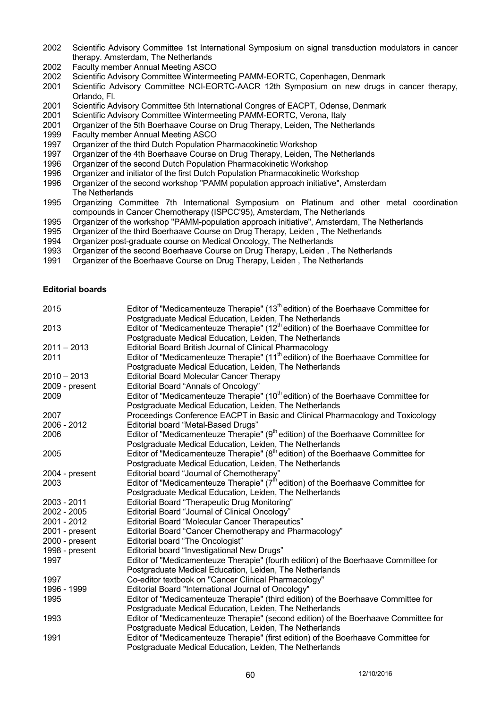- 2002 Scientific Advisory Committee 1st International Symposium on signal transduction modulators in cancer therapy. Amsterdam, The Netherlands
- 2002 Faculty member Annual Meeting ASCO
- 2002 Scientific Advisory Committee Wintermeeting PAMM-EORTC, Copenhagen, Denmark
- 2001 Scientific Advisory Committee NCI-EORTC-AACR 12th Symposium on new drugs in cancer therapy, Orlando, Fl.
- 2001 Scientific Advisory Committee 5th International Congres of EACPT, Odense, Denmark
- 2001 Scientific Advisory Committee Wintermeeting PAMM-EORTC, Verona, Italy
- 2001 Organizer of the 5th Boerhaave Course on Drug Therapy, Leiden, The Netherlands<br>1999 – Faculty member Annual Meeting ASCO
- Faculty member Annual Meeting ASCO
- 1997 Organizer of the third Dutch Population Pharmacokinetic Workshop<br>1997 Organizer of the 4th Boerhaave Course on Drug Therapy, Leiden, T
- 1997 Organizer of the 4th Boerhaave Course on Drug Therapy, Leiden, The Netherlands<br>1996 Organizer of the second Dutch Population Pharmacokinetic Workshop
- Organizer of the second Dutch Population Pharmacokinetic Workshop
- 1996 Organizer and initiator of the first Dutch Population Pharmacokinetic Workshop
- 1996 Organizer of the second workshop "PAMM population approach initiative", Amsterdam The Netherlands
- 1995 Organizing Committee 7th International Symposium on Platinum and other metal coordination compounds in Cancer Chemotherapy (ISPCC'95), Amsterdam, The Netherlands
- 1995 Organizer of the workshop "PAMM-population approach initiative", Amsterdam, The Netherlands
- 1995 Organizer of the third Boerhaave Course on Drug Therapy, Leiden , The Netherlands
- 1994 Organizer post-graduate course on Medical Oncology, The Netherlands
- 1993 Organizer of the second Boerhaave Course on Drug Therapy, Leiden , The Netherlands
- 1991 Organizer of the Boerhaave Course on Drug Therapy, Leiden , The Netherlands

### **Editorial boards**

| 2015           | Editor of "Medicamenteuze Therapie" (13 <sup>th</sup> edition) of the Boerhaave Committee for<br>Postgraduate Medical Education, Leiden, The Netherlands |
|----------------|----------------------------------------------------------------------------------------------------------------------------------------------------------|
| 2013           | Editor of "Medicamenteuze Therapie" (12 <sup>th</sup> edition) of the Boerhaave Committee for<br>Postgraduate Medical Education, Leiden, The Netherlands |
| $2011 - 2013$  | Editorial Board British Journal of Clinical Pharmacology                                                                                                 |
| 2011           | Editor of "Medicamenteuze Therapie" (11 <sup>th</sup> edition) of the Boerhaave Committee for                                                            |
|                | Postgraduate Medical Education, Leiden, The Netherlands                                                                                                  |
| $2010 - 2013$  | <b>Editorial Board Molecular Cancer Therapy</b>                                                                                                          |
| 2009 - present | Editorial Board "Annals of Oncology"                                                                                                                     |
| 2009           | Editor of "Medicamenteuze Therapie" (10 <sup>th</sup> edition) of the Boerhaave Committee for                                                            |
|                | Postgraduate Medical Education, Leiden, The Netherlands                                                                                                  |
| 2007           | Proceedings Conference EACPT in Basic and Clinical Pharmacology and Toxicology                                                                           |
| 2006 - 2012    | <b>Editorial board "Metal-Based Drugs"</b>                                                                                                               |
| 2006           | Editor of "Medicamenteuze Therapie" (9 <sup>th</sup> edition) of the Boerhaave Committee for                                                             |
|                | Postgraduate Medical Education, Leiden, The Netherlands                                                                                                  |
| 2005           | Editor of "Medicamenteuze Therapie" (8 <sup>th</sup> edition) of the Boerhaave Committee for                                                             |
|                | Postgraduate Medical Education, Leiden, The Netherlands                                                                                                  |
| 2004 - present | Editorial board "Journal of Chemotherapy"                                                                                                                |
| 2003           | Editor of "Medicamenteuze Therapie" $(7fh$ edition) of the Boerhaave Committee for                                                                       |
|                | Postgraduate Medical Education, Leiden, The Netherlands                                                                                                  |
| 2003 - 2011    | <b>Editorial Board "Therapeutic Drug Monitoring"</b>                                                                                                     |
| 2002 - 2005    | Editorial Board "Journal of Clinical Oncology"                                                                                                           |
| 2001 - 2012    | <b>Editorial Board "Molecular Cancer Therapeutics"</b>                                                                                                   |
| 2001 - present | Editorial Board "Cancer Chemotherapy and Pharmacology"                                                                                                   |
| 2000 - present | <b>Editorial board "The Oncologist"</b>                                                                                                                  |
| 1998 - present | Editorial board "Investigational New Drugs"                                                                                                              |
| 1997           | Editor of "Medicamenteuze Therapie" (fourth edition) of the Boerhaave Committee for                                                                      |
|                | Postgraduate Medical Education, Leiden, The Netherlands                                                                                                  |
| 1997           | Co-editor textbook on "Cancer Clinical Pharmacology"                                                                                                     |
| 1996 - 1999    | Editorial Board "International Journal of Oncology"                                                                                                      |
| 1995           | Editor of "Medicamenteuze Therapie" (third edition) of the Boerhaave Committee for                                                                       |
|                | Postgraduate Medical Education, Leiden, The Netherlands                                                                                                  |
| 1993           | Editor of "Medicamenteuze Therapie" (second edition) of the Boerhaave Committee for                                                                      |
|                | Postgraduate Medical Education, Leiden, The Netherlands                                                                                                  |
| 1991           | Editor of "Medicamenteuze Therapie" (first edition) of the Boerhaave Committee for                                                                       |
|                | Postgraduate Medical Education, Leiden, The Netherlands                                                                                                  |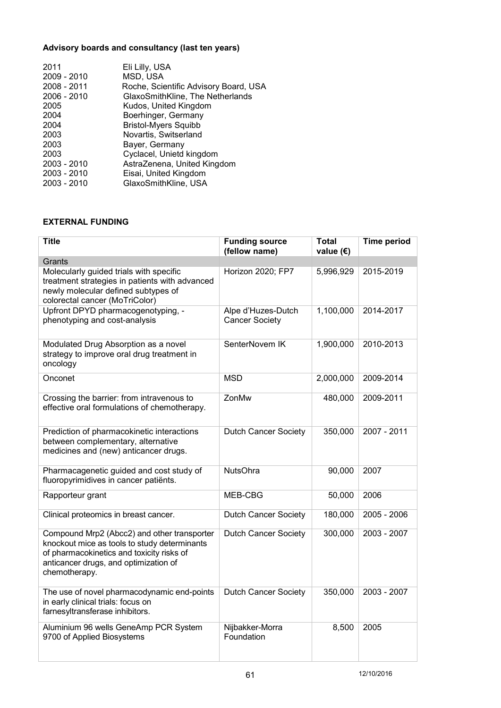# **Advisory boards and consultancy (last ten years)**

| 2011          | Eli Lilly, USA                        |
|---------------|---------------------------------------|
| 2009 - 2010   | MSD, USA                              |
| 2008 - 2011   | Roche, Scientific Advisory Board, USA |
| 2006 - 2010   | GlaxoSmithKline, The Netherlands      |
| 2005          | Kudos, United Kingdom                 |
| 2004          | Boerhinger, Germany                   |
| 2004          | <b>Bristol-Myers Squibb</b>           |
| 2003          | Novartis, Switserland                 |
| 2003          | Bayer, Germany                        |
| 2003          | Cyclacel, Unietd kingdom              |
| $2003 - 2010$ | AstraZenena, United Kingdom           |
| 2003 - 2010   | Eisai, United Kingdom                 |
| 2003 - 2010   | GlaxoSmithKline, USA                  |
|               |                                       |

# **EXTERNAL FUNDING**

| <b>Title</b>                                                                                                                                                                                       | <b>Funding source</b><br>(fellow name)      | <b>Total</b><br>value $(\epsilon)$ | <b>Time period</b> |
|----------------------------------------------------------------------------------------------------------------------------------------------------------------------------------------------------|---------------------------------------------|------------------------------------|--------------------|
| Grants                                                                                                                                                                                             |                                             |                                    |                    |
| Molecularly guided trials with specific<br>treatment strategies in patients with advanced<br>newly molecular defined subtypes of<br>colorectal cancer (MoTriColor)                                 | Horizon 2020; FP7                           | 5,996,929                          | 2015-2019          |
| Upfront DPYD pharmacogenotyping, -<br>phenotyping and cost-analysis                                                                                                                                | Alpe d'Huzes-Dutch<br><b>Cancer Society</b> | 1,100,000                          | 2014-2017          |
| Modulated Drug Absorption as a novel<br>strategy to improve oral drug treatment in<br>oncology                                                                                                     | SenterNovem IK                              | 1,900,000                          | 2010-2013          |
| Onconet                                                                                                                                                                                            | <b>MSD</b>                                  | 2,000,000                          | 2009-2014          |
| Crossing the barrier: from intravenous to<br>effective oral formulations of chemotherapy.                                                                                                          | ZonMw                                       | 480,000                            | 2009-2011          |
| Prediction of pharmacokinetic interactions<br>between complementary, alternative<br>medicines and (new) anticancer drugs.                                                                          | <b>Dutch Cancer Society</b>                 | 350,000                            | 2007 - 2011        |
| Pharmacagenetic guided and cost study of<br>fluoropyrimidives in cancer patients.                                                                                                                  | <b>NutsOhra</b>                             | 90,000                             | 2007               |
| Rapporteur grant                                                                                                                                                                                   | MEB-CBG                                     | 50,000                             | 2006               |
| Clinical proteomics in breast cancer.                                                                                                                                                              | <b>Dutch Cancer Society</b>                 | 180,000                            | 2005 - 2006        |
| Compound Mrp2 (Abcc2) and other transporter<br>knockout mice as tools to study determinants<br>of pharmacokinetics and toxicity risks of<br>anticancer drugs, and optimization of<br>chemotherapy. | Dutch Cancer Society                        | 300,000                            | 2003 - 2007        |
| The use of novel pharmacodynamic end-points<br>in early clinical trials: focus on<br>farnesyltransferase inhibitors.                                                                               | <b>Dutch Cancer Society</b>                 | 350,000                            | 2003 - 2007        |
| Aluminium 96 wells GeneAmp PCR System<br>9700 of Applied Biosystems                                                                                                                                | Nijbakker-Morra<br>Foundation               | 8,500                              | 2005               |